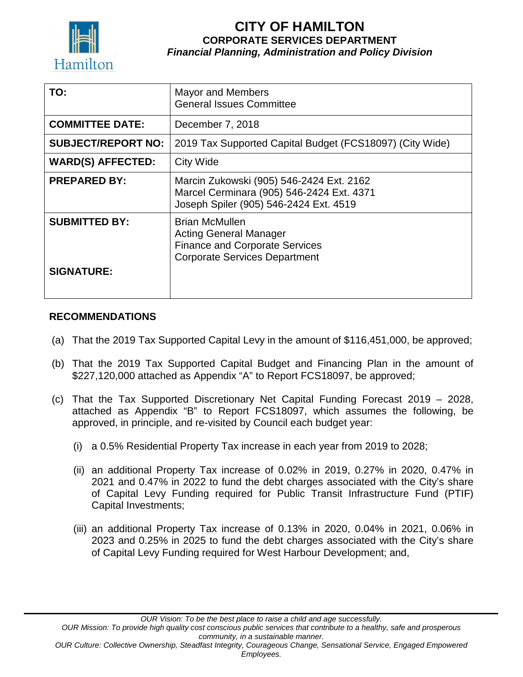

## **CITY OF HAMILTON CORPORATE SERVICES DEPARTMENT** *Financial Planning, Administration and Policy Division*

| TO:                       | <b>Mayor and Members</b><br><b>General Issues Committee</b>                                                                             |
|---------------------------|-----------------------------------------------------------------------------------------------------------------------------------------|
| <b>COMMITTEE DATE:</b>    | December 7, 2018                                                                                                                        |
| <b>SUBJECT/REPORT NO:</b> | 2019 Tax Supported Capital Budget (FCS18097) (City Wide)                                                                                |
| <b>WARD(S) AFFECTED:</b>  | <b>City Wide</b>                                                                                                                        |
| <b>PREPARED BY:</b>       | Marcin Zukowski (905) 546-2424 Ext. 2162<br>Marcel Cerminara (905) 546-2424 Ext. 4371<br>Joseph Spiler (905) 546-2424 Ext. 4519         |
| <b>SUBMITTED BY:</b>      | <b>Brian McMullen</b><br><b>Acting General Manager</b><br><b>Finance and Corporate Services</b><br><b>Corporate Services Department</b> |
| <b>SIGNATURE:</b>         |                                                                                                                                         |

#### **RECOMMENDATIONS**

- (a) That the 2019 Tax Supported Capital Levy in the amount of \$116,451,000, be approved;
- (b) That the 2019 Tax Supported Capital Budget and Financing Plan in the amount of \$227,120,000 attached as Appendix "A" to Report FCS18097, be approved;
- (c) That the Tax Supported Discretionary Net Capital Funding Forecast 2019 2028, attached as Appendix "B" to Report FCS18097, which assumes the following, be approved, in principle, and re-visited by Council each budget year:
	- (i) a 0.5% Residential Property Tax increase in each year from 2019 to 2028;
	- (ii) an additional Property Tax increase of 0.02% in 2019, 0.27% in 2020, 0.47% in 2021 and 0.47% in 2022 to fund the debt charges associated with the City's share of Capital Levy Funding required for Public Transit Infrastructure Fund (PTIF) Capital Investments;
	- (iii) an additional Property Tax increase of 0.13% in 2020, 0.04% in 2021, 0.06% in 2023 and 0.25% in 2025 to fund the debt charges associated with the City's share of Capital Levy Funding required for West Harbour Development; and,

*Employees.*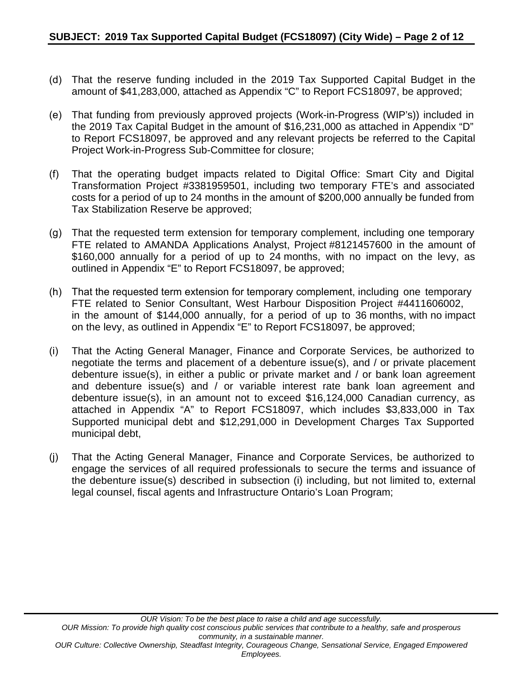- (d) That the reserve funding included in the 2019 Tax Supported Capital Budget in the amount of \$41,283,000, attached as Appendix "C" to Report FCS18097, be approved;
- (e) That funding from previously approved projects (Work-in-Progress (WIP's)) included in the 2019 Tax Capital Budget in the amount of \$16,231,000 as attached in Appendix "D" to Report FCS18097, be approved and any relevant projects be referred to the Capital Project Work-in-Progress Sub-Committee for closure;
- (f) That the operating budget impacts related to Digital Office: Smart City and Digital Transformation Project #3381959501, including two temporary FTE's and associated costs for a period of up to 24 months in the amount of \$200,000 annually be funded from Tax Stabilization Reserve be approved;
- (g) That the requested term extension for temporary complement, including one temporary FTE related to AMANDA Applications Analyst, Project #8121457600 in the amount of \$160,000 annually for a period of up to 24 months, with no impact on the levy, as outlined in Appendix "E" to Report FCS18097, be approved;
- (h) That the requested term extension for temporary complement, including one temporary FTE related to Senior Consultant, West Harbour Disposition Project #4411606002, in the amount of \$144,000 annually, for a period of up to 36 months, with no impact on the levy, as outlined in Appendix "E" to Report FCS18097, be approved;
- (i) That the Acting General Manager, Finance and Corporate Services, be authorized to negotiate the terms and placement of a debenture issue(s), and / or private placement debenture issue(s), in either a public or private market and / or bank loan agreement and debenture issue(s) and / or variable interest rate bank loan agreement and debenture issue(s), in an amount not to exceed \$16,124,000 Canadian currency, as attached in Appendix "A" to Report FCS18097, which includes \$3,833,000 in Tax Supported municipal debt and \$12,291,000 in Development Charges Tax Supported municipal debt,
- (j) That the Acting General Manager, Finance and Corporate Services, be authorized to engage the services of all required professionals to secure the terms and issuance of the debenture issue(s) described in subsection (i) including, but not limited to, external legal counsel, fiscal agents and Infrastructure Ontario's Loan Program;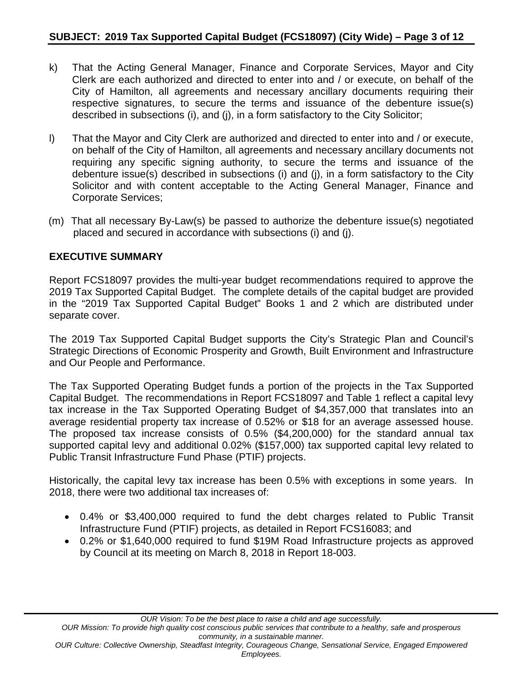- k) That the Acting General Manager, Finance and Corporate Services, Mayor and City Clerk are each authorized and directed to enter into and / or execute, on behalf of the City of Hamilton, all agreements and necessary ancillary documents requiring their respective signatures, to secure the terms and issuance of the debenture issue(s) described in subsections (i), and (j), in a form satisfactory to the City Solicitor;
- l) That the Mayor and City Clerk are authorized and directed to enter into and / or execute, on behalf of the City of Hamilton, all agreements and necessary ancillary documents not requiring any specific signing authority, to secure the terms and issuance of the debenture issue(s) described in subsections (i) and (j), in a form satisfactory to the City Solicitor and with content acceptable to the Acting General Manager, Finance and Corporate Services;
- (m) That all necessary By-Law(s) be passed to authorize the debenture issue(s) negotiated placed and secured in accordance with subsections (i) and (j).

#### **EXECUTIVE SUMMARY**

Report FCS18097 provides the multi-year budget recommendations required to approve the 2019 Tax Supported Capital Budget. The complete details of the capital budget are provided in the "2019 Tax Supported Capital Budget" Books 1 and 2 which are distributed under separate cover.

The 2019 Tax Supported Capital Budget supports the City's Strategic Plan and Council's Strategic Directions of Economic Prosperity and Growth, Built Environment and Infrastructure and Our People and Performance.

The Tax Supported Operating Budget funds a portion of the projects in the Tax Supported Capital Budget. The recommendations in Report FCS18097 and Table 1 reflect a capital levy tax increase in the Tax Supported Operating Budget of \$4,357,000 that translates into an average residential property tax increase of 0.52% or \$18 for an average assessed house. The proposed tax increase consists of 0.5% (\$4,200,000) for the standard annual tax supported capital levy and additional 0.02% (\$157,000) tax supported capital levy related to Public Transit Infrastructure Fund Phase (PTIF) projects.

Historically, the capital levy tax increase has been 0.5% with exceptions in some years. In 2018, there were two additional tax increases of:

- 0.4% or \$3,400,000 required to fund the debt charges related to Public Transit Infrastructure Fund (PTIF) projects, as detailed in Report FCS16083; and
- 0.2% or \$1,640,000 required to fund \$19M Road Infrastructure projects as approved by Council at its meeting on March 8, 2018 in Report 18-003.

*Employees.*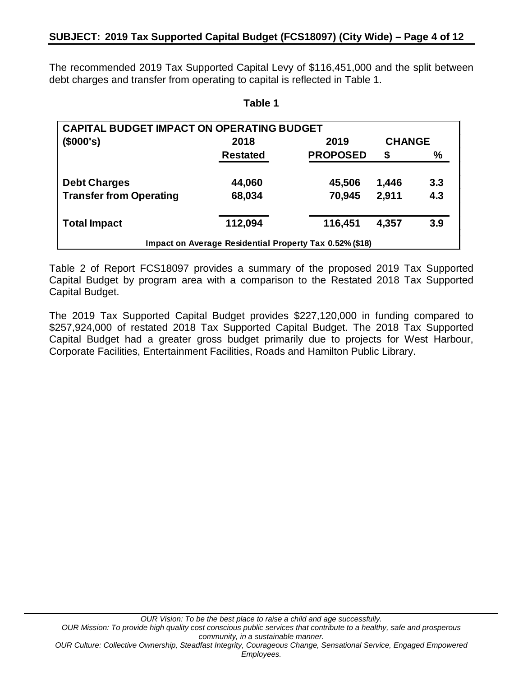The recommended 2019 Tax Supported Capital Levy of \$116,451,000 and the split between debt charges and transfer from operating to capital is reflected in Table 1.

**Table 1**

| <b>CAPITAL BUDGET IMPACT ON OPERATING BUDGET</b> |                 |                                                         |               |      |
|--------------------------------------------------|-----------------|---------------------------------------------------------|---------------|------|
| (\$000's)                                        | 2018            | 2019                                                    | <b>CHANGE</b> |      |
|                                                  | <b>Restated</b> | <b>PROPOSED</b>                                         | \$            | $\%$ |
| <b>Debt Charges</b>                              | 44,060          | 45,506                                                  | 1,446         | 3.3  |
| <b>Transfer from Operating</b>                   | 68,034          | 70,945                                                  | 2,911         | 4.3  |
| <b>Total Impact</b>                              | 112,094         | 116,451                                                 | 4,357         | 3.9  |
|                                                  |                 | Impact on Average Residential Property Tax 0.52% (\$18) |               |      |

Table 2 of Report FCS18097 provides a summary of the proposed 2019 Tax Supported Capital Budget by program area with a comparison to the Restated 2018 Tax Supported Capital Budget.

The 2019 Tax Supported Capital Budget provides \$227,120,000 in funding compared to \$257,924,000 of restated 2018 Tax Supported Capital Budget. The 2018 Tax Supported Capital Budget had a greater gross budget primarily due to projects for West Harbour, Corporate Facilities, Entertainment Facilities, Roads and Hamilton Public Library.

*Employees.*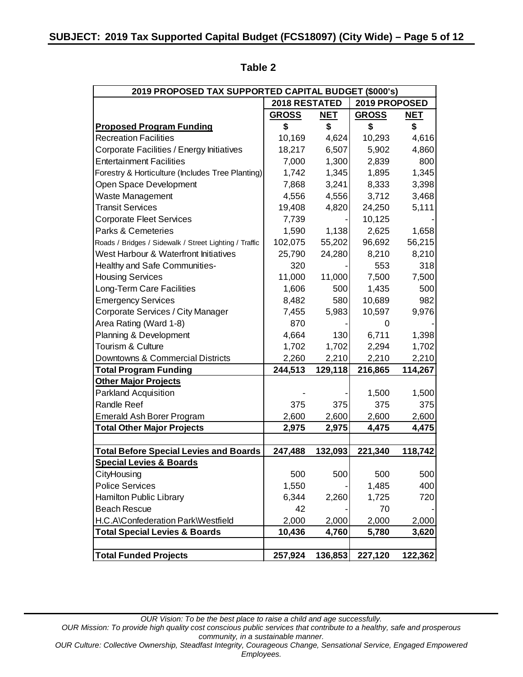| 2019 PROPOSED TAX SUPPORTED CAPITAL BUDGET (\$000's)   |                      |            |               |            |
|--------------------------------------------------------|----------------------|------------|---------------|------------|
|                                                        | <b>2018 RESTATED</b> |            | 2019 PROPOSED |            |
|                                                        | <b>GROSS</b>         | <b>NET</b> | <b>GROSS</b>  | <u>NET</u> |
| <b>Proposed Program Funding</b>                        | \$                   | \$         | \$            | \$         |
| <b>Recreation Facilities</b>                           | 10,169               | 4,624      | 10,293        | 4,616      |
| Corporate Facilities / Energy Initiatives              | 18,217               | 6,507      | 5,902         | 4,860      |
| <b>Entertainment Facilities</b>                        | 7,000                | 1,300      | 2,839         | 800        |
| Forestry & Horticulture (Includes Tree Planting)       | 1,742                | 1,345      | 1,895         | 1,345      |
| Open Space Development                                 | 7,868                | 3,241      | 8,333         | 3,398      |
| Waste Management                                       | 4,556                | 4,556      | 3,712         | 3,468      |
| <b>Transit Services</b>                                | 19,408               | 4,820      | 24,250        | 5,111      |
| <b>Corporate Fleet Services</b>                        | 7,739                |            | 10,125        |            |
| Parks & Cemeteries                                     | 1,590                | 1,138      | 2,625         | 1,658      |
| Roads / Bridges / Sidewalk / Street Lighting / Traffic | 102,075              | 55,202     | 96,692        | 56,215     |
| West Harbour & Waterfront Initiatives                  | 25,790               | 24,280     | 8,210         | 8,210      |
| Healthy and Safe Communities-                          | 320                  |            | 553           | 318        |
| <b>Housing Services</b>                                | 11,000               | 11,000     | 7,500         | 7,500      |
| Long-Term Care Facilities                              | 1,606                | 500        | 1,435         | 500        |
| <b>Emergency Services</b>                              | 8,482                | 580        | 10,689        | 982        |
| Corporate Services / City Manager                      | 7,455                | 5,983      | 10,597        | 9,976      |
| Area Rating (Ward 1-8)                                 | 870                  |            |               |            |
| Planning & Development                                 | 4,664                | 130        | 6,711         | 1,398      |
| Tourism & Culture                                      | 1,702                | 1,702      | 2,294         | 1,702      |
| Downtowns & Commercial Districts                       | 2,260                | 2,210      | 2,210         | 2,210      |
| <b>Total Program Funding</b>                           | 244,513              | 129,118    | 216,865       | 114,267    |
| <b>Other Major Projects</b>                            |                      |            |               |            |
| <b>Parkland Acquisition</b>                            |                      |            | 1,500         | 1,500      |
| <b>Randle Reef</b>                                     | 375                  | 375        | 375           | 375        |
| Emerald Ash Borer Program                              | 2,600                | 2,600      | 2,600         | 2,600      |
| <b>Total Other Major Projects</b>                      | 2,975                | 2,975      | 4,475         | 4,475      |
|                                                        |                      |            |               |            |
| <b>Total Before Special Levies and Boards</b>          | 247,488              | 132,093    | 221,340       | 118,742    |
| <b>Special Levies &amp; Boards</b>                     |                      |            |               |            |
| CityHousing                                            | 500                  | 500        | 500           | 500        |
| <b>Police Services</b>                                 | 1,550                |            | 1,485         | 400        |
| Hamilton Public Library                                | 6,344                | 2,260      | 1,725         | 720        |
| <b>Beach Rescue</b>                                    | 42                   |            | 70            |            |
| H.C.A\Confederation Park\Westfield                     | 2,000                | 2,000      | 2,000         | 2,000      |
| <b>Total Special Levies &amp; Boards</b>               | 10,436               | 4,760      | 5,780         | 3,620      |
|                                                        |                      |            |               |            |
| <b>Total Funded Projects</b>                           | 257,924              | 136,853    | 227,120       | 122,362    |

### **Table 2**

*OUR Vision: To be the best place to raise a child and age successfully. OUR Mission: To provide high quality cost conscious public services that contribute to a healthy, safe and prosperous community, in a sustainable manner.*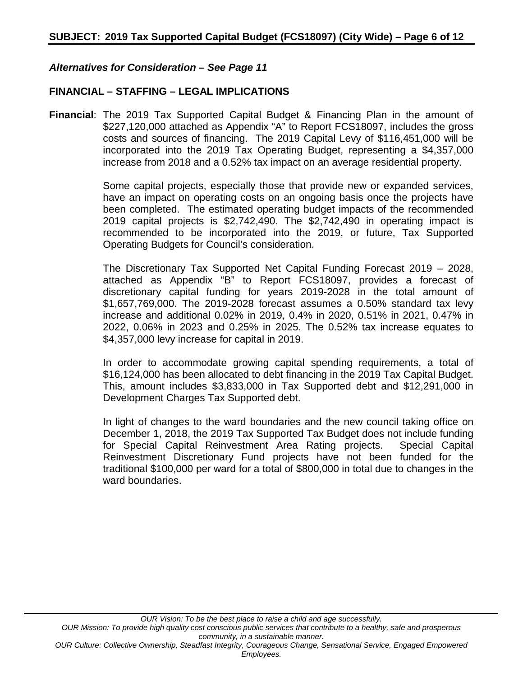#### *Alternatives for Consideration – See Page 11*

#### **FINANCIAL – STAFFING – LEGAL IMPLICATIONS**

**Financial**: The 2019 Tax Supported Capital Budget & Financing Plan in the amount of \$227,120,000 attached as Appendix "A" to Report FCS18097, includes the gross costs and sources of financing. The 2019 Capital Levy of \$116,451,000 will be incorporated into the 2019 Tax Operating Budget, representing a \$4,357,000 increase from 2018 and a 0.52% tax impact on an average residential property.

> Some capital projects, especially those that provide new or expanded services, have an impact on operating costs on an ongoing basis once the projects have been completed. The estimated operating budget impacts of the recommended 2019 capital projects is \$2,742,490. The \$2,742,490 in operating impact is recommended to be incorporated into the 2019, or future, Tax Supported Operating Budgets for Council's consideration.

> The Discretionary Tax Supported Net Capital Funding Forecast 2019 – 2028, attached as Appendix "B" to Report FCS18097, provides a forecast of discretionary capital funding for years 2019-2028 in the total amount of \$1,657,769,000. The 2019-2028 forecast assumes a 0.50% standard tax levy increase and additional 0.02% in 2019, 0.4% in 2020, 0.51% in 2021, 0.47% in 2022, 0.06% in 2023 and 0.25% in 2025. The 0.52% tax increase equates to \$4,357,000 levy increase for capital in 2019.

> In order to accommodate growing capital spending requirements, a total of \$16,124,000 has been allocated to debt financing in the 2019 Tax Capital Budget. This, amount includes \$3,833,000 in Tax Supported debt and \$12,291,000 in Development Charges Tax Supported debt.

> In light of changes to the ward boundaries and the new council taking office on December 1, 2018, the 2019 Tax Supported Tax Budget does not include funding for Special Capital Reinvestment Area Rating projects. Special Capital Reinvestment Discretionary Fund projects have not been funded for the traditional \$100,000 per ward for a total of \$800,000 in total due to changes in the ward boundaries.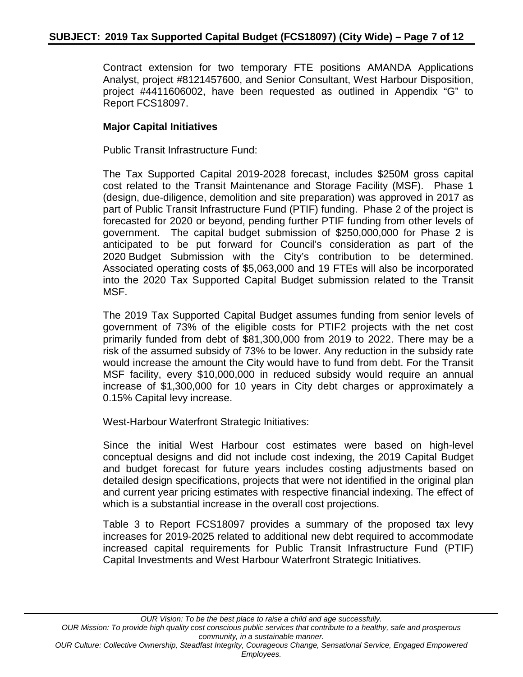Contract extension for two temporary FTE positions AMANDA Applications Analyst, project #8121457600, and Senior Consultant, West Harbour Disposition, project #4411606002, have been requested as outlined in Appendix "G" to Report FCS18097.

#### **Major Capital Initiatives**

Public Transit Infrastructure Fund:

The Tax Supported Capital 2019-2028 forecast, includes \$250M gross capital cost related to the Transit Maintenance and Storage Facility (MSF). Phase 1 (design, due-diligence, demolition and site preparation) was approved in 2017 as part of Public Transit Infrastructure Fund (PTIF) funding. Phase 2 of the project is forecasted for 2020 or beyond, pending further PTIF funding from other levels of government. The capital budget submission of \$250,000,000 for Phase 2 is anticipated to be put forward for Council's consideration as part of the 2020 Budget Submission with the City's contribution to be determined. Associated operating costs of \$5,063,000 and 19 FTEs will also be incorporated into the 2020 Tax Supported Capital Budget submission related to the Transit MSF.

The 2019 Tax Supported Capital Budget assumes funding from senior levels of government of 73% of the eligible costs for PTIF2 projects with the net cost primarily funded from debt of \$81,300,000 from 2019 to 2022. There may be a risk of the assumed subsidy of 73% to be lower. Any reduction in the subsidy rate would increase the amount the City would have to fund from debt. For the Transit MSF facility, every \$10,000,000 in reduced subsidy would require an annual increase of \$1,300,000 for 10 years in City debt charges or approximately a 0.15% Capital levy increase.

West-Harbour Waterfront Strategic Initiatives:

Since the initial West Harbour cost estimates were based on high-level conceptual designs and did not include cost indexing, the 2019 Capital Budget and budget forecast for future years includes costing adjustments based on detailed design specifications, projects that were not identified in the original plan and current year pricing estimates with respective financial indexing. The effect of which is a substantial increase in the overall cost projections.

Table 3 to Report FCS18097 provides a summary of the proposed tax levy increases for 2019-2025 related to additional new debt required to accommodate increased capital requirements for Public Transit Infrastructure Fund (PTIF) Capital Investments and West Harbour Waterfront Strategic Initiatives.

*OUR Vision: To be the best place to raise a child and age successfully. OUR Mission: To provide high quality cost conscious public services that contribute to a healthy, safe and prosperous community, in a sustainable manner.*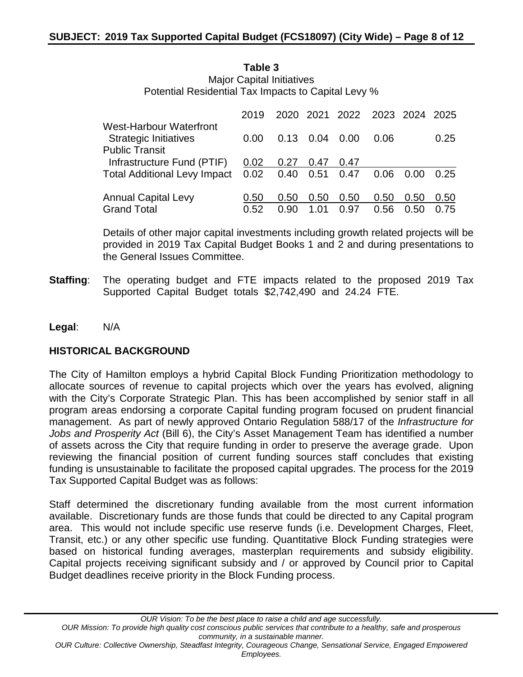**Table 3** Major Capital Initiatives Potential Residential Tax Impacts to Capital Levy %

|                                                                | 2019 |      |      | 2020 2021 2022 2023 2024 2025 |      |      |      |
|----------------------------------------------------------------|------|------|------|-------------------------------|------|------|------|
| <b>West-Harbour Waterfront</b><br><b>Strategic Initiatives</b> | 0.00 | 0.13 | 0.04 | 0.00                          | 0.06 |      | 0.25 |
| <b>Public Transit</b>                                          |      |      |      |                               |      |      |      |
| Infrastructure Fund (PTIF)                                     | 0.02 | 0.27 | 0.47 | 0.47                          |      |      |      |
| Total Additional Levy Impact 0.02 0.40 0.51 0.47               |      |      |      |                               | 0.06 | 0.00 | 0.25 |
| <b>Annual Capital Levy</b>                                     | 0.50 | 0.50 | 0.50 | 0.50                          | 0.50 | 0.50 | 0.50 |
| <b>Grand Total</b>                                             | 0.52 | 0.90 | 1.01 | 0.97                          | 0.56 | 0.50 | 0.75 |

Details of other major capital investments including growth related projects will be provided in 2019 Tax Capital Budget Books 1 and 2 and during presentations to the General Issues Committee.

- **Staffing**: The operating budget and FTE impacts related to the proposed 2019 Tax Supported Capital Budget totals \$2,742,490 and 24.24 FTE.
- **Legal**: N/A

#### **HISTORICAL BACKGROUND**

The City of Hamilton employs a hybrid Capital Block Funding Prioritization methodology to allocate sources of revenue to capital projects which over the years has evolved, aligning with the City's Corporate Strategic Plan. This has been accomplished by senior staff in all program areas endorsing a corporate Capital funding program focused on prudent financial management. As part of newly approved Ontario Regulation 588/17 of the *Infrastructure for Jobs and Prosperity Act* (Bill 6), the City's Asset Management Team has identified a number of assets across the City that require funding in order to preserve the average grade. Upon reviewing the financial position of current funding sources staff concludes that existing funding is unsustainable to facilitate the proposed capital upgrades. The process for the 2019 Tax Supported Capital Budget was as follows:

Staff determined the discretionary funding available from the most current information available. Discretionary funds are those funds that could be directed to any Capital program area. This would not include specific use reserve funds (i.e. Development Charges, Fleet, Transit, etc.) or any other specific use funding. Quantitative Block Funding strategies were based on historical funding averages, masterplan requirements and subsidy eligibility. Capital projects receiving significant subsidy and / or approved by Council prior to Capital Budget deadlines receive priority in the Block Funding process.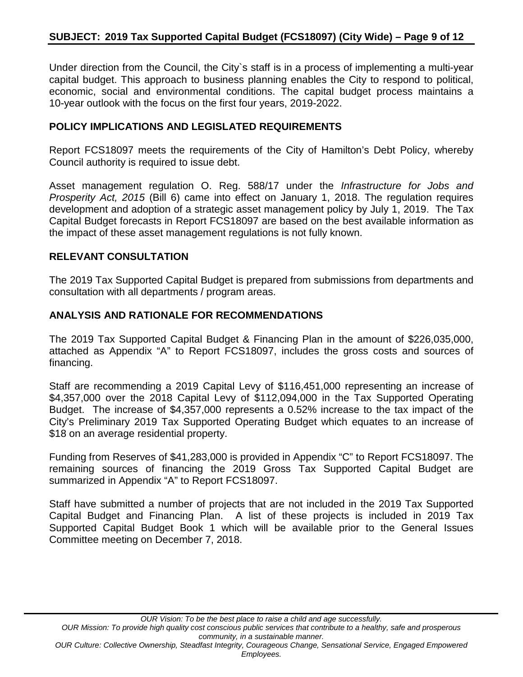Under direction from the Council, the City`s staff is in a process of implementing a multi-year capital budget. This approach to business planning enables the City to respond to political, economic, social and environmental conditions. The capital budget process maintains a 10-year outlook with the focus on the first four years, 2019-2022.

#### **POLICY IMPLICATIONS AND LEGISLATED REQUIREMENTS**

Report FCS18097 meets the requirements of the City of Hamilton's Debt Policy, whereby Council authority is required to issue debt.

Asset management regulation O. Reg. 588/17 under the *Infrastructure for Jobs and Prosperity Act, 2015* (Bill 6) came into effect on January 1, 2018. The regulation requires development and adoption of a strategic asset management policy by July 1, 2019. The Tax Capital Budget forecasts in Report FCS18097 are based on the best available information as the impact of these asset management regulations is not fully known.

#### **RELEVANT CONSULTATION**

The 2019 Tax Supported Capital Budget is prepared from submissions from departments and consultation with all departments / program areas.

#### **ANALYSIS AND RATIONALE FOR RECOMMENDATIONS**

The 2019 Tax Supported Capital Budget & Financing Plan in the amount of \$226,035,000, attached as Appendix "A" to Report FCS18097, includes the gross costs and sources of financing.

Staff are recommending a 2019 Capital Levy of \$116,451,000 representing an increase of \$4,357,000 over the 2018 Capital Levy of \$112,094,000 in the Tax Supported Operating Budget. The increase of \$4,357,000 represents a 0.52% increase to the tax impact of the City's Preliminary 2019 Tax Supported Operating Budget which equates to an increase of \$18 on an average residential property.

Funding from Reserves of \$41,283,000 is provided in Appendix "C" to Report FCS18097. The remaining sources of financing the 2019 Gross Tax Supported Capital Budget are summarized in Appendix "A" to Report FCS18097.

Staff have submitted a number of projects that are not included in the 2019 Tax Supported Capital Budget and Financing Plan. A list of these projects is included in 2019 Tax Supported Capital Budget Book 1 which will be available prior to the General Issues Committee meeting on December 7, 2018.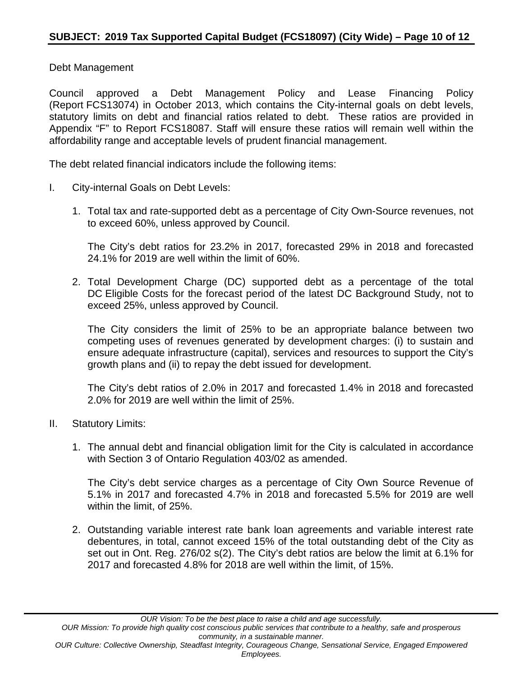Debt Management

Council approved a Debt Management Policy and Lease Financing Policy (Report FCS13074) in October 2013, which contains the City-internal goals on debt levels, statutory limits on debt and financial ratios related to debt. These ratios are provided in Appendix "F" to Report FCS18087. Staff will ensure these ratios will remain well within the affordability range and acceptable levels of prudent financial management.

The debt related financial indicators include the following items:

- I. City-internal Goals on Debt Levels:
	- 1. Total tax and rate-supported debt as a percentage of City Own-Source revenues, not to exceed 60%, unless approved by Council.

The City's debt ratios for 23.2% in 2017, forecasted 29% in 2018 and forecasted 24.1% for 2019 are well within the limit of 60%.

2. Total Development Charge (DC) supported debt as a percentage of the total DC Eligible Costs for the forecast period of the latest DC Background Study, not to exceed 25%, unless approved by Council.

The City considers the limit of 25% to be an appropriate balance between two competing uses of revenues generated by development charges: (i) to sustain and ensure adequate infrastructure (capital), services and resources to support the City's growth plans and (ii) to repay the debt issued for development.

The City's debt ratios of 2.0% in 2017 and forecasted 1.4% in 2018 and forecasted 2.0% for 2019 are well within the limit of 25%.

- II. Statutory Limits:
	- 1. The annual debt and financial obligation limit for the City is calculated in accordance with Section 3 of Ontario Regulation 403/02 as amended.

The City's debt service charges as a percentage of City Own Source Revenue of 5.1% in 2017 and forecasted 4.7% in 2018 and forecasted 5.5% for 2019 are well within the limit, of 25%.

2. Outstanding variable interest rate bank loan agreements and variable interest rate debentures, in total, cannot exceed 15% of the total outstanding debt of the City as set out in Ont. Reg. 276/02 s(2). The City's debt ratios are below the limit at 6.1% for 2017 and forecasted 4.8% for 2018 are well within the limit, of 15%.

*Employees.*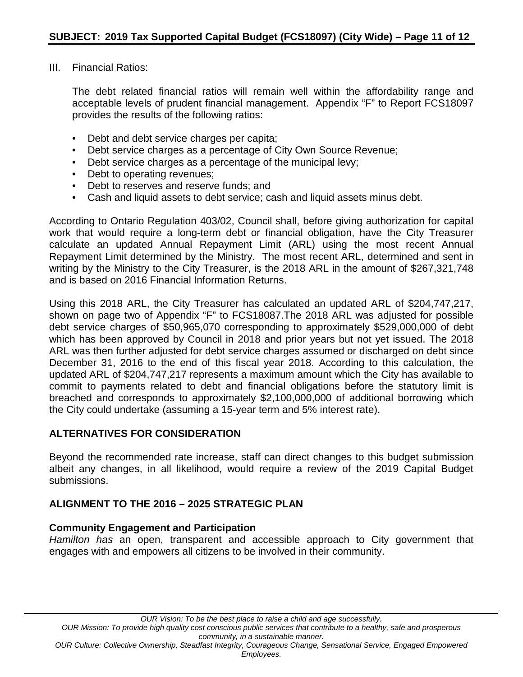III. Financial Ratios:

The debt related financial ratios will remain well within the affordability range and acceptable levels of prudent financial management. Appendix "F" to Report FCS18097 provides the results of the following ratios:

- Debt and debt service charges per capita;
- Debt service charges as a percentage of City Own Source Revenue;
- Debt service charges as a percentage of the municipal levy;
- Debt to operating revenues;
- Debt to reserves and reserve funds; and
- Cash and liquid assets to debt service; cash and liquid assets minus debt.

According to Ontario Regulation 403/02, Council shall, before giving authorization for capital work that would require a long-term debt or financial obligation, have the City Treasurer calculate an updated Annual Repayment Limit (ARL) using the most recent Annual Repayment Limit determined by the Ministry. The most recent ARL, determined and sent in writing by the Ministry to the City Treasurer, is the 2018 ARL in the amount of \$267,321,748 and is based on 2016 Financial Information Returns.

Using this 2018 ARL, the City Treasurer has calculated an updated ARL of \$204,747,217, shown on page two of Appendix "F" to FCS18087.The 2018 ARL was adjusted for possible debt service charges of \$50,965,070 corresponding to approximately \$529,000,000 of debt which has been approved by Council in 2018 and prior years but not yet issued. The 2018 ARL was then further adjusted for debt service charges assumed or discharged on debt since December 31, 2016 to the end of this fiscal year 2018. According to this calculation, the updated ARL of \$204,747,217 represents a maximum amount which the City has available to commit to payments related to debt and financial obligations before the statutory limit is breached and corresponds to approximately \$2,100,000,000 of additional borrowing which the City could undertake (assuming a 15-year term and 5% interest rate).

#### **ALTERNATIVES FOR CONSIDERATION**

Beyond the recommended rate increase, staff can direct changes to this budget submission albeit any changes, in all likelihood, would require a review of the 2019 Capital Budget submissions.

## **ALIGNMENT TO THE 2016 – 2025 STRATEGIC PLAN**

#### **Community Engagement and Participation**

*Hamilton has* an open, transparent and accessible approach to City government that engages with and empowers all citizens to be involved in their community.

*Employees.*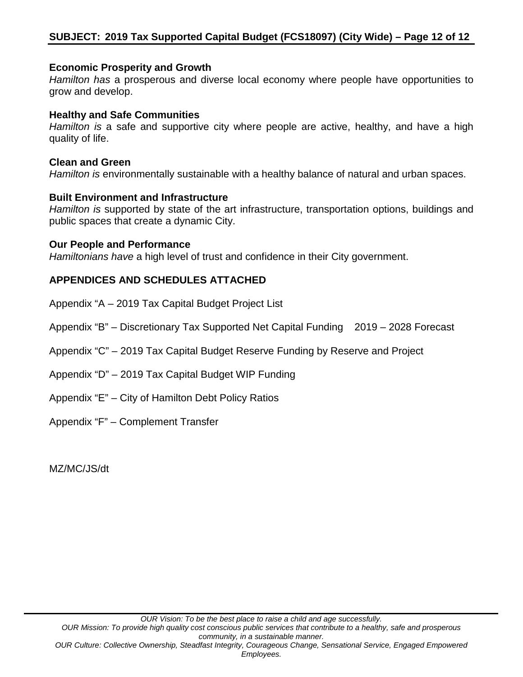#### **Economic Prosperity and Growth**

*Hamilton has* a prosperous and diverse local economy where people have opportunities to grow and develop.

#### **Healthy and Safe Communities**

*Hamilton is* a safe and supportive city where people are active, healthy, and have a high quality of life.

#### **Clean and Green**

*Hamilton is* environmentally sustainable with a healthy balance of natural and urban spaces.

#### **Built Environment and Infrastructure**

*Hamilton is* supported by state of the art infrastructure, transportation options, buildings and public spaces that create a dynamic City.

#### **Our People and Performance**

*Hamiltonians have* a high level of trust and confidence in their City government.

## **APPENDICES AND SCHEDULES ATTACHED**

Appendix "A – 2019 Tax Capital Budget Project List

Appendix "B" – Discretionary Tax Supported Net Capital Funding 2019 – 2028 Forecast

Appendix "C" – 2019 Tax Capital Budget Reserve Funding by Reserve and Project

Appendix "D" – 2019 Tax Capital Budget WIP Funding

Appendix "E" – City of Hamilton Debt Policy Ratios

Appendix "F" – Complement Transfer

MZ/MC/JS/dt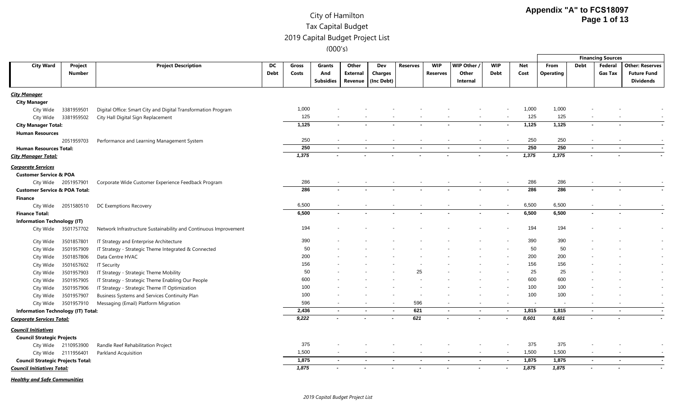|                                           |                      |                                                                  |             |       |                          |          |                          |                 |                          |                                                      |                          |       |                  |                          | <b>Financing Sources</b> |                        |
|-------------------------------------------|----------------------|------------------------------------------------------------------|-------------|-------|--------------------------|----------|--------------------------|-----------------|--------------------------|------------------------------------------------------|--------------------------|-------|------------------|--------------------------|--------------------------|------------------------|
| <b>City Ward</b>                          | Project              | <b>Project Description</b>                                       | DC          | Gross | Grants                   | Other    | Dev                      | <b>Reserves</b> | <b>WIP</b>               | WIP Other /                                          | <b>WIP</b>               | Net   | From             | <b>Debt</b>              | Federal                  | <b>Other: Reserves</b> |
|                                           | <b>Number</b>        |                                                                  | <b>Debt</b> | Costs | And                      | External | <b>Charges</b>           |                 | <b>Reserves</b>          | Other                                                | Debt                     | Cost  | <b>Operating</b> |                          | <b>Gas Tax</b>           | <b>Future Fund</b>     |
|                                           |                      |                                                                  |             |       | <b>Subsidies</b>         | Revenue  | (Inc Debt)               |                 |                          | Internal                                             |                          |       |                  |                          |                          | <b>Dividends</b>       |
| <u>City Manager</u>                       |                      |                                                                  |             |       |                          |          |                          |                 |                          |                                                      |                          |       |                  |                          |                          |                        |
| <b>City Manager</b>                       |                      |                                                                  |             |       |                          |          |                          |                 |                          |                                                      |                          |       |                  |                          |                          |                        |
| City Wide                                 | 3381959501           | Digital Office: Smart City and Digital Transformation Program    |             | 1,000 |                          |          |                          |                 |                          |                                                      |                          | 1,000 | 1,000            |                          |                          |                        |
| City Wide                                 | 3381959502           | City Hall Digital Sign Replacement                               |             | 125   |                          |          |                          |                 |                          |                                                      |                          | 125   | 125              |                          |                          |                        |
| <b>City Manager Total:</b>                |                      |                                                                  |             | 1,125 |                          |          |                          |                 |                          |                                                      |                          | 1,125 | 1,125            |                          |                          |                        |
| <b>Human Resources</b>                    |                      |                                                                  |             |       |                          |          |                          |                 |                          |                                                      |                          |       |                  |                          |                          |                        |
|                                           | 2051959703           | Performance and Learning Management System                       |             | 250   |                          |          |                          |                 |                          |                                                      |                          | 250   | 250              |                          |                          |                        |
| <b>Human Resources Total:</b>             |                      |                                                                  |             | 250   | $\sim$                   | $\sim$   | $\sim$                   | $\sim$          |                          | $\sim$<br>$\sim$                                     | $\blacksquare$           | 250   | 250              | $\sim$                   | $\sim$                   |                        |
| <b>City Manager Total:</b>                |                      |                                                                  |             | 1,375 |                          |          |                          |                 |                          |                                                      |                          | 1,375 | 1,375            |                          |                          |                        |
| <b>Corporate Services</b>                 |                      |                                                                  |             |       |                          |          |                          |                 |                          |                                                      |                          |       |                  |                          |                          |                        |
| <b>Customer Service &amp; POA</b>         |                      |                                                                  |             |       |                          |          |                          |                 |                          |                                                      |                          |       |                  |                          |                          |                        |
|                                           | City Wide 2051957901 | Corporate Wide Customer Experience Feedback Program              |             | 286   | $\overline{\phantom{a}}$ |          |                          |                 |                          | $\overline{\phantom{a}}$<br>$\overline{\phantom{a}}$ | $\sim$                   | 286   | 286              |                          |                          |                        |
| <b>Customer Service &amp; POA Total:</b>  |                      |                                                                  |             | 286   |                          |          |                          |                 |                          |                                                      |                          | 286   | 286              |                          |                          |                        |
| Finance                                   |                      |                                                                  |             |       |                          |          |                          |                 |                          |                                                      |                          |       |                  |                          |                          |                        |
| City Wide                                 | 2051580510           | DC Exemptions Recovery                                           |             | 6,500 |                          |          |                          |                 | $\overline{\phantom{a}}$ |                                                      | $\overline{\phantom{a}}$ | 6,500 | 6,500            |                          |                          |                        |
| <b>Finance Total:</b>                     |                      |                                                                  |             | 6,500 |                          |          |                          |                 |                          |                                                      |                          | 6,500 | 6,500            |                          | $\overline{\phantom{a}}$ |                        |
| <b>Information Technology (IT)</b>        |                      |                                                                  |             |       |                          |          |                          |                 |                          |                                                      |                          |       |                  |                          |                          |                        |
|                                           | City Wide 3501757702 | Network Infrastructure Sustainability and Continuous Improvement |             | 194   |                          |          |                          |                 |                          |                                                      |                          | 194   | 194              |                          |                          |                        |
|                                           |                      |                                                                  |             |       |                          |          |                          |                 |                          |                                                      |                          |       |                  |                          |                          |                        |
| City Wide                                 | 3501857801           | IT Strategy and Enterprise Architecture                          |             | 390   |                          |          |                          |                 |                          |                                                      |                          | 390   | 390              |                          |                          |                        |
| City Wide                                 | 3501957909           | IT Strategy - Strategic Theme Integrated & Connected             |             | 50    |                          |          |                          |                 |                          |                                                      |                          | 50    | 50               |                          |                          |                        |
| City Wide                                 | 3501857806           | Data Centre HVAC                                                 |             | 200   |                          |          |                          |                 |                          |                                                      |                          | 200   | 200              |                          |                          |                        |
| City Wide                                 | 3501657602           | <b>IT Security</b>                                               |             | 156   |                          |          |                          |                 |                          |                                                      |                          | 156   | 156              |                          |                          |                        |
| City Wide                                 | 3501957903           | IT Strategy - Strategic Theme Mobility                           |             | 50    |                          |          |                          | 25              |                          |                                                      |                          | 25    | 25               |                          |                          |                        |
| City Wide                                 | 3501957905           | IT Strategy - Strategic Theme Enabling Our People                |             | 600   |                          |          |                          |                 |                          |                                                      |                          | 600   | 600              |                          |                          |                        |
| City Wide                                 | 3501957906           | IT Strategy - Strategic Theme IT Optimization                    |             | 100   |                          |          |                          |                 |                          |                                                      |                          | 100   | 100              |                          |                          |                        |
| City Wide                                 | 3501957907           | Business Systems and Services Continuity Plan                    |             | 100   |                          |          |                          |                 |                          |                                                      |                          | 100   | 100              |                          |                          |                        |
|                                           | City Wide 3501957910 | Messaging (Email) Platform Migration                             |             | 596   |                          |          |                          | 596             |                          |                                                      |                          |       |                  |                          |                          |                        |
| <b>Information Technology (IT) Total:</b> |                      |                                                                  |             | 2,436 | $\sim$                   | $\sim$   | $\sim$                   | 621             |                          | $\sim$<br>$\sim$                                     | $\blacksquare$           | 1,815 | 1,815            | $\sim$                   | $\sim$                   |                        |
| Corporate Services Total:                 |                      |                                                                  |             | 9,222 |                          |          |                          | 621             |                          |                                                      |                          | 8,601 | 8,601            |                          |                          |                        |
| <b>Council Initiatives</b>                |                      |                                                                  |             |       |                          |          |                          |                 |                          |                                                      |                          |       |                  |                          |                          |                        |
| <b>Council Strategic Projects</b>         |                      |                                                                  |             |       |                          |          |                          |                 |                          |                                                      |                          |       |                  |                          |                          |                        |
|                                           | City Wide 2110953900 | Randle Reef Rehabilitation Project                               |             | 375   |                          |          |                          |                 |                          |                                                      |                          | 375   | 375              |                          |                          |                        |
|                                           | City Wide 2111956401 | Parkland Acquisition                                             |             | 1,500 |                          |          |                          |                 |                          | $\overline{\phantom{a}}$<br>$\overline{\phantom{a}}$ | $\overline{\phantom{a}}$ | 1,500 | 1,500            |                          |                          |                        |
| <b>Council Strategic Projects Total:</b>  |                      |                                                                  |             | 1,875 | $\sim$                   |          | . .                      |                 | $\sim$                   | $\sim$                                               |                          | 1,875 | 1,875            | $\overline{\phantom{a}}$ | $\sim$                   |                        |
| <b>Council Initiatives Total:</b>         |                      |                                                                  |             | 7,875 |                          |          | $\overline{\phantom{a}}$ |                 |                          | $\overline{\phantom{a}}$                             |                          | 1,875 | 7,875            |                          |                          |                        |
|                                           |                      |                                                                  |             |       |                          |          |                          |                 |                          |                                                      |                          |       |                  |                          |                          |                        |

*Healthy and Safe Communities*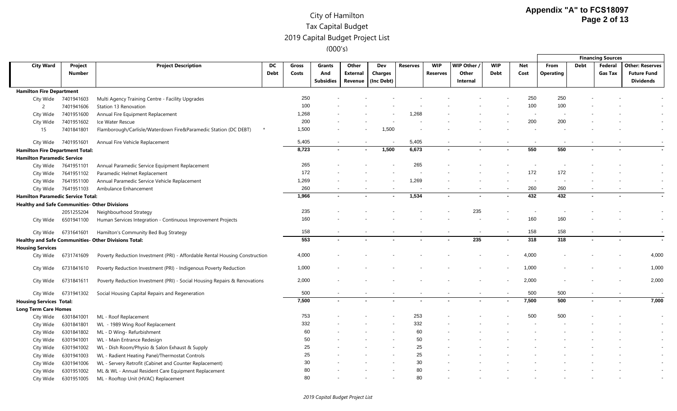|                                                      |                      |                                                                             |             |       |           |                 |            |                 |                |           |             |       |                  |             | <b>Financing Sources</b> |                        |
|------------------------------------------------------|----------------------|-----------------------------------------------------------------------------|-------------|-------|-----------|-----------------|------------|-----------------|----------------|-----------|-------------|-------|------------------|-------------|--------------------------|------------------------|
| <b>City Ward</b>                                     | Project              | <b>Project Description</b>                                                  | DC          | Gross | Grants    | Other           | Dev        | <b>Reserves</b> | <b>WIP</b>     | WIP Other | <b>WIP</b>  | Net   | From             | <b>Debt</b> | Federal                  | <b>Other: Reserves</b> |
|                                                      | <b>Number</b>        |                                                                             | <b>Debt</b> | Costs | And       | <b>External</b> | Charges    |                 | Reserves       | Other     | <b>Debt</b> | Cost  | <b>Operating</b> |             | <b>Gas Tax</b>           | <b>Future Fund</b>     |
|                                                      |                      |                                                                             |             |       | Subsidies | Revenue         | (Inc Debt) |                 |                | Internal  |             |       |                  |             |                          | <b>Dividends</b>       |
| <b>Hamilton Fire Department</b>                      |                      |                                                                             |             |       |           |                 |            |                 |                |           |             |       |                  |             |                          |                        |
| City Wide                                            | 7401941603           | Multi Agency Training Centre - Facility Upgrades                            |             | 250   |           |                 |            |                 |                |           |             | 250   | 250              |             |                          |                        |
| 2                                                    | 7401941606           | Station 13 Renovation                                                       |             | 100   |           |                 |            |                 |                |           |             | 100   | 100              |             |                          |                        |
| City Wide                                            | 7401951600           | Annual Fire Equipment Replacement                                           |             | 1,268 |           |                 |            | 1,268           |                |           |             |       |                  |             |                          |                        |
| City Wide                                            | 7401951602           | Ice Water Rescue                                                            |             | 200   |           |                 |            |                 |                |           |             | 200   | 200              |             |                          |                        |
| 15                                                   | 7401841801           | Flamborough/Carlisle/Waterdown Fire&Paramedic Station (DC DEBT)<br>$\star$  |             | 1,500 |           |                 | 1,500      |                 |                |           |             |       |                  |             |                          |                        |
| City Wide                                            | 7401951601           | Annual Fire Vehicle Replacement                                             |             | 5,405 |           |                 |            | 5,405           |                |           |             |       |                  |             |                          |                        |
| <b>Hamilton Fire Department Total:</b>               |                      |                                                                             |             | 8,723 | ٠         | $\sim$          | 1,500      | 6,673           | $\overline{a}$ |           |             | 550   | 550              | $\sim$      |                          |                        |
| <b>Hamilton Paramedic Service</b>                    |                      |                                                                             |             |       |           |                 |            |                 |                |           |             |       |                  |             |                          |                        |
|                                                      | City Wide 7641951101 | Annual Paramedic Service Equipment Replacement                              |             | 265   |           |                 |            | 265             |                |           |             |       |                  |             |                          |                        |
| City Wide                                            | 7641951102           | Paramedic Helmet Replacement                                                |             | 172   |           |                 |            |                 |                |           |             | 172   | 172              |             |                          |                        |
| City Wide                                            | 7641951100           | Annual Paramedic Service Vehicle Replacement                                |             | 1,269 |           |                 |            | 1,269           |                |           |             |       |                  |             |                          |                        |
|                                                      | City Wide 7641951103 | Ambulance Enhancement                                                       |             | 260   |           |                 |            |                 |                |           |             | 260   | 260              |             |                          |                        |
| <b>Hamilton Paramedic Service Total:</b>             |                      |                                                                             |             | 1,966 |           |                 |            | 1,534           |                |           |             | 432   | 432              |             |                          |                        |
| <b>Healthy and Safe Communities- Other Divisions</b> |                      |                                                                             |             |       |           |                 |            |                 |                |           |             |       |                  |             |                          |                        |
|                                                      | 2051255204           | Neighbourhood Strategy                                                      |             | 235   |           |                 |            |                 |                | 235       |             |       |                  |             |                          |                        |
| City Wide                                            | 6501941100           | Human Services Integration - Continuous Improvement Projects                |             | 160   |           |                 |            |                 |                |           |             | 160   | 160              |             |                          |                        |
|                                                      | City Wide 6731641601 | Hamilton's Community Bed Bug Strategy                                       |             | 158   |           |                 |            |                 |                |           |             | 158   | 158              |             |                          |                        |
|                                                      |                      | Healthy and Safe Communities- Other Divisions Total:                        |             | 553   |           |                 |            |                 |                | 235       |             | 318   | 318              |             |                          |                        |
| <b>Housing Services</b>                              |                      |                                                                             |             |       |           |                 |            |                 |                |           |             |       |                  |             |                          |                        |
| City Wide                                            | 6731741609           | Poverty Reduction Investment (PRI) - Affordable Rental Housing Construction |             | 4,000 |           |                 |            |                 |                |           |             | 4,000 |                  |             |                          | 4,000                  |
| City Wide                                            | 6731841610           | Poverty Reduction Investment (PRI) - Indigenous Poverty Reduction           |             | 1,000 |           |                 |            |                 |                |           |             | 1,000 |                  |             |                          | 1,000                  |
| City Wide                                            | 6731841611           | Poverty Reduction Investment (PRI) - Social Housing Repairs & Renovations   |             | 2,000 |           |                 |            |                 |                |           |             | 2,000 |                  |             |                          | 2,000                  |
| City Wide                                            | 6731941302           | Social Housing Capital Repairs and Regeneration                             |             | 500   |           |                 |            |                 |                |           |             | 500   | 500              |             | $\overline{\phantom{a}}$ |                        |
| <b>Housing Services Total:</b>                       |                      |                                                                             |             | 7,500 |           |                 |            |                 |                |           |             | 7,500 | 500              |             |                          | 7,000                  |
| <b>Long Term Care Homes</b>                          |                      |                                                                             |             |       |           |                 |            |                 |                |           |             |       |                  |             |                          |                        |
| City Wide                                            | 6301841001           | ML - Roof Replacement                                                       |             | 753   |           |                 |            | 253             |                |           |             | 500   | 500              |             |                          |                        |
| City Wide                                            | 6301841801           | WL - 1989 Wing Roof Replacement                                             |             | 332   |           |                 |            | 332             |                |           |             |       |                  |             |                          |                        |
| City Wide                                            | 6301841802           | ML - D Wing- Refurbishment                                                  |             | 60    |           |                 |            | 60              |                |           |             |       |                  |             |                          |                        |
| City Wide                                            | 6301941001           | WL - Main Entrance Redesign                                                 |             | 50    |           |                 |            | 50              |                |           |             |       |                  |             |                          |                        |
| City Wide                                            | 6301941002           | WL - Dish Room/Physio & Salon Exhaust & Supply                              |             | 25    |           |                 |            | 25              |                |           |             |       |                  |             |                          |                        |
| City Wide                                            | 6301941003           | WL - Radient Heating Panel/Thermostat Controls                              |             | 25    |           |                 |            | 25              |                |           |             |       |                  |             |                          |                        |
| City Wide                                            | 6301941006           | WL - Servery Retrofit (Cabinet and Counter Replacement)                     |             | 30    |           |                 |            | 30              |                |           |             |       |                  |             |                          |                        |
| City Wide                                            | 6301951002           | ML & WL - Annual Resident Care Equipment Replacement                        |             | 80    |           |                 |            | 80              |                |           |             |       |                  |             |                          |                        |
| City Wide                                            | 6301951005           | ML - Rooftop Unit (HVAC) Replacement                                        |             | 80    |           |                 |            | 80              |                |           |             |       |                  |             |                          |                        |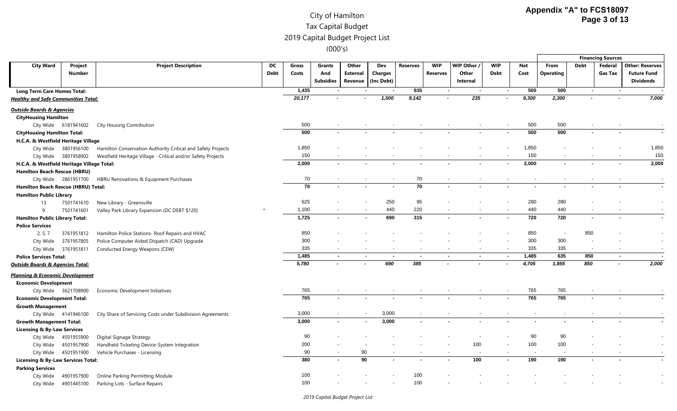|                                                                      |                      |                                                              |             |        |                          |                 |            |                 |                          |           |                          |       |                  |                          | <b>Financing Sources</b> |                        |
|----------------------------------------------------------------------|----------------------|--------------------------------------------------------------|-------------|--------|--------------------------|-----------------|------------|-----------------|--------------------------|-----------|--------------------------|-------|------------------|--------------------------|--------------------------|------------------------|
| <b>City Ward</b>                                                     | Project              | <b>Project Description</b>                                   | DC          | Gross  | <b>Grants</b>            | Other           | Dev        | <b>Reserves</b> | <b>WIP</b>               | WIP Other | <b>WIP</b>               | Net   | From             | <b>Debt</b>              | Federal                  | <b>Other: Reserves</b> |
|                                                                      | <b>Number</b>        |                                                              | <b>Debt</b> | Costs  | And                      | <b>External</b> | Charges    |                 | <b>Reserves</b>          | Other     | Debt                     | Cost  | <b>Operating</b> |                          | <b>Gas Tax</b>           | <b>Future Fund</b>     |
|                                                                      |                      |                                                              |             |        | <b>Subsidies</b>         | Revenue         | (Inc Debt) |                 |                          | Internal  |                          |       |                  |                          |                          | <b>Dividends</b>       |
| <b>Long Term Care Homes Total:</b>                                   |                      |                                                              |             | 1,435  |                          |                 |            | 935             |                          |           |                          | 500   | 500              |                          |                          |                        |
| <b>Healthy and Safe Communities Total:</b>                           |                      |                                                              |             | 20,177 |                          |                 | 1,500      | 9,142           |                          | 235       |                          | 9,300 | 2,300            |                          |                          | 7,000                  |
| <u> Outside Boards &amp; Agencies</u><br><b>CityHousing Hamilton</b> |                      |                                                              |             |        |                          |                 |            |                 |                          |           |                          |       |                  |                          |                          |                        |
|                                                                      | City Wide 6181941602 | <b>City Housing Contribution</b>                             |             | 500    | $\overline{\phantom{a}}$ |                 |            |                 | $\overline{\phantom{a}}$ |           | $\overline{\phantom{a}}$ | 500   | 500              |                          |                          |                        |
| <b>CityHousing Hamilton Total:</b>                                   |                      |                                                              |             | 500    |                          |                 |            |                 |                          |           |                          | 500   | 500              |                          |                          |                        |
| H.C.A. & Westfield Heritage Village                                  |                      |                                                              |             |        |                          |                 |            |                 |                          |           |                          |       |                  |                          |                          |                        |
|                                                                      | City Wide 3801956100 | Hamilton Conservation Authority Critical and Safety Projects |             | 1,850  |                          |                 |            |                 |                          |           |                          | 1,850 |                  |                          |                          | 1,850                  |
|                                                                      | City Wide 3801958902 | Westfield Heritage Village - Critical and/or Safety Projects |             | 150    |                          |                 |            |                 | $\overline{\phantom{a}}$ |           |                          | 150   |                  |                          | $\overline{\phantom{a}}$ | 150                    |
| H.C.A. & Westfield Heritage Village Total:                           |                      |                                                              |             | 2,000  |                          |                 |            |                 | $\blacksquare$           |           |                          | 2,000 | $\blacksquare$   |                          |                          | 2,000                  |
| <b>Hamilton Beach Rescue (HBRU)</b>                                  |                      |                                                              |             |        |                          |                 |            |                 |                          |           |                          |       |                  |                          |                          |                        |
|                                                                      | City Wide 2861951700 | HBRU Renovations & Equipment Purchases                       |             | 70     |                          |                 |            | 70              |                          |           |                          |       |                  |                          |                          |                        |
| Hamilton Beach Rescue (HBRU) Total:                                  |                      |                                                              |             | 70     |                          |                 |            | $\overline{70}$ | $\blacksquare$           |           |                          |       |                  |                          |                          |                        |
| <b>Hamilton Public Library</b>                                       |                      |                                                              |             |        |                          |                 |            |                 |                          |           |                          |       |                  |                          |                          |                        |
| 13                                                                   | 7501741610           | New Library - Greensville                                    |             | 625    |                          |                 | 250        | 95              |                          |           |                          | 280   | 280              |                          |                          |                        |
| 9                                                                    | 7501741601           | Valley Park Library Expansion (DC DEBT \$120)                |             | 1,100  |                          |                 | 440        | 220             |                          |           |                          | 440   | 440              |                          |                          |                        |
| <b>Hamilton Public Library Total:</b>                                |                      |                                                              |             | 1,725  | $\sim$                   | $\sim$          | 690        | 315             | $\sim$                   |           | $\sim$                   | 720   | 720              | $\blacksquare$           | $\sim$                   |                        |
| <b>Police Services</b>                                               |                      |                                                              |             |        |                          |                 |            |                 |                          |           |                          |       |                  |                          |                          |                        |
| 2, 5, 7                                                              | 3761951812           | Hamilton Police Stations- Roof Repairs and HVAC              |             | 850    |                          |                 |            |                 |                          |           |                          | 850   |                  | 850                      |                          |                        |
| City Wide                                                            | 3761957805           | Police Computer Aided Dispatch (CAD) Upgrade                 |             | 300    |                          |                 |            |                 |                          |           |                          | 300   | 300              |                          |                          |                        |
|                                                                      | City Wide 3761951811 | Conducted Energy Weapons (CEW)                               |             | 335    |                          |                 |            |                 |                          |           |                          | 335   | 335              | $\overline{\phantom{a}}$ |                          |                        |
| <b>Police Services Total:</b>                                        |                      |                                                              |             | 1,485  | $\blacksquare$           | $\sim$          |            |                 | $\sim$                   | $\sim$    |                          | 1,485 | 635              | 850                      |                          |                        |
| <u> Outside Boards &amp; Agencies Total:</u>                         |                      |                                                              |             | 5,780  |                          |                 | 690        | 385             |                          |           |                          | 4,705 | 1,855            | 850                      |                          | 2,000                  |
| Planning & Economic Development                                      |                      |                                                              |             |        |                          |                 |            |                 |                          |           |                          |       |                  |                          |                          |                        |
| <b>Economic Development</b>                                          |                      |                                                              |             |        |                          |                 |            |                 |                          |           |                          |       |                  |                          |                          |                        |
|                                                                      | City Wide 3621708900 | Economic Development Initiatives                             |             | 765    |                          |                 |            |                 |                          |           |                          | 765   | 765              |                          |                          |                        |
| <b>Economic Development Total:</b>                                   |                      |                                                              |             | 765    |                          |                 |            |                 |                          |           |                          | 765   | 765              |                          |                          |                        |
| <b>Growth Management</b>                                             |                      |                                                              |             |        |                          |                 |            |                 |                          |           |                          |       |                  |                          |                          |                        |
|                                                                      | City Wide 4141946100 | City Share of Servicing Costs under Subdivision Agreements   |             | 3,000  |                          |                 | 3,000      |                 |                          |           |                          |       |                  |                          |                          |                        |
| <b>Growth Management Total:</b>                                      |                      |                                                              |             | 3,000  |                          | $\sim$          | 3,000      |                 |                          |           |                          |       |                  |                          |                          |                        |
| <b>Licensing &amp; By-Law Services</b>                               |                      |                                                              |             |        |                          |                 |            |                 |                          |           |                          |       |                  |                          |                          |                        |
|                                                                      | City Wide 4501955900 | Digital Signage Strategy                                     |             | 90     |                          |                 |            |                 |                          |           |                          | 90    | 90               |                          |                          |                        |
|                                                                      | City Wide 4501957900 | Handheld Ticketing Device-System Integration                 |             | 200    |                          |                 |            |                 |                          | 100       |                          | 100   | 100              |                          |                          |                        |
|                                                                      | City Wide 4501951900 | Vehicle Purchases - Licensing                                |             | 90     |                          | 90              |            |                 |                          |           |                          |       |                  |                          |                          |                        |
| Licensing & By-Law Services Total:                                   |                      |                                                              |             | 380    |                          | 90              |            |                 |                          | 100       |                          | 190   | 190              |                          |                          |                        |
| <b>Parking Services</b>                                              |                      |                                                              |             |        |                          |                 |            |                 |                          |           |                          |       |                  |                          |                          |                        |
| City Wide                                                            | 4901957900           | Online Parking Permitting Module                             |             | 100    |                          |                 |            | 100             |                          |           |                          |       |                  |                          |                          |                        |
| City Wide                                                            | 4901445100           | Parking Lots - Surface Repairs                               |             | 100    |                          |                 |            | 100             |                          |           |                          |       |                  |                          |                          |                        |

*2019 Capital Budget Project List*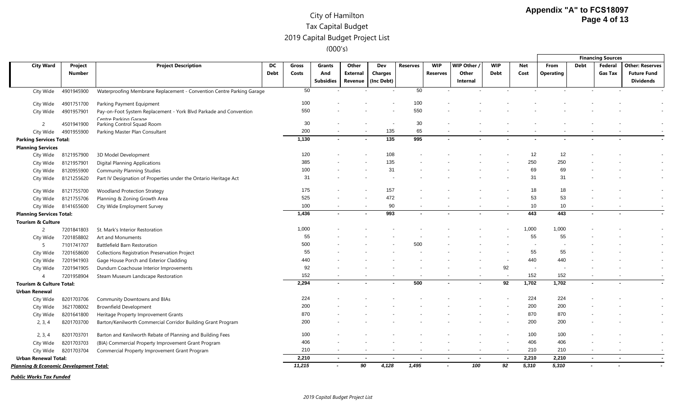|                                        |               |                                                                       |             |            |                          |          |                |                 |                          |                |             |            |                  |                          | <b>Financing Sources</b> |                        |
|----------------------------------------|---------------|-----------------------------------------------------------------------|-------------|------------|--------------------------|----------|----------------|-----------------|--------------------------|----------------|-------------|------------|------------------|--------------------------|--------------------------|------------------------|
| <b>City Ward</b>                       | Project       | <b>Project Description</b>                                            | DC          | Gross      | <b>Grants</b>            | Other    | Dev            | <b>Reserves</b> | <b>WIP</b>               | WIP Other      | <b>WIP</b>  | <b>Net</b> | From             | <b>Debt</b>              | Federal                  | <b>Other: Reserves</b> |
|                                        | <b>Number</b> |                                                                       | <b>Debt</b> | Costs      | And                      | External | <b>Charges</b> |                 | <b>Reserves</b>          | Other          | <b>Debt</b> | Cost       | <b>Operating</b> |                          | <b>Gas Tax</b>           | <b>Future Fund</b>     |
|                                        |               |                                                                       |             |            | <b>Subsidies</b>         | Revenue  | (Inc Debt)     |                 |                          | Internal       |             |            |                  |                          |                          | <b>Dividends</b>       |
| City Wide                              | 4901945900    | Waterproofing Membrane Replacement - Convention Centre Parking Garage |             | 50         |                          |          |                | 50              |                          |                |             |            |                  |                          |                          |                        |
| City Wide                              | 4901751700    | Parking Payment Equipment                                             |             | 100        |                          |          |                | 100             |                          |                |             |            |                  |                          |                          |                        |
| City Wide                              | 4901957901    | Pay-on-Foot System Replacement - York Blvd Parkade and Convention     |             | 550        |                          |          |                | 550             |                          |                |             |            |                  |                          |                          |                        |
|                                        |               | Contro Parking Garago                                                 |             |            |                          |          |                |                 |                          |                |             |            |                  |                          |                          |                        |
| $\overline{c}$                         | 4501941900    | Parking Control Squad Room                                            |             | 30         |                          |          |                | 30              |                          |                |             |            |                  |                          |                          |                        |
| City Wide                              | 4901955900    | Parking Master Plan Consultant                                        |             | 200        |                          |          | 135<br>135     | 65<br>995       | $\sim$                   |                |             |            |                  |                          |                          |                        |
| <b>Parking Services Total:</b>         |               |                                                                       |             | 1,130      |                          |          |                |                 |                          |                |             |            |                  |                          |                          |                        |
| <b>Planning Services</b>               |               |                                                                       |             |            |                          |          |                |                 |                          |                |             |            |                  |                          |                          |                        |
| City Wide                              | 8121957900    | 3D Model Development                                                  |             | 120<br>385 |                          |          | 108<br>135     |                 |                          |                |             | 12<br>250  | 12<br>250        |                          |                          |                        |
| City Wide                              | 8121957901    | <b>Digital Planning Applications</b>                                  |             | 100        |                          |          | 31             |                 |                          |                |             | 69         | 69               |                          |                          |                        |
| City Wide                              | 8120955900    | <b>Community Planning Studies</b>                                     |             | 31         |                          |          |                |                 |                          |                |             | 31         | 31               |                          |                          |                        |
| City Wide                              | 8121255620    | Part IV Designation of Properties under the Ontario Heritage Act      |             |            |                          |          |                |                 |                          |                |             |            |                  |                          |                          |                        |
| City Wide                              | 8121755700    | <b>Woodland Protection Strategy</b>                                   |             | 175        |                          |          | 157            |                 |                          |                |             | 18         | 18               |                          |                          |                        |
| City Wide                              | 8121755706    | Planning & Zoning Growth Area                                         |             | 525        |                          |          | 472            |                 |                          |                |             | 53         | 53               |                          |                          |                        |
| City Wide                              | 8141655600    | City Wide Employment Survey                                           |             | 100        |                          |          | 90             |                 |                          |                |             | 10         | 10               |                          |                          |                        |
| <b>Planning Services Total:</b>        |               |                                                                       |             | 1,436      | $\sim$                   |          | 993            |                 |                          |                |             | 443        | 443              |                          |                          |                        |
| <b>Tourism &amp; Culture</b>           |               |                                                                       |             |            |                          |          |                |                 |                          |                |             |            |                  |                          |                          |                        |
| $\overline{c}$                         | 7201841803    | St. Mark's Interior Restoration                                       |             | 1,000      |                          |          |                |                 |                          |                |             | 1,000      | 1,000            |                          |                          |                        |
| City Wide                              | 7201858802    | Art and Monuments                                                     |             | 55         |                          |          |                |                 |                          |                |             | 55         | 55               |                          |                          |                        |
| -5                                     | 7101741707    | Battlefield Barn Restoration                                          |             | 500        |                          |          |                | 500             |                          |                |             |            |                  |                          |                          |                        |
| City Wide                              | 7201658600    | Collections Registration Preservation Project                         |             | 55         |                          |          |                |                 |                          |                |             | 55         | 55               |                          |                          |                        |
| City Wide                              | 7201941903    | Gage House Porch and Exterior Cladding                                |             | 440        |                          |          |                |                 |                          |                |             | 440        | 440              |                          |                          |                        |
| City Wide                              | 7201941905    | Dundurn Coachouse Interior Improvements                               |             | 92         |                          |          |                |                 |                          |                | 92          |            |                  |                          |                          |                        |
| $\boldsymbol{\varLambda}$              | 7201958904    | Steam Museum Landscape Restoration                                    |             | 152        |                          |          |                |                 |                          |                |             | 152        | 152              |                          |                          |                        |
| Tourism & Culture Total:               |               |                                                                       |             | 2,294      |                          |          |                | 500             |                          |                | 92          | 1,702      | 1,702            |                          |                          |                        |
| <b>Urban Renewal</b>                   |               |                                                                       |             |            |                          |          |                |                 |                          |                |             |            |                  |                          |                          |                        |
| City Wide                              | 8201703706    | Community Downtowns and BIAs                                          |             | 224        |                          |          |                |                 |                          |                |             | 224        | 224              |                          |                          |                        |
| City Wide                              | 3621708002    | <b>Brownfield Development</b>                                         |             | 200        |                          |          |                |                 |                          |                |             | 200        | 200              |                          |                          |                        |
| City Wide                              | 8201641800    | Heritage Property Improvement Grants                                  |             | 870        |                          |          |                |                 |                          |                |             | 870        | 870              |                          |                          |                        |
| 2, 3, 4                                | 8201703700    | Barton/Kenilworth Commercial Corridor Building Grant Program          |             | 200        |                          |          |                |                 |                          |                |             | 200        | 200              |                          |                          |                        |
| 2, 3, 4                                | 8201703701    | Barton and Kenilworth Rebate of Planning and Building Fees            |             | 100        |                          |          |                |                 |                          |                |             | 100        | 100              |                          |                          |                        |
| City Wide                              | 8201703703    | (BIA) Commercial Property Improvement Grant Program                   |             | 406        |                          |          |                |                 |                          |                |             | 406        | 406              |                          |                          |                        |
| City Wide                              | 8201703704    | Commercial Property Improvement Grant Program                         |             | 210        |                          |          |                |                 | $\overline{\phantom{a}}$ |                |             | 210        | 210              |                          |                          |                        |
| <b>Urban Renewal Total:</b>            |               |                                                                       |             | 2,210      | $\overline{\phantom{a}}$ |          |                |                 | $\overline{a}$           | $\overline{a}$ |             | 2,210      | 2,210            | $\overline{\phantom{a}}$ | $\overline{\phantom{a}}$ |                        |
| Planning & Economic Development Total: |               |                                                                       |             | 11,215     | $\blacksquare$           | 90       | 4,128          | 1,495           | $\sim$                   | 100            | 92          | 5,310      | 5,310            |                          |                          |                        |

*Public Works Tax Funded*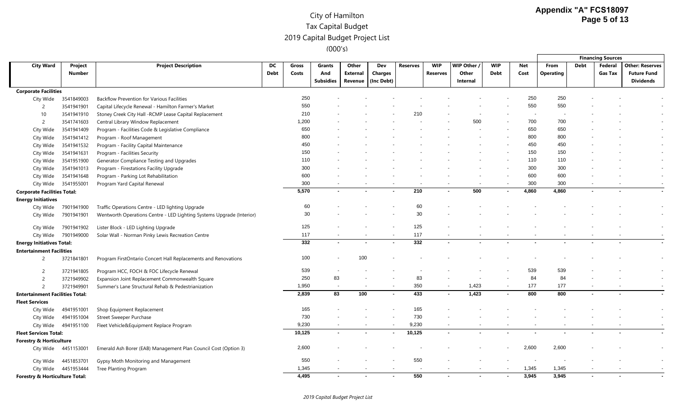|                                        |            |                                                                       |      |        |                  |          |                |          |            |             |            |            |                  |      | <b>Financing Sources</b> |                        |
|----------------------------------------|------------|-----------------------------------------------------------------------|------|--------|------------------|----------|----------------|----------|------------|-------------|------------|------------|------------------|------|--------------------------|------------------------|
| <b>City Ward</b>                       | Project    | <b>Project Description</b>                                            | DC   | Gross  | Grants           | Other    | Dev            | Reserves | <b>WIP</b> | WIP Other / | <b>WIP</b> | <b>Net</b> | From             | Debt | Federal                  | <b>Other: Reserves</b> |
|                                        | Number     |                                                                       | Debt | Costs  | And              | External | Charges        |          | Reserves   | Other       | Debt       | Cost       | <b>Operating</b> |      | <b>Gas Tax</b>           | <b>Future Fund</b>     |
|                                        |            |                                                                       |      |        | <b>Subsidies</b> | Revenue  | (Inc Debt)     |          |            | Internal    |            |            |                  |      |                          | <b>Dividends</b>       |
| <b>Corporate Facilities</b>            |            |                                                                       |      |        |                  |          |                |          |            |             |            |            |                  |      |                          |                        |
| City Wide                              | 3541849003 | <b>Backflow Prevention for Various Facilities</b>                     |      | 250    |                  |          |                |          |            |             |            | 250        | 250              |      |                          |                        |
| 2                                      | 3541941901 | Capital Lifecycle Renewal - Hamilton Farmer's Market                  |      | 550    |                  |          |                |          |            |             |            | 550        | 550              |      |                          |                        |
| 10                                     | 3541941910 | Stoney Creek City Hall -RCMP Lease Capital Replacement                |      | 210    |                  |          |                | 210      |            |             |            |            |                  |      |                          |                        |
| $\overline{c}$                         | 3541741603 | Central Library Window Replacement                                    |      | 1,200  |                  |          |                |          |            | 500         |            | 700        | 700              |      |                          |                        |
| City Wide                              | 3541941409 | Program - Facilities Code & Legislative Compliance                    |      | 650    |                  |          |                |          |            |             |            | 650        | 650              |      |                          |                        |
| City Wide                              | 3541941412 | Program - Roof Management                                             |      | 800    |                  |          |                |          |            |             |            | 800        | 800              |      |                          |                        |
| City Wide                              | 3541941532 | Program - Facility Capital Maintenance                                |      | 450    |                  |          |                |          |            |             |            | 450        | 450              |      |                          |                        |
| City Wide                              | 3541941631 | Program - Facilities Security                                         |      | 150    |                  |          |                |          |            |             |            | 150        | 150              |      |                          |                        |
| City Wide                              | 3541951900 | Generator Compliance Testing and Upgrades                             |      | 110    |                  |          |                |          |            |             |            | 110        | 110              |      |                          |                        |
| City Wide                              | 3541941013 | Program - Firestations Facility Upgrade                               |      | 300    |                  |          |                |          |            |             |            | 300        | 300              |      |                          |                        |
| City Wide                              | 3541941648 | Program - Parking Lot Rehabilitation                                  |      | 600    |                  |          |                |          |            |             |            | 600        | 600              |      |                          |                        |
| City Wide                              | 3541955001 | Program Yard Capital Renewal                                          |      | 300    |                  |          |                |          |            |             |            | 300        | 300              |      |                          |                        |
| <b>Corporate Facilities Total:</b>     |            |                                                                       |      | 5,570  |                  |          |                | 210      |            | 500         |            | 4,860      | 4,860            |      |                          |                        |
| <b>Energy Initiatives</b>              |            |                                                                       |      |        |                  |          |                |          |            |             |            |            |                  |      |                          |                        |
| City Wide                              | 7901941900 | Traffic Operations Centre - LED lighting Upgrade                      |      | 60     |                  |          |                | 60       |            |             |            |            |                  |      |                          |                        |
| City Wide                              | 7901941901 | Wentworth Operations Centre - LED Lighting Systems Upgrade (Interior) |      | 30     |                  |          |                | 30       |            |             |            |            |                  |      |                          |                        |
| City Wide                              | 7901941902 | Lister Block - LED Lighting Upgrade                                   |      | 125    |                  |          |                | 125      |            |             |            |            |                  |      |                          |                        |
| City Wide                              | 7901949000 | Solar Wall - Norman Pinky Lewis Recreation Centre                     |      | 117    |                  |          |                | 117      |            |             |            |            |                  |      |                          |                        |
| <b>Energy Initiatives Total:</b>       |            |                                                                       |      | 332    | $\blacksquare$   |          |                | 332      |            |             |            |            |                  |      |                          |                        |
| <b>Entertainment Facilities</b>        |            |                                                                       |      |        |                  |          |                |          |            |             |            |            |                  |      |                          |                        |
| 2                                      | 3721841801 | Program FirstOntario Concert Hall Replacements and Renovations        |      | 100    |                  | 100      |                |          |            |             |            |            |                  |      |                          |                        |
| -2                                     | 3721941805 | Program HCC, FOCH & FOC Lifecycle Renewal                             |      | 539    |                  |          |                |          |            |             |            | 539        | 539              |      |                          |                        |
| $\overline{c}$                         | 3721949902 | Expansion Joint Replacement Commonwealth Square                       |      | 250    | 83               |          |                | 83       |            |             |            | 84         | 84               |      |                          |                        |
| $\overline{c}$                         | 3721949901 | Summer's Lane Structural Rehab & Pedestrianization                    |      | 1,950  |                  |          |                | 350      |            | 1,423       |            | 177        | 177              |      |                          |                        |
| <b>Entertainment Facilities Total:</b> |            |                                                                       |      | 2,839  | 83               | 100      |                | 433      |            | 1,423       |            | 800        | 800              |      |                          |                        |
| <b>Fleet Services</b>                  |            |                                                                       |      |        |                  |          |                |          |            |             |            |            |                  |      |                          |                        |
| City Wide                              | 4941951001 | Shop Equipment Replacement                                            |      | 165    |                  |          |                | 165      |            |             |            |            |                  |      |                          |                        |
| City Wide                              | 4941951004 | <b>Street Sweeper Purchase</b>                                        |      | 730    |                  |          |                | 730      |            |             |            |            |                  |      |                          |                        |
| City Wide                              | 4941951100 | Fleet Vehicle&Equipment Replace Program                               |      | 9,230  |                  |          |                | 9,230    |            |             |            |            |                  |      |                          |                        |
| <b>Fleet Services Total:</b>           |            |                                                                       |      | 10,125 |                  |          |                | 10,125   |            |             |            |            |                  |      |                          |                        |
| <b>Forestry &amp; Horticulture</b>     |            |                                                                       |      |        |                  |          |                |          |            |             |            |            |                  |      |                          |                        |
| City Wide                              | 4451153001 | Emerald Ash Borer (EAB) Management Plan Council Cost (Option 3)       |      | 2,600  |                  |          |                |          |            |             |            | 2,600      | 2,600            |      |                          |                        |
| City Wide                              | 4451853701 | Gypsy Moth Monitoring and Management                                  |      | 550    |                  |          |                | 550      |            |             |            |            |                  |      |                          |                        |
| City Wide                              | 4451953444 | Tree Planting Program                                                 |      | 1,345  |                  |          |                |          |            |             |            | 1,345      | 1,345            |      |                          |                        |
| Forestry & Horticulture Total:         |            |                                                                       |      | 4,495  |                  |          | $\blacksquare$ | 550      |            |             |            | 3,945      | 3,945            |      |                          |                        |

#### *2019 Capital Budget Project List*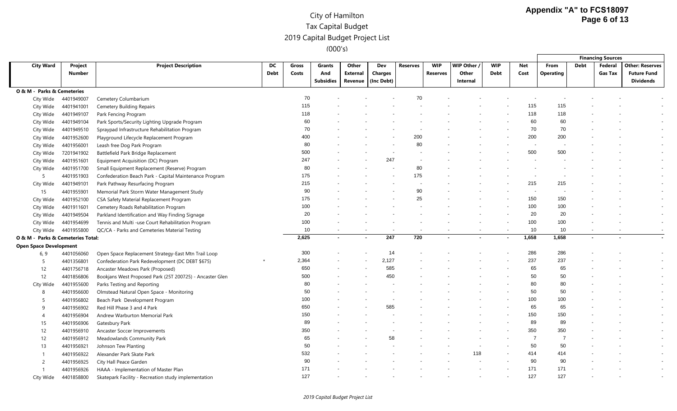|                                   |                   |                                                          |                   |                |                                   |                              |                              |                 |                        |                                |                           |             |                          |                          | <b>Financing Sources</b>  |                                                                  |
|-----------------------------------|-------------------|----------------------------------------------------------|-------------------|----------------|-----------------------------------|------------------------------|------------------------------|-----------------|------------------------|--------------------------------|---------------------------|-------------|--------------------------|--------------------------|---------------------------|------------------------------------------------------------------|
| <b>City Ward</b>                  | Project<br>Number | <b>Project Description</b>                               | DC<br><b>Debt</b> | Gross<br>Costs | Grants<br>And<br><b>Subsidies</b> | Other<br>External<br>Revenue | Dev<br>Charges<br>(Inc Debt) | <b>Reserves</b> | <b>WIP</b><br>Reserves | WIP Other<br>Other<br>Internal | <b>WIP</b><br><b>Debt</b> | Net<br>Cost | From<br><b>Operating</b> | Debt                     | Federal<br><b>Gas Tax</b> | <b>Other: Reserves</b><br><b>Future Fund</b><br><b>Dividends</b> |
| O & M - Parks & Cemeteries        |                   |                                                          |                   |                |                                   |                              |                              |                 |                        |                                |                           |             |                          |                          |                           |                                                                  |
| City Wide                         | 4401949007        | Cemetery Columbarium                                     |                   | 70             |                                   |                              |                              | 70              |                        |                                |                           |             |                          |                          |                           |                                                                  |
| City Wide                         | 4401941001        | <b>Cemetery Building Repairs</b>                         |                   | 115            |                                   |                              |                              |                 |                        |                                |                           | 115         | 115                      |                          |                           |                                                                  |
| City Wide                         | 4401949107        | Park Fencing Program                                     |                   | 118            |                                   |                              |                              |                 |                        |                                |                           | 118         | 118                      |                          |                           |                                                                  |
| City Wide                         | 4401949104        | Park Sports/Security Lighting Upgrade Program            |                   | 60             |                                   |                              |                              |                 |                        |                                |                           | 60          | 60                       |                          |                           |                                                                  |
| City Wide                         | 4401949510        | Spraypad Infrastructure Rehabilitation Program           |                   | 70             |                                   |                              |                              |                 |                        |                                |                           | 70          | 70                       |                          |                           |                                                                  |
| City Wide                         | 4401952600        | Playground Lifecycle Replacement Program                 |                   | 400            |                                   |                              |                              | 200             |                        |                                |                           | 200         | 200                      |                          |                           |                                                                  |
| City Wide                         | 4401956001        | Leash free Dog Park Program                              |                   | 80             |                                   |                              |                              | 80              |                        |                                |                           |             |                          |                          |                           |                                                                  |
| City Wide                         | 7201941902        | Battlefield Park Bridge Replacement                      |                   | 500            |                                   |                              |                              |                 |                        |                                |                           | 500         | 500                      |                          |                           |                                                                  |
| City Wide                         | 4401951601        | Equipment Acquisition (DC) Program                       |                   | 247            |                                   |                              | 247                          |                 |                        |                                |                           |             |                          |                          |                           |                                                                  |
| City Wide                         | 4401951700        | Small Equipment Replacement (Reserve) Program            |                   | 80             |                                   |                              |                              | 80              |                        |                                |                           |             |                          |                          |                           |                                                                  |
| 5                                 | 4401951903        | Confederation Beach Park - Capital Maintenance Program   |                   | 175            |                                   |                              |                              | 175             |                        |                                |                           |             |                          |                          |                           |                                                                  |
| City Wide                         | 4401949101        | Park Pathway Resurfacing Program                         |                   | 215            |                                   |                              |                              |                 |                        |                                |                           | 215         | 215                      |                          |                           |                                                                  |
| 15                                | 4401955901        | Memorial Park Storm Water Management Study               |                   | 90             |                                   |                              |                              | 90              |                        |                                |                           |             |                          |                          |                           |                                                                  |
| City Wide                         | 4401952100        | CSA Safety Material Replacement Program                  |                   | 175            |                                   |                              |                              | 25              |                        |                                |                           | 150         | 150                      |                          |                           |                                                                  |
| City Wide                         | 4401911601        | Cemetery Roads Rehabilitation Program                    |                   | 100            |                                   |                              |                              |                 |                        |                                |                           | 100         | 100                      |                          |                           |                                                                  |
| City Wide                         | 4401949504        | Parkland Identification and Way Finding Signage          |                   | 20             |                                   |                              |                              |                 |                        |                                |                           | 20          | 20                       |                          |                           |                                                                  |
| City Wide                         | 4401954699        | Tennis and Multi -use Court Rehabilitation Program       |                   | 100            |                                   |                              |                              |                 |                        |                                |                           | 100         | 100                      |                          |                           |                                                                  |
| City Wide                         | 4401955800        | QC/CA - Parks and Cemeteries Material Testing            |                   | 10             |                                   |                              |                              |                 |                        |                                | $\overline{\phantom{a}}$  | 10          | 10                       | $\overline{\phantom{a}}$ | $\overline{\phantom{a}}$  |                                                                  |
| O & M - Parks & Cemeteries Total: |                   |                                                          |                   | 2,625          |                                   |                              | 247                          | 720             |                        |                                |                           | 1,658       | 1,658                    |                          |                           |                                                                  |
| <b>Open Space Development</b>     |                   |                                                          |                   |                |                                   |                              |                              |                 |                        |                                |                           |             |                          |                          |                           |                                                                  |
| 6, 9                              | 4401056060        | Open Space Replacement Strategy-East Mtn Trail Loop      |                   | 300            |                                   |                              | 14                           |                 |                        |                                |                           | 286         | 286                      |                          |                           |                                                                  |
| .5                                | 4401356801        | Confederation Park Redevelopment (DC DEBT \$675)         |                   | 2,364          |                                   |                              | 2,127                        |                 |                        |                                |                           | 237         | 237                      |                          |                           |                                                                  |
| 12                                | 4401756718        | Ancaster Meadows Park (Proposed)                         |                   | 650            |                                   |                              | 585                          |                 |                        |                                |                           | 65          | 65                       |                          |                           |                                                                  |
| 12                                | 4401856806        | Bookjans West Proposed Park (25T 200725) - Ancaster Glen |                   | 500            |                                   |                              | 450                          |                 |                        |                                |                           | 50          | 50                       |                          |                           |                                                                  |
| City Wide                         | 4401955600        | Parks Testing and Reporting                              |                   | 80             |                                   |                              |                              |                 |                        |                                |                           | 80          | 80                       |                          |                           |                                                                  |
| 8                                 | 4401956600        | Olmstead Natural Open Space - Monitoring                 |                   | 50             |                                   |                              |                              |                 |                        |                                |                           | 50          | 50                       |                          |                           |                                                                  |
| -5                                | 4401956802        | Beach Park Development Program                           |                   | 100            |                                   |                              |                              |                 |                        |                                |                           | 100         | 100                      |                          |                           |                                                                  |
| 9                                 | 4401956902        | Red Hill Phase 3 and 4 Park                              |                   | 650            |                                   |                              | 585                          |                 |                        |                                |                           | 65          | 65                       |                          |                           |                                                                  |
| $\overline{4}$                    | 4401956904        | Andrew Warburton Memorial Park                           |                   | 150            |                                   |                              |                              |                 |                        |                                |                           | 150         | 150                      |                          |                           |                                                                  |
| 15                                | 4401956906        | Gatesbury Park                                           |                   | 89             |                                   |                              |                              |                 |                        |                                |                           | 89          | 89                       |                          |                           |                                                                  |
| 12                                | 4401956910        | Ancaster Soccer Improvements                             |                   | 350            |                                   |                              |                              |                 |                        |                                |                           | 350         | 350                      |                          |                           |                                                                  |
| 12                                | 4401956912        | Meadowlands Community Park                               |                   | 65             |                                   |                              | 58                           |                 |                        |                                |                           | -7          | 7                        |                          |                           |                                                                  |
| 13                                | 4401956921        | Johnson Tew Planting                                     |                   | 50             |                                   |                              |                              |                 |                        |                                |                           | 50          | 50                       |                          |                           |                                                                  |
|                                   | 4401956922        | Alexander Park Skate Park                                |                   | 532            |                                   |                              |                              |                 |                        | 118                            |                           | 414         | 414                      |                          |                           |                                                                  |
| $\overline{2}$                    | 4401956925        | City Hall Peace Garden                                   |                   | 90             |                                   |                              |                              |                 |                        |                                |                           | 90          | 90                       |                          |                           |                                                                  |
| $\mathbf{1}$                      | 4401956926        | HAAA - Implementation of Master Plan                     |                   | 171            |                                   |                              |                              |                 |                        |                                |                           | 171         | 171                      |                          |                           |                                                                  |
| City Wide                         | 4401858800        | Skatepark Facility - Recreation study implementation     |                   | 127            |                                   |                              |                              |                 |                        |                                |                           | 127         | 127                      |                          |                           |                                                                  |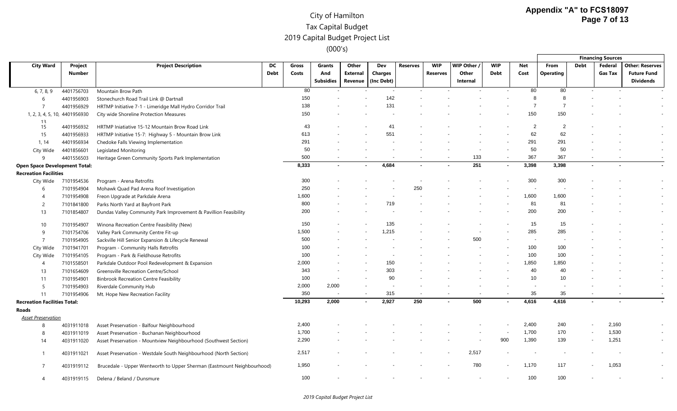|                                      |               |                                                                             |             |              |                  |                          |                          |                 |                |            |                          |              |                  |                          | <b>Financing Sources</b> |                          |
|--------------------------------------|---------------|-----------------------------------------------------------------------------|-------------|--------------|------------------|--------------------------|--------------------------|-----------------|----------------|------------|--------------------------|--------------|------------------|--------------------------|--------------------------|--------------------------|
| <b>City Ward</b>                     | Project       | <b>Project Description</b>                                                  | DC          | Gross        | <b>Grants</b>    | Other                    | Dev                      | <b>Reserves</b> | <b>WIP</b>     | WIP Other  | <b>WIP</b>               | <b>Net</b>   | <b>From</b>      | <b>Debt</b>              | Federal                  | <b>Other: Reserves</b>   |
|                                      | <b>Number</b> |                                                                             | <b>Debt</b> | Costs        | And              | <b>External</b>          | <b>Charges</b>           |                 | Reserves       | Other      | <b>Debt</b>              | Cost         | <b>Operating</b> |                          | <b>Gas Tax</b>           | <b>Future Fund</b>       |
|                                      |               |                                                                             |             |              | <b>Subsidies</b> | Revenue                  | (Inc Debt)               |                 |                | Internal   |                          |              |                  |                          |                          | <b>Dividends</b>         |
| 6, 7, 8, 9                           | 4401756703    | Mountain Brow Path                                                          |             | 80           |                  |                          |                          |                 |                |            |                          | 80           | 80               |                          |                          |                          |
| 6                                    | 4401956903    | Stonechurch Road Trail Link @ Dartnall                                      |             | 150          |                  |                          | 142                      |                 |                |            |                          | 8            | 8                |                          |                          |                          |
| $\overline{7}$                       | 4401956929    | HRTMP Initiative 7-1 - Limeridge Mall Hydro Corridor Trail                  |             | 138          |                  |                          | 131                      |                 |                |            |                          | -7           |                  |                          |                          |                          |
| 1, 2, 3, 4, 5, 10, 4401956930        |               | City wide Shoreline Protection Measures                                     |             | 150          |                  |                          |                          |                 |                |            |                          | 150          | 150              |                          |                          |                          |
| 13                                   |               |                                                                             |             | 43           |                  |                          | 4                        |                 |                |            |                          |              | 2                |                          |                          |                          |
| 15                                   | 4401956932    | HRTMP Iniatiative 15-12 Mountain Brow Road Link                             |             |              |                  |                          | 551                      |                 |                |            |                          | 62           | 62               |                          |                          |                          |
| 15                                   | 4401956933    | HRTMP Initiative 15-7: Highway 5 - Mountain Brow Link                       |             | 613<br>291   |                  |                          |                          |                 |                |            |                          |              |                  |                          |                          |                          |
| 1, 14                                | 4401956934    | Chedoke Falls Viewing Implementation                                        |             | 50           |                  |                          |                          |                 |                |            |                          | 291<br>50    | 291<br>50        |                          |                          |                          |
| City Wide                            | 4401856601    | Legislated Monitoring                                                       |             |              |                  |                          |                          |                 |                |            |                          |              |                  |                          |                          | $\overline{\phantom{a}}$ |
| 9                                    | 4401556503    | Heritage Green Community Sports Park Implementation                         |             | 500<br>8,333 |                  |                          | 4,684                    |                 |                | 133<br>251 | $\overline{\phantom{a}}$ | 367<br>3,398 | 367              |                          |                          |                          |
| <b>Open Space Development Total:</b> |               |                                                                             |             |              |                  |                          |                          |                 |                |            | $\sim$                   |              | 3,398            | $\blacksquare$           |                          |                          |
| <b>Recreation Facilities</b>         | 7101954536    | Program - Arena Retrofits                                                   |             | 300          |                  |                          |                          |                 |                |            |                          | 300          | 300              |                          |                          |                          |
| City Wide                            | 7101954904    |                                                                             |             | 250          |                  |                          |                          | 250             |                |            |                          |              |                  |                          |                          |                          |
| -6                                   | 7101954908    | Mohawk Quad Pad Arena Roof Investigation<br>Freon Upgrade at Parkdale Arena |             | 1,600        |                  |                          |                          |                 |                |            |                          | 1,600        | 1,600            |                          |                          |                          |
|                                      |               |                                                                             |             | 800          |                  |                          | 719                      |                 |                |            |                          | 81           | 81               |                          |                          |                          |
| 2                                    | 7101841800    | Parks North Yard at Bayfront Park                                           |             | 200          |                  |                          |                          |                 |                |            |                          | 200          | 200              |                          |                          |                          |
| 13                                   | 7101854807    | Dundas Valley Community Park Improvement & Pavillion Feasibility            |             |              |                  |                          |                          |                 |                |            |                          |              |                  |                          |                          |                          |
| 10                                   | 7101954907    | Winona Recreation Centre Feasibility (New)                                  |             | 150          |                  |                          | 135                      |                 |                |            |                          | 15           | 15               |                          |                          |                          |
| -9                                   | 7101754706    | Valley Park Community Centre Fit-up                                         |             | 1,500        |                  |                          | 1,215                    |                 |                |            |                          | 285          | 285              |                          |                          |                          |
| $\overline{7}$                       | 7101954905    | Sackville Hill Senior Expansion & Lifecycle Renewal                         |             | 500          |                  |                          |                          |                 |                | 500        |                          |              |                  |                          |                          |                          |
| City Wide                            | 7101941701    | Program - Community Halls Retrofits                                         |             | 100          |                  |                          |                          |                 |                |            |                          | 100          | 100              |                          |                          |                          |
| City Wide                            | 7101954105    | Program - Park & Fieldhouse Retrofits                                       |             | 100          |                  |                          |                          |                 |                |            |                          | 100          | 100              |                          |                          |                          |
| 4                                    | 7101558501    | Parkdale Outdoor Pool Redevelopment & Expansion                             |             | 2,000        |                  |                          | 150                      |                 |                |            |                          | 1,850        | 1,850            |                          |                          |                          |
| 13                                   | 7101654609    | Greensville Recreation Centre/School                                        |             | 343          |                  |                          | 303                      |                 |                |            |                          | 40           | 40               |                          |                          |                          |
| 11                                   | 7101954901    | <b>Binbrook Recreation Centre Feasibility</b>                               |             | 100          |                  |                          | 90                       |                 |                |            |                          | 10           | 10               |                          |                          |                          |
| -5                                   | 7101954903    | Riverdale Community Hub                                                     |             | 2,000        | 2,000            |                          | $\overline{\phantom{a}}$ |                 |                |            |                          |              |                  |                          |                          |                          |
| 11                                   | 7101954906    | Mt. Hope New Recreation Facility                                            |             | 350          |                  | $\overline{\phantom{a}}$ | 315                      |                 |                |            |                          | 35           | 35               |                          |                          |                          |
| <b>Recreation Facilities Total:</b>  |               |                                                                             |             | 10,293       | 2,000            | $\sim$                   | 2,927                    | 250             | $\blacksquare$ | 500        | $\blacksquare$           | 4,616        | 4,616            | $\sim$                   |                          |                          |
| Roads                                |               |                                                                             |             |              |                  |                          |                          |                 |                |            |                          |              |                  |                          |                          |                          |
| <b>Asset Preservation</b>            |               |                                                                             |             |              |                  |                          |                          |                 |                |            |                          |              |                  |                          |                          |                          |
| 8                                    | 4031911018    | Asset Preservation - Balfour Neighbourhood                                  |             | 2,400        |                  |                          |                          |                 |                |            |                          | 2,400        | 240              |                          | 2,160                    |                          |
| 8                                    | 4031911019    | Asset Preservation - Buchanan Neighbourhood                                 |             | 1,700        |                  |                          |                          |                 |                |            |                          | 1,700        | 170              |                          | 1,530                    |                          |
| 14                                   | 4031911020    | Asset Preservation - Mountview Neighbourhood (Southwest Section)            |             | 2,290        |                  |                          |                          |                 |                |            | 900                      | 1,390        | 139              | $\overline{\phantom{a}}$ | 1,251                    |                          |
|                                      |               |                                                                             |             | 2,517        |                  |                          |                          |                 |                | 2,517      |                          |              |                  |                          |                          |                          |
|                                      | 4031911021    | Asset Preservation - Westdale South Neighbourhood (North Section)           |             |              |                  |                          |                          |                 |                |            |                          |              |                  |                          |                          |                          |
|                                      | 4031919112    | Brucedale - Upper Wentworth to Upper Sherman (Eastmount Neighbourhood)      |             | 1,950        |                  |                          |                          |                 |                | 780        |                          | 1,170        | 117              |                          | 1,053                    |                          |
| $\overline{4}$                       | 4031919115    | Delena / Beland / Dunsmure                                                  |             | 100          |                  |                          |                          |                 |                |            |                          | 100          | 100              |                          |                          |                          |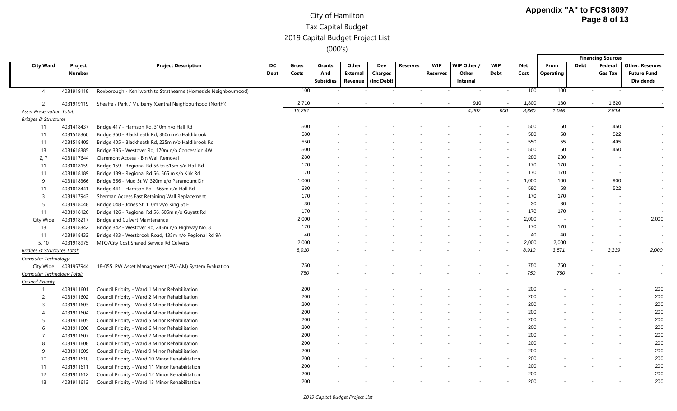|                                  |                          |                                                                 |                   |                |                          |                          |                |                          |                          |                          |                           |                    |                          |                          | <b>Financing Sources</b>  |                                              |
|----------------------------------|--------------------------|-----------------------------------------------------------------|-------------------|----------------|--------------------------|--------------------------|----------------|--------------------------|--------------------------|--------------------------|---------------------------|--------------------|--------------------------|--------------------------|---------------------------|----------------------------------------------|
| <b>City Ward</b>                 | Project<br><b>Number</b> | <b>Project Description</b>                                      | DC<br><b>Debt</b> | Gross<br>Costs | <b>Grants</b><br>And     | Other<br><b>External</b> | Dev<br>Charges | <b>Reserves</b>          | <b>WIP</b><br>Reserves   | WIP Other /<br>Other     | <b>WIP</b><br><b>Debt</b> | <b>Net</b><br>Cost | From<br><b>Operating</b> | <b>Debt</b>              | Federal<br><b>Gas Tax</b> | <b>Other: Reserves</b><br><b>Future Fund</b> |
|                                  |                          |                                                                 |                   |                | <b>Subsidies</b>         | Revenue                  | (Inc Debt)     |                          |                          | Internal                 |                           |                    |                          |                          |                           | <b>Dividends</b>                             |
| $\overline{4}$                   | 4031919118               | Roxborough - Kenilworth to Strathearne (Homeside Neighbourhood) |                   | 100            |                          |                          |                |                          |                          | $\overline{\phantom{a}}$ | $\blacksquare$            | 100                | 100                      | $\overline{\phantom{a}}$ |                           |                                              |
| 2                                | 4031919119               | Sheaffe / Park / Mulberry (Central Neighbourhood (North))       |                   | 2,710          | $\overline{\phantom{a}}$ |                          |                |                          |                          | 910                      | $\overline{\phantom{a}}$  | 1,800              | 180                      | $\overline{\phantom{a}}$ | 1,620                     |                                              |
| <b>Asset Preservation Total:</b> |                          |                                                                 |                   | 13,767         |                          |                          |                |                          |                          | 4,207                    | 900                       | 8,660              | 1,046                    | $\overline{\phantom{a}}$ | 7,614                     |                                              |
| <b>Bridges &amp; Structures</b>  |                          |                                                                 |                   |                |                          |                          |                |                          |                          |                          |                           |                    |                          |                          |                           |                                              |
| 11                               | 4031418437               | Bridge 417 - Harrison Rd, 310m n/o Hall Rd                      |                   | 500            |                          |                          |                |                          |                          |                          |                           | 500                | 50                       |                          | 450                       |                                              |
| 11                               | 4031518360               | Bridge 360 - Blackheath Rd, 360m n/o Haldibrook                 |                   | 580            |                          |                          |                |                          |                          |                          |                           | 580                | 58                       |                          | 522                       |                                              |
| 11                               | 4031518405               | Bridge 405 - Blackheath Rd, 225m n/o Haldibrook Rd              |                   | 550            |                          |                          |                |                          |                          |                          |                           | 550                | 55                       |                          | 495                       |                                              |
| 13                               | 4031618385               | Bridge 385 - Westover Rd, 170m n/o Concession 4W                |                   | 500            |                          |                          |                |                          |                          |                          |                           | 500                | 50                       |                          | 450                       |                                              |
| 2, 7                             | 4031817644               | Claremont Access - Bin Wall Removal                             |                   | 280            |                          |                          |                |                          |                          |                          |                           | 280                | 280                      |                          |                           |                                              |
| 11                               | 4031818159               | Bridge 159 - Regional Rd 56 to 615m s/o Hall Rd                 |                   | 170            |                          |                          |                |                          |                          |                          |                           | 170                | 170                      |                          |                           |                                              |
| 11                               | 4031818189               | Bridge 189 - Regional Rd 56, 565 m s/o Kirk Rd                  |                   | 170            |                          |                          |                |                          |                          |                          |                           | 170                | 170                      |                          | $\overline{\phantom{a}}$  |                                              |
| 9                                | 4031818366               | Bridge 366 - Mud St W, 320m e/o Paramount Dr                    |                   | 1,000          |                          |                          |                |                          |                          |                          |                           | 1,000              | 100                      |                          | 900                       |                                              |
| 11                               | 4031818441               | Bridge 441 - Harrison Rd - 665m n/o Hall Rd                     |                   | 580            |                          |                          |                |                          |                          |                          |                           | 580                | 58                       |                          | 522                       |                                              |
| $\overline{3}$                   | 4031917943               | Sherman Access East Retaining Wall Replacement                  |                   | 170            |                          |                          |                |                          |                          |                          |                           | 170                | 170                      |                          |                           |                                              |
| 5                                | 4031918048               | Bridge 048 - Jones St, 110m w/o King St E                       |                   | 30             |                          |                          |                |                          |                          |                          |                           | 30                 | 30                       |                          |                           | $\overline{\phantom{a}}$                     |
| 11                               | 4031918126               | Bridge 126 - Regional Rd 56, 605m n/o Guyatt Rd                 |                   | 170            |                          |                          |                |                          |                          |                          |                           | 170                | 170                      |                          |                           |                                              |
| City Wide                        | 4031918217               | <b>Bridge and Culvert Maintenance</b>                           |                   | 2,000          |                          |                          |                |                          |                          |                          |                           | 2,000              | $\overline{\phantom{a}}$ |                          |                           | 2,000                                        |
| 13                               | 4031918342               | Bridge 342 - Westover Rd, 245m n/o Highway No. 8                |                   | 170            |                          |                          |                |                          |                          |                          |                           | 170                | 170                      |                          |                           |                                              |
| 11                               | 4031918433               | Bridge 433 - Westbrook Road, 135m n/o Regional Rd 9A            |                   | 40             |                          |                          |                |                          |                          |                          |                           | 40                 | 40                       |                          |                           | $\overline{\phantom{a}}$                     |
| 5, 10                            | 4031918975               | MTO/City Cost Shared Service Rd Culverts                        |                   | 2,000          |                          |                          |                |                          |                          |                          |                           | 2,000              | 2,000                    |                          |                           |                                              |
| Bridges & Structures Total:      |                          |                                                                 |                   | 8,910          |                          |                          |                |                          |                          |                          | $\overline{\phantom{a}}$  | 8,910              | 3,571                    | $\sim$                   | 3,339                     | 2,000                                        |
| <b>Computer Technology</b>       |                          |                                                                 |                   |                |                          |                          |                |                          |                          |                          |                           |                    |                          |                          |                           |                                              |
| City Wide                        | 4031957944               | 18-055 PW Asset Management (PW-AM) System Evaluation            |                   | 750            | $\overline{\phantom{a}}$ | $\overline{\phantom{a}}$ | $\sim$         | $\overline{\phantom{0}}$ | $\overline{\phantom{a}}$ |                          | $\overline{\phantom{a}}$  | 750                | 750                      | $\overline{\phantom{a}}$ | $\overline{\phantom{a}}$  | $\overline{\phantom{a}}$                     |
| Computer Technology Total:       |                          |                                                                 |                   | 750            |                          |                          |                |                          |                          |                          |                           | 750                | 750                      |                          |                           |                                              |
| <b>Council Priority</b>          |                          |                                                                 |                   |                |                          |                          |                |                          |                          |                          |                           |                    |                          |                          |                           |                                              |
| $\overline{1}$                   | 4031911601               | Council Priority - Ward 1 Minor Rehabilitation                  |                   | 200            |                          |                          |                |                          |                          |                          |                           | 200                |                          |                          |                           | 200                                          |
| $\overline{2}$                   | 4031911602               | Council Priority - Ward 2 Minor Rehabilitation                  |                   | 200            |                          |                          |                |                          |                          |                          |                           | 200                |                          |                          |                           | 200                                          |
| $\overline{3}$                   | 4031911603               | Council Priority - Ward 3 Minor Rehabilitation                  |                   | 200            |                          |                          |                |                          |                          |                          |                           | 200                |                          |                          |                           | 200                                          |
| 4                                | 4031911604               | Council Priority - Ward 4 Minor Rehabilitation                  |                   | 200            |                          |                          |                |                          |                          |                          |                           | 200                |                          |                          |                           | 200                                          |
| 5                                | 4031911605               | Council Priority - Ward 5 Minor Rehabilitation                  |                   | 200            |                          |                          |                |                          |                          |                          |                           | 200                |                          |                          |                           | 200                                          |
| 6                                | 4031911606               | Council Priority - Ward 6 Minor Rehabilitation                  |                   | 200            |                          |                          |                |                          |                          |                          |                           | 200                |                          |                          |                           | 200                                          |
| $\overline{7}$                   | 4031911607               | Council Priority - Ward 7 Minor Rehabilitation                  |                   | 200            |                          |                          |                |                          |                          |                          |                           | 200                |                          |                          |                           | 200                                          |
| 8                                | 4031911608               | Council Priority - Ward 8 Minor Rehabilitation                  |                   | 200            |                          |                          |                |                          |                          |                          |                           | 200                |                          |                          |                           | 200                                          |
| 9                                | 4031911609               | Council Priority - Ward 9 Minor Rehabilitation                  |                   | 200            |                          |                          |                |                          |                          |                          |                           | 200                |                          |                          |                           | 200                                          |
| 10                               | 4031911610               | Council Priority - Ward 10 Minor Rehabilitation                 |                   | 200            |                          |                          |                |                          |                          |                          |                           | 200                |                          |                          |                           | 200                                          |
| 11                               | 4031911611               | Council Priority - Ward 11 Minor Rehabilitation                 |                   | 200            |                          |                          |                |                          |                          |                          |                           | 200                |                          |                          |                           | 200                                          |
| 12                               | 4031911612               | Council Priority - Ward 12 Minor Rehabilitation                 |                   | 200            |                          |                          |                |                          |                          |                          |                           | 200                |                          |                          |                           | 200                                          |
| 13                               | 4031911613               | Council Priority - Ward 13 Minor Rehabilitation                 |                   | 200            |                          |                          |                |                          |                          |                          |                           | 200                |                          |                          |                           | 200                                          |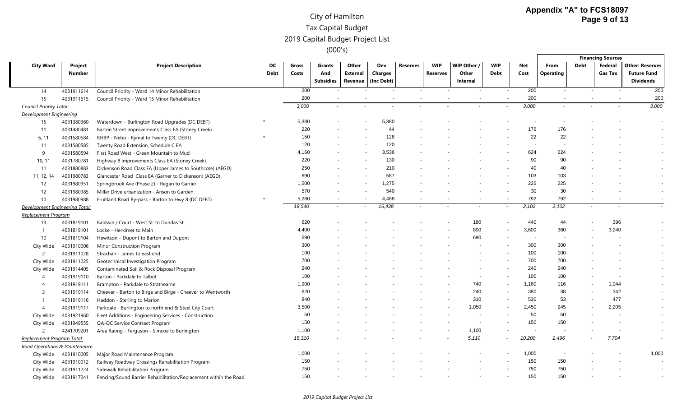|                                |               |                                                                  |             |        |                  |          |                |                 |                 |           |                          |        |                          |                | <b>Financing Sources</b> |                        |
|--------------------------------|---------------|------------------------------------------------------------------|-------------|--------|------------------|----------|----------------|-----------------|-----------------|-----------|--------------------------|--------|--------------------------|----------------|--------------------------|------------------------|
| <b>City Ward</b>               | Project       | <b>Project Description</b>                                       | DC.         | Gross  | Grants           | Other    | Dev            | <b>Reserves</b> | <b>WIP</b>      | WIP Other | <b>WIP</b>               | Net    | From                     | <b>Debt</b>    | Federal                  | <b>Other: Reserves</b> |
|                                | <b>Number</b> |                                                                  | <b>Debt</b> | Costs  | And              | External | <b>Charges</b> |                 | <b>Reserves</b> | Other     | <b>Debt</b>              | Cost   | <b>Operating</b>         |                | <b>Gas Tax</b>           | <b>Future Fund</b>     |
|                                |               |                                                                  |             |        | <b>Subsidies</b> | Revenue  | (Inc Debt)     |                 |                 | Internal  |                          |        |                          |                |                          | <b>Dividends</b>       |
| 14                             | 4031911614    | Council Priority - Ward 14 Minor Rehabilitation                  |             | 200    |                  |          |                |                 |                 |           |                          | 200    | $\overline{\phantom{a}}$ |                |                          | 200                    |
| 15                             | 4031911615    | Council Priority - Ward 15 Minor Rehabilitation                  |             | 200    |                  |          |                |                 |                 |           |                          | 200    |                          |                |                          | 200                    |
| <b>Council Priority Total:</b> |               |                                                                  |             | 3,000  |                  |          |                |                 |                 |           |                          | 3,000  |                          |                |                          | 3,000                  |
| Development Engineering        |               |                                                                  |             |        |                  |          |                |                 |                 |           |                          |        |                          |                |                          |                        |
| 15                             | 4031380360    | Waterdown - Burlington Road Upgrades (DC DEBT)                   |             | 5,380  |                  |          | 5,380          |                 |                 |           |                          |        |                          |                |                          |                        |
| 11                             | 4031480481    | Barton Street Improvements Class EA (Stoney Creek)               |             | 220    |                  |          | 44             |                 |                 |           |                          | 176    | 176                      |                |                          |                        |
| 6, 11                          | 4031580584    | RHBP - Nebo - Rymal to Twenty (DC DEBT)                          |             | 150    |                  |          | 128            |                 |                 |           |                          | 22     | 22                       |                |                          |                        |
| 11                             | 4031580585    | Twenty Road Extension, Schedule C EA                             |             | 120    |                  |          | 120            |                 |                 |           |                          |        |                          |                |                          |                        |
| 9                              | 4031580594    | First Road West - Green Mountain to Mud                          |             | 4,160  |                  |          | 3,536          |                 |                 |           |                          | 624    | 624                      |                |                          |                        |
| 10, 11                         | 4031780781    | Highway 8 Improvements Class EA (Stoney Creek)                   |             | 220    |                  |          | 130            |                 |                 |           |                          | 90     | 90                       |                |                          |                        |
| 11                             | 4031880883    | Dickenson Road Class EA (Upper James to Southcote) (AEGD)        |             | 250    |                  |          | 210            |                 |                 |           |                          | 40     | 40                       |                |                          |                        |
| 11, 12, 14                     | 4031980783    | Glancaster Road Class EA (Garner to Dickenson) (AEGD)            |             | 690    |                  |          | 587            |                 |                 |           |                          | 103    | 103                      |                |                          |                        |
| 12                             | 4031980951    | Springbrook Ave (Phase 2) - Regan to Garner                      |             | 1,500  |                  |          | 1,275          |                 |                 |           |                          | 225    | 225                      |                |                          |                        |
| 12                             | 4031980985    | Miller Drive urbanization - Anson to Garden                      |             | 570    |                  |          | 540            |                 |                 |           |                          | 30     | 30                       |                |                          |                        |
| 10 <sup>°</sup>                | 4031980988    | Fruitland Road By-pass - Barton to Hwy 8 (DC DEBT)               |             | 5,280  |                  |          | 4,488          |                 |                 |           |                          | 792    | 792                      |                |                          |                        |
| Development Engineering Total: |               |                                                                  |             | 18,540 |                  |          | 16,438         |                 |                 |           |                          | 2,102  | 2,102                    |                |                          |                        |
| Replacement Program            |               |                                                                  |             |        |                  |          |                |                 |                 |           |                          |        |                          |                |                          |                        |
| 13                             | 4031819101    | Baldwin / Court - West St. to Dundas St.                         |             | 620    |                  |          |                |                 |                 | 180       |                          | 440    | 44                       |                | 396                      |                        |
| $\overline{1}$                 | 4031819101    | Locke - Herkimer to Main                                         |             | 4,400  |                  |          |                |                 |                 | 800       |                          | 3,600  | 360                      |                | 3,240                    |                        |
| 10                             | 4031819104    | Hewitson - Dupont to Barton and Dupont                           |             | 690    |                  |          |                |                 |                 | 690       |                          |        |                          |                |                          |                        |
| City Wide                      | 4031910006    | Minor Construction Program                                       |             | 300    |                  |          |                |                 |                 |           |                          | 300    | 300                      |                |                          |                        |
| $\overline{2}$                 | 4031911028    | Strachan - James to east end                                     |             | 100    |                  |          |                |                 |                 |           |                          | 100    | 100                      |                |                          |                        |
| City Wide                      | 4031911225    | Geotechnical Investigation Program                               |             | 700    |                  |          |                |                 |                 |           |                          | 700    | 700                      |                |                          |                        |
| City Wide                      | 4031914405    | Contaminated Soil & Rock Disposal Program                        |             | 240    |                  |          |                |                 |                 |           |                          | 240    | 240                      |                |                          |                        |
| $\overline{4}$                 | 4031919110    | Barton - Parkdale to Talbot                                      |             | 100    |                  |          |                |                 |                 |           |                          | 100    | 100                      |                |                          |                        |
| $\overline{4}$                 | 4031919111    | Brampton - Parkdale to Strathearne                               |             | 1,900  |                  |          |                |                 |                 | 740       | $\blacksquare$           | 1,160  | 116                      | $\blacksquare$ | 1,044                    |                        |
| -3                             | 4031919114    | Cheever - Barton to Birge and Birge - Cheever to Wentworth       |             | 620    |                  |          |                |                 |                 | 240       |                          | 380    | 38                       |                | 342                      |                        |
| -1                             | 4031919116    | Haddon - Sterling to Marion                                      |             | 840    |                  |          |                |                 |                 | 310       | $\overline{\phantom{a}}$ | 530    | 53                       |                | 477                      |                        |
| $\boldsymbol{\varDelta}$       | 4031919117    | Parkdale - Burlington to north end & Steel City Court            |             | 3,500  |                  |          |                |                 |                 | 1,050     |                          | 2,450  | 245                      |                | 2,205                    |                        |
| City Wide                      | 4031921960    | Fleet Additions - Engineering Services - Construction            |             | 50     |                  |          |                |                 |                 |           |                          | 50     | 50                       |                |                          |                        |
| City Wide                      | 4031949555    | QA-QC Service Contract Program                                   |             | 150    |                  |          |                |                 |                 |           |                          | 150    | 150                      |                |                          |                        |
| $\overline{2}$                 | 4241709201    | Area Rating - Ferguson - Simcoe to Burlington                    |             | 1,100  |                  |          |                |                 |                 | 1,100     |                          |        |                          |                |                          |                        |
| Replacement Program Total:     |               |                                                                  |             | 15,310 |                  |          |                |                 |                 | 5,110     |                          | 10,200 | 2,496                    |                | 7,704                    |                        |
| Road Operations & Maintenance  |               |                                                                  |             |        |                  |          |                |                 |                 |           |                          |        |                          |                |                          |                        |
| City Wide                      | 4031910005    | Major Road Maintenance Program                                   |             | 1,000  |                  |          |                |                 |                 |           |                          | 1,000  |                          |                |                          | 1,000                  |
| City Wide                      | 4031910012    | Railway Roadway Crossings Rehabilitation Program                 |             | 150    |                  |          |                |                 |                 |           |                          | 150    | 150                      |                |                          |                        |
| City Wide                      | 4031911224    | Sidewalk Rehabilitation Program                                  |             | 750    |                  |          |                |                 |                 |           |                          | 750    | 750                      |                |                          |                        |
| City Wide                      | 4031917241    | Fencing/Sound Barrier Rehabilitation/Replacement within the Road |             | 150    |                  |          |                |                 |                 |           |                          | 150    | 150                      |                |                          |                        |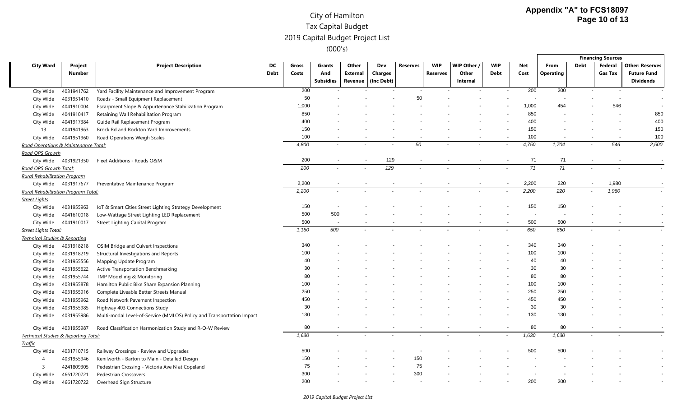|                                            |                          |                                                                       |                   |                |                                   |                                     |                                     |                 |                               |                                |                           |                    |                   |                          | <b>Financing Sources</b> |                                                                  |
|--------------------------------------------|--------------------------|-----------------------------------------------------------------------|-------------------|----------------|-----------------------------------|-------------------------------------|-------------------------------------|-----------------|-------------------------------|--------------------------------|---------------------------|--------------------|-------------------|--------------------------|--------------------------|------------------------------------------------------------------|
| <b>City Ward</b>                           | Project<br><b>Number</b> | <b>Project Description</b>                                            | DC<br><b>Debt</b> | Gross<br>Costs | Grants<br>And<br><b>Subsidies</b> | Other<br><b>External</b><br>Revenue | Dev<br><b>Charges</b><br>(Inc Debt) | <b>Reserves</b> | <b>WIP</b><br><b>Reserves</b> | WIP Other<br>Other<br>Internal | <b>WIP</b><br><b>Debt</b> | <b>Net</b><br>Cost | From<br>Operating | <b>Debt</b>              | Federal<br>Gas Tax       | <b>Other: Reserves</b><br><b>Future Fund</b><br><b>Dividends</b> |
| City Wide                                  | 4031941762               | Yard Facility Maintenance and Improvement Program                     |                   | 200            |                                   |                                     |                                     |                 |                               |                                |                           | 200                | 200               |                          |                          |                                                                  |
| City Wide                                  | 4031951410               | Roads - Small Equipment Replacement                                   |                   | 50             |                                   |                                     |                                     | 50              |                               |                                |                           |                    |                   |                          |                          |                                                                  |
| City Wide                                  | 4041910004               | Escarpment Slope & Appurtenance Stabilization Program                 |                   | 1,000          |                                   |                                     |                                     |                 |                               |                                |                           | 1,000              | 454               |                          | 546                      |                                                                  |
| City Wide                                  | 4041910417               | Retaining Wall Rehabilitation Program                                 |                   | 850            |                                   |                                     |                                     |                 |                               |                                |                           | 850                |                   |                          |                          | 850                                                              |
| City Wide                                  | 4041917384               | Guide Rail Replacement Program                                        |                   | 400            |                                   |                                     |                                     |                 |                               |                                |                           | 400                |                   |                          |                          | 400                                                              |
| 13                                         | 4041941963               | Brock Rd and Rockton Yard Improvements                                |                   | 150            |                                   |                                     |                                     |                 |                               |                                |                           | 150                |                   |                          |                          | 150                                                              |
| City Wide                                  | 4041951960               | Road Operations Weigh Scales                                          |                   | 100            |                                   |                                     |                                     |                 |                               |                                |                           | 100                |                   |                          |                          | 100                                                              |
| Road Operations & Maintenance Total:       |                          |                                                                       |                   | 4,800          |                                   |                                     |                                     | 50              |                               |                                |                           | 4,750              | 1,704             | $\overline{\phantom{a}}$ | 546                      | 2,500                                                            |
| Road OPS Growth                            |                          |                                                                       |                   |                |                                   |                                     |                                     |                 |                               |                                |                           |                    |                   |                          |                          |                                                                  |
|                                            | City Wide 4031921350     | Fleet Additions - Roads O&M                                           |                   | 200            |                                   |                                     | 129                                 |                 |                               |                                |                           | 71                 | 71                |                          |                          |                                                                  |
| Road OPS Growth Total:                     |                          |                                                                       |                   | 200            |                                   |                                     | $\overline{129}$                    |                 |                               |                                |                           | $\overline{71}$    | $\overline{71}$   |                          |                          |                                                                  |
| <b>Rural Rehabilitation Program</b>        |                          |                                                                       |                   |                |                                   |                                     |                                     |                 |                               |                                |                           |                    |                   |                          |                          |                                                                  |
|                                            | City Wide 4031917677     | Preventative Maintenance Program                                      |                   | 2,200          |                                   |                                     |                                     |                 |                               |                                |                           | 2,200              | 220               |                          | 1,980                    |                                                                  |
| <b>Rural Rehabilitation Program Total:</b> |                          |                                                                       |                   | 2,200          | $\tilde{\phantom{a}}$             |                                     |                                     |                 |                               |                                |                           | 2,200              | 220               | $\overline{\phantom{a}}$ | 1,980                    |                                                                  |
| <b>Street Lights</b>                       |                          |                                                                       |                   |                |                                   |                                     |                                     |                 |                               |                                |                           |                    |                   |                          |                          |                                                                  |
| City Wide                                  | 4031955963               | IoT & Smart Cities Street Lighting Strategy Development               |                   | 150            |                                   |                                     |                                     |                 |                               |                                |                           | 150                | 150               |                          |                          |                                                                  |
| City Wide                                  | 4041610018               | Low-Wattage Street Lighting LED Replacement                           |                   | 500            | 500                               |                                     |                                     |                 |                               |                                |                           |                    |                   |                          |                          |                                                                  |
| City Wide                                  | 4041910017               | Street Lighting Capital Program                                       |                   | 500            |                                   |                                     |                                     |                 |                               |                                |                           | 500                | 500               |                          |                          |                                                                  |
| <b>Street Lights Total:</b>                |                          |                                                                       |                   | 1,150          | 500                               |                                     |                                     |                 |                               |                                |                           | 650                | 650               |                          |                          |                                                                  |
| <b>Technical Studies &amp; Reporting</b>   |                          |                                                                       |                   |                |                                   |                                     |                                     |                 |                               |                                |                           |                    |                   |                          |                          |                                                                  |
| City Wide                                  | 4031918218               | OSIM Bridge and Culvert Inspections                                   |                   | 340            |                                   |                                     |                                     |                 |                               |                                |                           | 340                | 340               |                          |                          |                                                                  |
| City Wide                                  | 4031918219               | Structural Investigations and Reports                                 |                   | 100            |                                   |                                     |                                     |                 |                               |                                |                           | 100                | 100               |                          |                          |                                                                  |
| City Wide                                  | 4031955556               | Mapping Update Program                                                |                   | 40             |                                   |                                     |                                     |                 |                               |                                |                           | 40                 | 40                |                          |                          |                                                                  |
| City Wide                                  | 4031955622               | Active Transportation Benchmarking                                    |                   | 30             |                                   |                                     |                                     |                 |                               |                                |                           | 30                 | 30                |                          |                          |                                                                  |
| City Wide                                  | 4031955744               | TMP Modelling & Monitoring                                            |                   | 80             |                                   |                                     |                                     |                 |                               |                                |                           | 80                 | 80                |                          |                          |                                                                  |
| City Wide                                  | 4031955878               | Hamilton Public Bike Share Expansion Planning                         |                   | 100            |                                   |                                     |                                     |                 |                               |                                |                           | 100                | 100               |                          |                          |                                                                  |
| City Wide                                  | 4031955916               | Complete Liveable Better Streets Manual                               |                   | 250            |                                   |                                     |                                     |                 |                               |                                |                           | 250                | 250               |                          |                          |                                                                  |
| City Wide                                  | 4031955962               | Road Network Pavement Inspection                                      |                   | 450            |                                   |                                     |                                     |                 |                               |                                |                           | 450                | 450               |                          |                          |                                                                  |
| City Wide                                  | 4031955985               | Highway 403 Connections Study                                         |                   | 30             |                                   |                                     |                                     |                 |                               |                                |                           | 30                 | 30                |                          |                          |                                                                  |
| City Wide                                  | 4031955986               | Multi-modal Level-of-Service (MMLOS) Policy and Transportation Impact |                   | 130            |                                   |                                     |                                     |                 |                               |                                |                           | 130                | 130               |                          |                          |                                                                  |
| City Wide                                  | 4031955987               | Road Classification Harmonization Study and R-O-W Review              |                   | 80             |                                   |                                     |                                     |                 |                               |                                |                           | 80                 | 80                |                          |                          |                                                                  |
| Technical Studies & Reporting Total:       |                          |                                                                       |                   | 1,630          |                                   |                                     |                                     |                 |                               |                                |                           | 1,630              | 1,630             |                          |                          |                                                                  |
| <b>Traffic</b>                             |                          |                                                                       |                   |                |                                   |                                     |                                     |                 |                               |                                |                           |                    |                   |                          |                          |                                                                  |
| City Wide                                  | 4031710715               | Railway Crossings - Review and Upgrades                               |                   | 500            |                                   |                                     |                                     |                 |                               |                                |                           | 500                | 500               |                          |                          |                                                                  |
| $\overline{4}$                             | 4031955946               | Kenilworth - Barton to Main - Detailed Design                         |                   | 150            |                                   |                                     |                                     | 150             |                               |                                |                           |                    |                   |                          |                          |                                                                  |
| 3                                          | 4241809305               | Pedestrian Crossing - Victoria Ave N at Copeland                      |                   | 75             |                                   |                                     |                                     | 75              |                               |                                |                           |                    |                   |                          |                          |                                                                  |
| City Wide                                  | 4661720721               | <b>Pedestrian Crossovers</b>                                          |                   | 300            |                                   |                                     |                                     | 300             |                               |                                |                           |                    |                   |                          |                          |                                                                  |
| City Wide                                  | 4661720722               | Overhead Sign Structure                                               |                   | 200            |                                   |                                     |                                     |                 |                               |                                |                           | 200                | 200               |                          |                          |                                                                  |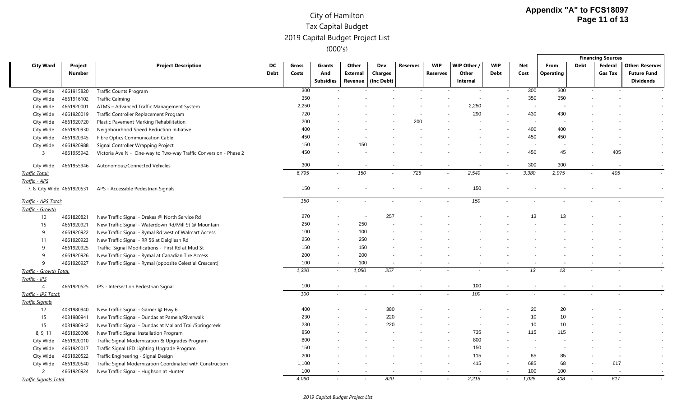|                                             |                          |                                                                  |                   |                |                                   |                              |                                     |          |                               |                                |                           |                          |                          |                          | <b>Financing Sources</b> |                                                                  |
|---------------------------------------------|--------------------------|------------------------------------------------------------------|-------------------|----------------|-----------------------------------|------------------------------|-------------------------------------|----------|-------------------------------|--------------------------------|---------------------------|--------------------------|--------------------------|--------------------------|--------------------------|------------------------------------------------------------------|
| <b>City Ward</b>                            | Project<br><b>Number</b> | <b>Project Description</b>                                       | DC<br><b>Debt</b> | Gross<br>Costs | Grants<br>And<br><b>Subsidies</b> | Other<br>External<br>Revenue | Dev<br><b>Charges</b><br>(Inc Debt) | Reserves | <b>WIP</b><br><b>Reserves</b> | WIP Other<br>Other<br>Internal | <b>WIP</b><br><b>Debt</b> | <b>Net</b><br>Cost       | From<br><b>Operating</b> | <b>Debt</b>              | Federal<br>Gas Tax       | <b>Other: Reserves</b><br><b>Future Fund</b><br><b>Dividends</b> |
| City Wide                                   | 4661915820               | <b>Traffic Counts Program</b>                                    |                   | 300            |                                   |                              |                                     |          |                               |                                |                           | 300                      | 300                      |                          |                          |                                                                  |
| City Wide                                   | 4661916102               | <b>Traffic Calming</b>                                           |                   | 350            |                                   |                              |                                     |          |                               |                                |                           | 350                      | 350                      |                          |                          |                                                                  |
| City Wide                                   | 4661920001               | ATMS - Advanced Traffic Management System                        |                   | 2,250          |                                   |                              |                                     |          |                               | 2.250                          |                           |                          |                          |                          |                          |                                                                  |
| City Wide                                   | 4661920019               | Traffic Controller Replacement Program                           |                   | 720            |                                   |                              |                                     |          |                               | 290                            |                           | 430                      | 430                      |                          |                          |                                                                  |
| City Wide                                   | 4661920720               | Plastic Pavement Marking Rehabilitation                          |                   | 200            |                                   |                              |                                     | 200      |                               |                                |                           |                          |                          |                          |                          |                                                                  |
| City Wide                                   | 4661920930               | Neighbourhood Speed Reduction Initiative                         |                   | 400            |                                   |                              |                                     |          |                               |                                |                           | 400                      | 400                      |                          |                          |                                                                  |
| City Wide                                   | 4661920945               | Fibre Optics Communication Cable                                 |                   | 450            |                                   |                              |                                     |          |                               |                                |                           | 450                      | 450                      |                          |                          |                                                                  |
| City Wide                                   | 4661920988               | Signal Controller Wrapping Project                               |                   | 150            |                                   | 150                          |                                     |          |                               |                                |                           |                          |                          |                          |                          |                                                                  |
| 3                                           | 4661955942               | Victoria Ave N - One-way to Two-way Traffic Conversion - Phase 2 |                   | 450            |                                   |                              |                                     |          |                               |                                |                           | 450                      | 45                       |                          | 405                      |                                                                  |
| City Wide                                   | 4661955946               | Autonomous/Connected Vehicles                                    |                   | 300            |                                   |                              |                                     |          |                               |                                |                           | 300                      | 300                      |                          |                          |                                                                  |
| <b>Traffic Total:</b>                       |                          |                                                                  |                   | 6,795          | $\overline{\phantom{a}}$          | 150                          |                                     | 725      | $\overline{\phantom{a}}$      | 2,540                          | $\overline{\phantom{a}}$  | 3,380                    | 2,975                    | $\sim$                   | 405                      |                                                                  |
| Traffic - APS<br>7, 8, City Wide 4661920531 |                          | APS - Accessible Pedestrian Signals                              |                   | 150            |                                   |                              |                                     |          |                               | 150                            |                           |                          |                          |                          |                          |                                                                  |
| Traffic - APS Total:                        |                          |                                                                  |                   | 150            |                                   |                              |                                     |          |                               | 150                            |                           |                          |                          |                          |                          |                                                                  |
| Traffic - Growth                            |                          |                                                                  |                   |                |                                   |                              |                                     |          |                               |                                |                           |                          |                          |                          |                          |                                                                  |
| 10                                          | 4661820821               | New Traffic Signal - Drakes @ North Service Rd                   |                   | 270            |                                   |                              | 257                                 |          |                               |                                |                           | 13                       | 13                       |                          |                          |                                                                  |
| 15                                          | 4661920921               | New Traffic Signal - Waterdown Rd/Mill St @ Mountain             |                   | 250            |                                   | 250                          |                                     |          |                               |                                |                           |                          |                          |                          |                          |                                                                  |
| 9                                           | 4661920922               | New Traffic Signal - Rymal Rd west of Walmart Access             |                   | 100            |                                   | 100                          |                                     |          |                               |                                |                           |                          |                          |                          |                          |                                                                  |
| 11                                          | 4661920923               | New Traffic Signal - RR 56 at Dalgliesh Rd                       |                   | 250            |                                   | 250                          |                                     |          |                               |                                |                           |                          |                          |                          |                          |                                                                  |
| 9                                           | 4661920925               | Traffic Signal Modifications - First Rd at Mud St                |                   | 150            |                                   | 150                          |                                     |          |                               |                                |                           |                          |                          |                          |                          |                                                                  |
| 9                                           | 4661920926               | New Traffic Signal - Rymal at Canadian Tire Access               |                   | 200            |                                   | 200                          |                                     |          |                               |                                |                           |                          |                          |                          |                          |                                                                  |
| 9                                           | 4661920927               | New Traffic Signal - Rymal (opposite Celestial Crescent)         |                   | 100            |                                   | 100                          |                                     |          |                               |                                |                           |                          |                          |                          |                          |                                                                  |
| Traffic - Growth Total:                     |                          |                                                                  |                   | 1,320          | $\overline{\phantom{a}}$          | 1,050                        | 257                                 |          |                               |                                |                           | 13                       | 13                       |                          |                          |                                                                  |
| <u> Traffic - IPS</u>                       |                          |                                                                  |                   |                |                                   |                              |                                     |          |                               |                                |                           |                          |                          |                          |                          |                                                                  |
| $\overline{4}$                              | 4661920525               | IPS - Intersection Pedestrian Signal                             |                   | 100            |                                   |                              |                                     |          |                               | 100                            |                           |                          |                          |                          |                          |                                                                  |
| Traffic - IPS Total:                        |                          |                                                                  |                   | 100            |                                   |                              |                                     |          |                               | 100                            |                           |                          |                          |                          |                          |                                                                  |
| <b>Traffic Signals</b>                      |                          |                                                                  |                   |                |                                   |                              |                                     |          |                               |                                |                           |                          |                          |                          |                          |                                                                  |
| 12                                          | 4031980940               | New Traffic Signal - Garner @ Hwy 6                              |                   | 400            |                                   |                              | 380                                 |          |                               |                                |                           | 20                       | 20                       |                          |                          |                                                                  |
| 15                                          | 4031980941               | New Traffic Signal - Dundas at Pamela/Riverwalk                  |                   | 230            |                                   |                              | 220                                 |          |                               |                                |                           | 10                       | 10                       |                          |                          |                                                                  |
| 15                                          | 4031980942               | New Traffic Signal - Dundas at Mallard Trail/Springcreek         |                   | 230            |                                   |                              | 220                                 |          |                               |                                |                           | 10                       | 10                       |                          |                          |                                                                  |
| 8, 9, 11                                    | 4661920008               | New Traffic Signal Installation Program                          |                   | 850            |                                   |                              |                                     |          |                               | 735                            |                           | 115                      | 115                      |                          |                          |                                                                  |
| City Wide                                   | 4661920010               | Traffic Signal Modernization & Upgrades Program                  |                   | 800            |                                   |                              |                                     |          |                               | 800                            |                           |                          |                          |                          |                          |                                                                  |
| City Wide                                   | 4661920017               | Traffic Signal LED Lighting Upgrade Program                      |                   | 150            |                                   |                              |                                     |          |                               | 150                            |                           | $\overline{\phantom{a}}$ |                          |                          |                          |                                                                  |
| City Wide                                   | 4661920522               | Traffic Engineering - Signal Design                              |                   | 200            |                                   |                              |                                     |          |                               | 115                            |                           | 85                       | 85                       |                          |                          |                                                                  |
| City Wide                                   | 4661920540               | Traffic Signal Modernization Coordinated with Construction       |                   | 1,100          |                                   |                              |                                     |          |                               | 415                            |                           | 685                      | 68                       |                          | 617                      |                                                                  |
| $\overline{2}$                              | 4661920924               | New Traffic Signal - Hughson at Hunter                           |                   | 100            |                                   |                              |                                     |          |                               |                                |                           | 100                      | 100                      |                          |                          |                                                                  |
| Traffic Signals Total:                      |                          |                                                                  |                   | 4,060          |                                   |                              | 820                                 |          |                               | 2,215                          |                           | 1,025                    | 408                      | $\overline{\phantom{a}}$ | 617                      |                                                                  |

*2019 Capital Budget Project List*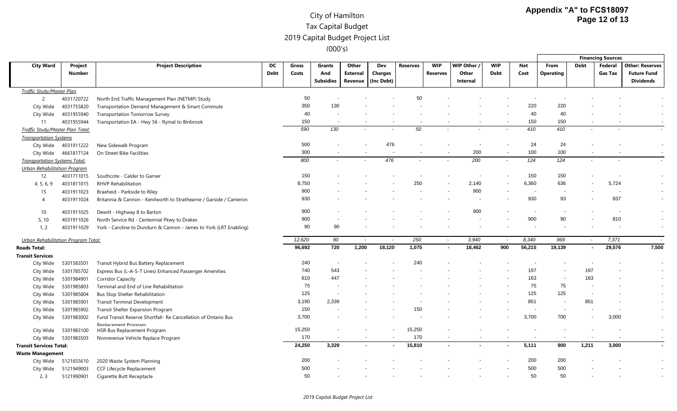|                                      |               |                                                                    |      |        |                  |                          |            |                 |                          |                  |                          |            |            |                          | <b>Financing Sources</b> |                          |
|--------------------------------------|---------------|--------------------------------------------------------------------|------|--------|------------------|--------------------------|------------|-----------------|--------------------------|------------------|--------------------------|------------|------------|--------------------------|--------------------------|--------------------------|
| <b>City Ward</b>                     | Project       | <b>Project Description</b>                                         | DC   | Gross  | Grants           | Other                    | Dev        | <b>Reserves</b> | <b>WIP</b>               | <b>WIP Other</b> | <b>WIP</b>               | <b>Net</b> | From       | <b>Debt</b>              | Federal                  | <b>Other: Reserves</b>   |
|                                      | <b>Number</b> |                                                                    | Debt | Costs  | And              | External                 | Charges    |                 | Reserves                 | Other            | <b>Debt</b>              | Cost       | Operating  |                          | <b>Gas Tax</b>           | <b>Future Fund</b>       |
|                                      |               |                                                                    |      |        | <b>Subsidies</b> | Revenue                  | (Inc Debt) |                 |                          | Internal         |                          |            |            |                          |                          | <b>Dividends</b>         |
| <b>Traffic Study/Master Plan</b>     |               |                                                                    |      |        |                  |                          |            |                 |                          |                  |                          |            |            |                          |                          |                          |
| $\overline{2}$                       | 4031720722    | North End Traffic Management Plan (NETMP) Study                    |      | 50     |                  |                          |            | 50              |                          |                  |                          |            |            |                          |                          |                          |
| City Wide                            | 4031755820    | Transportation Demand Management & Smart Commute                   |      | 350    | 130              |                          |            |                 |                          |                  |                          | 220        | 220        |                          |                          |                          |
| City Wide                            | 4031955940    | <b>Transportation Tomorrow Survey</b>                              |      | 40     |                  |                          |            |                 |                          |                  |                          | 40         | 40         |                          |                          |                          |
| 11                                   | 4031955944    | Transportation EA - Hwy 56 - Rymal to Binbrook                     |      | 150    |                  |                          |            |                 |                          |                  |                          | 150        | 150        |                          |                          |                          |
| Traffic Study/Master Plan Total:     |               |                                                                    |      | 590    | 130              |                          |            | 50              |                          |                  |                          | 410        | 410        |                          |                          |                          |
| <b>Transportation Systems</b>        |               |                                                                    |      |        |                  |                          |            |                 |                          |                  |                          |            |            |                          |                          |                          |
| City Wide                            | 4031911222    | New Sidewalk Program                                               |      | 500    |                  |                          | 476        |                 |                          |                  | $\overline{\phantom{a}}$ | 24         | 24         |                          |                          | $\overline{\phantom{a}}$ |
| City Wide                            | 4661817124    | On Street Bike Facilities                                          |      | 300    |                  |                          |            |                 |                          | 200              | $\overline{\phantom{a}}$ | 100        | 100        |                          |                          |                          |
| <b>Transportation Systems Total:</b> |               |                                                                    |      | 800    |                  | $\overline{\phantom{a}}$ | 476        |                 | $\overline{\phantom{a}}$ | 200              | $\overline{\phantom{a}}$ | 124        | 124        | $\overline{\phantom{a}}$ |                          |                          |
| <b>Urban Rehabilitation Program</b>  |               |                                                                    |      |        |                  |                          |            |                 |                          |                  |                          |            |            |                          |                          |                          |
| 12                                   | 4031711015    | Southcote - Calder to Garner                                       |      | 150    |                  |                          |            |                 |                          |                  |                          | 150        | 150        |                          |                          |                          |
| 4, 5, 6, 9                           | 4031811015    | <b>RHVP Rehabilitation</b>                                         |      | 8,750  |                  |                          |            | 250             |                          | 2,140            | $\overline{\phantom{a}}$ | 6,360      | 636        |                          | 5,724                    |                          |
| 15                                   | 4031911023    | Braeheid - Parkside to Riley                                       |      | 900    |                  |                          |            |                 |                          | 900              |                          |            |            |                          |                          |                          |
| $\overline{A}$                       | 4031911024    | Britannia & Cannon - Kenilworth to Strathearne / Garside / Cameron |      | 930    |                  |                          |            |                 |                          |                  |                          | 930        | 93         |                          | 837                      |                          |
| 10                                   | 4031911025    | Dewitt - Highway 8 to Barton                                       |      | 900    |                  |                          |            |                 |                          | 900              |                          |            |            |                          | $\overline{\phantom{a}}$ |                          |
| 5, 10                                | 4031911026    | North Service Rd - Centennial Pkwy to Drakes                       |      | 900    |                  |                          |            |                 |                          |                  |                          | 900        | 90         |                          | 810                      | $\overline{\phantom{a}}$ |
| 1, 2                                 | 4031911029    | York - Caroline to Dundurn & Cannon - James to York (LRT Enabling) |      | 90     | 90               |                          |            |                 |                          |                  |                          |            |            |                          |                          |                          |
| Urban Rehabilitation Program Total:  |               |                                                                    |      | 12,620 | 90               | $\tilde{\phantom{a}}$    |            | 250             | $\overline{\phantom{a}}$ | 3,940            | $\overline{\phantom{a}}$ | 8,340      | 969        | $\sim$                   | 7,371                    |                          |
| <b>Roads Total:</b>                  |               |                                                                    |      | 96,692 | 720              | 1,200                    | 18,120     | 1,075           |                          | 18,462           | 900                      | 56,215     | 19,139     | $\sim$                   | 29,576                   | 7,500                    |
| <b>Transit Services</b>              |               |                                                                    |      |        |                  |                          |            |                 |                          |                  |                          |            |            |                          |                          |                          |
| City Wide                            | 5301583501    | Transit Hybrid Bus Battery Replacement                             |      | 240    |                  |                          |            | 240             |                          |                  |                          |            |            |                          |                          |                          |
| City Wide                            | 5301785702    | Express Bus (L-A-S-T Lines) Enhanced Passenger Amenities           |      | 740    | 543              |                          |            |                 |                          |                  |                          | 197        |            | 197                      |                          |                          |
| City Wide                            | 5301984901    | <b>Corridor Capacity</b>                                           |      | 610    | 447              |                          |            |                 |                          |                  |                          | 163        |            | 163                      |                          |                          |
| City Wide                            | 5301985803    | Terminal and End of Line Rehabilitation                            |      | 75     |                  |                          |            |                 |                          |                  |                          | 75         | 75         | $\overline{\phantom{a}}$ |                          |                          |
| City Wide                            | 5301985804    | <b>Bus Stop Shelter Rehabilitation</b>                             |      | 125    |                  |                          |            |                 |                          |                  |                          | 125        | 125        |                          |                          |                          |
| City Wide                            | 5301985901    | <b>Transit Terminal Development</b>                                |      | 3,190  | 2,339            |                          |            |                 |                          |                  |                          | 851        |            | 851                      |                          |                          |
| City Wide                            | 5301985902    | Transit Shelter Expansion Program                                  |      | 150    |                  |                          |            | 150             |                          |                  |                          |            |            |                          |                          |                          |
| City Wide                            | 5301983002    | Fund Transit Reserve Shortfall- Re Cancellation of Ontario Bus     |      | 3,700  |                  |                          |            |                 |                          |                  |                          | 3,700      | 700        | $\overline{\phantom{a}}$ | 3,000                    |                          |
|                                      |               | Renlacement Program                                                |      |        |                  |                          |            |                 |                          |                  |                          |            |            |                          |                          |                          |
| City Wide                            | 5301983100    | HSR Bus Replacement Program                                        |      | 15,250 |                  |                          |            | 15,250          |                          |                  |                          |            |            |                          |                          | $\overline{\phantom{a}}$ |
| City Wide                            | 5301983503    | Nonrevenue Vehicle Replace Program                                 |      | 170    |                  | $\overline{\phantom{a}}$ |            | 170             |                          |                  |                          |            |            |                          |                          |                          |
| <b>Transit Services Total:</b>       |               |                                                                    |      | 24,250 | 3,329            | $\sim$                   |            | 15,810          | $\sim$                   |                  | ٠                        | 5,111      | 900        | 1,211                    | 3,000                    |                          |
| <b>Waste Management</b>              |               |                                                                    |      | 200    |                  |                          |            |                 |                          |                  |                          | 200        |            |                          |                          |                          |
| City Wide                            | 5121655610    | 2020 Waste System Planning                                         |      | 500    |                  |                          |            |                 |                          |                  |                          | 500        | 200<br>500 |                          |                          |                          |
| City Wide                            | 5121949003    | CCF Lifecycle Replacement                                          |      | 50     |                  |                          |            |                 |                          |                  |                          | 50         | 50         |                          |                          |                          |
| 2, 3                                 | 5121990901    | Cigarette Butt Receptacle                                          |      |        |                  |                          |            |                 |                          |                  |                          |            |            |                          |                          |                          |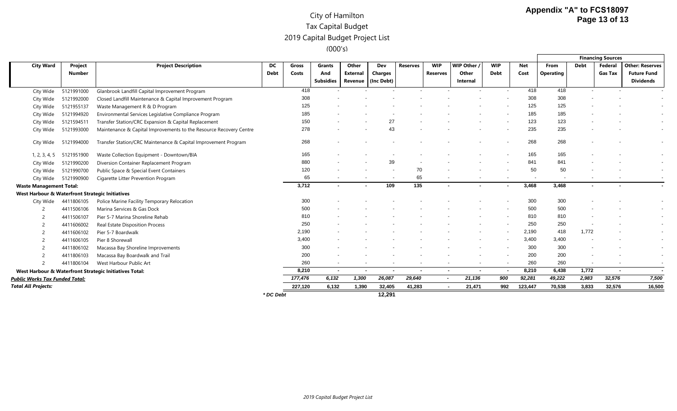|                                                 |               |                                                                    |             |         |                  |                 |                    |                 |                 |                          |                |         |                          |                          | <b>Financing Sources</b> |                        |
|-------------------------------------------------|---------------|--------------------------------------------------------------------|-------------|---------|------------------|-----------------|--------------------|-----------------|-----------------|--------------------------|----------------|---------|--------------------------|--------------------------|--------------------------|------------------------|
| <b>City Ward</b>                                | Project       | <b>Project Description</b>                                         | DC          | Gross   | Grants           | Other           | Dev                | <b>Reserves</b> | <b>WIP</b>      | WIP Other                | <b>WIP</b>     | Net     | From                     | <b>Debt</b>              | Federal                  | <b>Other: Reserves</b> |
|                                                 | <b>Number</b> |                                                                    | <b>Debt</b> | Costs   | And              | <b>External</b> | Charges            |                 | <b>Reserves</b> | Other                    | <b>Debt</b>    | Cost    | <b>Operating</b>         |                          | <b>Gas Tax</b>           | <b>Future Fund</b>     |
|                                                 |               |                                                                    |             |         | <b>Subsidies</b> |                 | Revenue (Inc Debt) |                 |                 | Internal                 |                |         |                          |                          |                          | <b>Dividends</b>       |
| City Wide                                       | 5121991000    | Glanbrook Landfill Capital Improvement Program                     |             | 418     |                  |                 |                    |                 |                 |                          |                | 418     | 418                      |                          |                          |                        |
| City Wide                                       | 5121992000    | Closed Landfill Maintenance & Capital Improvement Program          |             | 308     |                  |                 |                    |                 |                 |                          |                | 308     | 308                      |                          |                          |                        |
| City Wide                                       | 5121955137    | Waste Management R & D Program                                     |             | 125     |                  |                 |                    |                 |                 |                          |                | 125     | 125                      |                          |                          |                        |
| City Wide                                       | 5121994920    | Environmental Services Legislative Compliance Program              |             | 185     |                  |                 |                    |                 |                 |                          |                | 185     | 185                      |                          |                          |                        |
| City Wide                                       | 5121594511    | Transfer Station/CRC Expansion & Capital Replacement               |             | 150     |                  |                 | 27                 |                 |                 |                          |                | 123     | 123                      |                          |                          |                        |
| City Wide                                       | 5121993000    | Maintenance & Capital Improvements to the Resource Recovery Centre |             | 278     |                  |                 | 43                 |                 |                 |                          |                | 235     | 235                      |                          |                          |                        |
| City Wide                                       | 5121994000    | Transfer Station/CRC Maintenance & Capital Improvement Program     |             | 268     |                  |                 |                    |                 |                 |                          |                | 268     | 268                      |                          |                          |                        |
| 1, 2, 3, 4, 5                                   | 5121951900    | Waste Collection Equipment - Downtown/BIA                          |             | 165     |                  |                 |                    |                 |                 |                          |                | 165     | 165                      |                          |                          |                        |
| City Wide                                       | 5121990200    | Diversion Container Replacement Program                            |             | 880     |                  |                 | 39                 |                 |                 |                          |                | 841     | 841                      |                          |                          |                        |
| City Wide                                       | 5121990700    | Public Space & Special Event Containers                            |             | 120     |                  |                 |                    | 70              |                 |                          |                | 50      | 50                       |                          |                          |                        |
| City Wide                                       | 5121990900    | Cigarette Litter Prevention Program                                |             | 65      |                  |                 |                    | 65              |                 |                          | $\sim$         |         | $\overline{\phantom{a}}$ |                          |                          |                        |
| <b>Waste Management Total:</b>                  |               |                                                                    |             | 3,712   | $\sim$           |                 | 109                | 135             | $\blacksquare$  |                          | $\blacksquare$ | 3,468   | 3,468                    |                          |                          |                        |
| West Harbour & Waterfront Strategic Initiatives |               |                                                                    |             |         |                  |                 |                    |                 |                 |                          |                |         |                          |                          |                          |                        |
| City Wide                                       | 4411806105    | Police Marine Facility Temporary Relocation                        |             | 300     |                  |                 |                    |                 |                 |                          |                | 300     | 300                      |                          |                          |                        |
|                                                 | 4411506106    | Marina Services & Gas Dock                                         |             | 500     |                  |                 |                    |                 |                 |                          |                | 500     | 500                      |                          |                          |                        |
| $\overline{c}$                                  | 4411506107    | Pier 5-7 Marina Shoreline Rehab                                    |             | 810     |                  |                 |                    |                 |                 |                          |                | 810     | 810                      |                          |                          |                        |
| -2                                              | 4411606002    | Real Estate Disposition Process                                    |             | 250     |                  |                 |                    |                 |                 |                          |                | 250     | 250                      |                          |                          |                        |
| $\overline{2}$                                  | 4411606102    | Pier 5-7 Boardwalk                                                 |             | 2,190   |                  |                 |                    |                 |                 |                          |                | 2,190   | 418                      | 1,772                    |                          |                        |
|                                                 | 4411606105    | Pier 8 Shorewall                                                   |             | 3,400   |                  |                 |                    |                 |                 |                          |                | 3,400   | 3,400                    |                          |                          |                        |
| -2                                              | 4411806102    | Macassa Bay Shoreline Improvements                                 |             | 300     |                  |                 |                    |                 |                 |                          |                | 300     | 300                      |                          |                          |                        |
| $\overline{\phantom{0}}$                        | 4411806103    | Macassa Bay Boardwalk and Trail                                    |             | 200     |                  |                 |                    |                 |                 |                          |                | 200     | 200                      |                          |                          |                        |
| $\overline{\phantom{0}}$                        | 4411806104    | West Harbour Public Art                                            |             | 260     |                  |                 |                    |                 |                 | $\overline{\phantom{0}}$ |                | 260     | 260                      | $\overline{\phantom{a}}$ |                          |                        |
|                                                 |               | West Harbour & Waterfront Strategic Initiatives Total:             |             | 8,210   | $\sim$           | $\sim$          | $\sim$             | $\sim$          |                 | $\sim$<br>$\sim$         | $\blacksquare$ | 8,210   | 6,438                    | 1,772                    | $\sim$                   |                        |
| <b>Public Works Tax Funded Total:</b>           |               |                                                                    |             | 177,476 | 6,132            | 1,300           | 26,087             | 29,640          | $\sim$          | 21,136                   | 900            | 92,281  | 49,222                   | 2,983                    | 32,576                   | 7,500                  |
| <b>Total All Projects:</b>                      |               |                                                                    |             | 227,120 | 6,132            | 1,390           | 32,405             | 41,283          |                 | 21,471                   | 992            | 123,447 | 70,538                   | 3,833                    | 32,576                   | 16,500                 |
|                                                 |               |                                                                    | * DC Debt   |         |                  |                 | 12,291             |                 |                 |                          |                |         |                          |                          |                          |                        |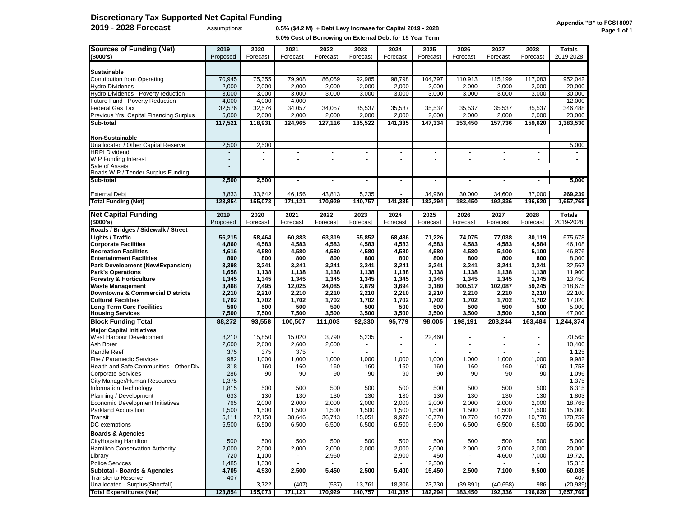# **Discretionary Tax Supported Net Capital Funding**

#### **2019 - 2028 Forecast** Assumptions: **0.5% (\$4.2 M) + Debt Levy Increase for Capital 2019 - 2028**

**5.0% Cost of Borrowing on External Debt for 15 Year Term**

| <b>Sources of Funding (Net)</b>             | 2019           | 2020         | 2021           | 2022           | 2023           | 2024                     | 2025           | 2026           | 2027           | 2028                 | <b>Totals</b>  |
|---------------------------------------------|----------------|--------------|----------------|----------------|----------------|--------------------------|----------------|----------------|----------------|----------------------|----------------|
| (\$000's)                                   | Proposed       | Forecast     | Forecast       | Forecast       | Forecast       | Forecast                 | Forecast       | Forecast       | Forecast       | Forecast             | 2019-2028      |
|                                             |                |              |                |                |                |                          |                |                |                |                      |                |
| <b>Sustainable</b>                          |                |              |                |                |                |                          |                |                |                |                      |                |
| Contribution from Operating                 | 70,945         | 75,355       | 79,908         | 86,059         | 92,985         | 98,798                   | 104,797        | 110,913        | 115,199        | 117,083              | 952,042        |
| <b>Hydro Dividends</b>                      | 2,000          | 2,000        | 2,000          | 2,000          | 2,000          | 2,000                    | 2,000          | 2,000          | 2,000          | 2,000                | 20,000         |
| Hydro Dividends - Poverty reduction         | 3,000          | 3,000        | 3,000          | 3,000          | 3,000          | 3,000                    | 3,000          | 3,000          | 3,000          | 3,000                | 30,000         |
|                                             |                |              |                |                |                |                          |                |                |                |                      |                |
| Future Fund - Poverty Reduction             | 4,000          | 4,000        | 4,000          |                |                |                          |                |                |                |                      | 12,000         |
| Federal Gas Tax                             | 32,576         | 32,576       | 34,057         | 34,057         | 35,537         | 35,537                   | 35,537         | 35,537         | 35,537         | 35,537               | 346,488        |
| Previous Yrs. Capital Financing Surplus     | 5,000          | 2,000        | 2,000          | 2,000          | 2,000          | 2,000                    | 2,000          | 2,000          | 2,000          | 2,000                | 23,000         |
| Sub-total                                   | 117,521        | 118,931      | 124,965        | 127,116        | 135,522        | 141,335                  | 147,334        | 153,450        | 157,736        | 159,620              | 1,383,530      |
|                                             |                |              |                |                |                |                          |                |                |                |                      |                |
| Non-Sustainable                             |                |              |                |                |                |                          |                |                |                |                      |                |
| Unallocated / Other Capital Reserve         | 2,500          | 2,500        |                |                |                |                          |                |                |                |                      | 5,000          |
| <b>HRPI Dividend</b>                        |                | $\mathbf{r}$ | $\blacksquare$ | $\blacksquare$ | $\blacksquare$ | $\blacksquare$           | $\blacksquare$ | $\blacksquare$ | $\sim$         | $\mathbf{r}$         | $\blacksquare$ |
| WIP Funding Interest                        | $\blacksquare$ | $\mathbf{r}$ | $\blacksquare$ | $\blacksquare$ | $\blacksquare$ | $\blacksquare$           | $\frac{1}{2}$  | $\blacksquare$ | $\sim$         | $\blacksquare$       | $\blacksquare$ |
| Sale of Assets                              | $\blacksquare$ |              |                |                |                |                          |                |                |                |                      |                |
| Roads WIP / Tender Surplus Funding          | $\blacksquare$ |              |                |                |                |                          |                |                |                |                      |                |
| Sub-total                                   | 2,500          | 2,500        | $\blacksquare$ | $\blacksquare$ | $\blacksquare$ | $\blacksquare$           | $\blacksquare$ | $\blacksquare$ | $\blacksquare$ | ٠                    | 5,000          |
|                                             |                |              |                |                |                |                          |                |                |                |                      |                |
| <b>External Debt</b>                        | 3,833          | 33,642       | 46,156         | 43,813         | 5,235          |                          | 34,960         | 30,000         | 34,600         | 37,000               | 269,239        |
| <b>Total Funding (Net)</b>                  | 123,854        | 155,073      | 171,121        | 170,929        | 140,757        | 141,335                  | 182,294        | 183,450        | 192,336        | 196,620              | 1,657,769      |
|                                             |                |              |                |                |                |                          |                |                |                |                      |                |
| <b>Net Capital Funding</b>                  | 2019           | 2020         | 2021           | 2022           | 2023           | 2024                     | 2025           | 2026           | 2027           | 2028                 | <b>Totals</b>  |
| (\$000's)                                   | Proposed       | Forecast     | Forecast       | Forecast       | Forecast       | Forecast                 | Forecast       | Forecast       | Forecast       | Forecast             | 2019-2028      |
| Roads / Bridges / Sidewalk / Street         |                |              |                |                |                |                          |                |                |                |                      |                |
| Lights / Traffic                            | 56,215         | 58,464       | 60,883         | 63,319         | 65,852         | 68,486                   | 71,226         | 74,075         | 77,038         | 80,119               | 675.678        |
| <b>Corporate Facilities</b>                 | 4,860          | 4,583        | 4,583          | 4,583          | 4,583          | 4,583                    | 4,583          | 4,583          | 4,583          | 4,584                | 46,108         |
| <b>Recreation Facilities</b>                | 4,616          | 4,580        | 4,580          | 4,580          | 4,580          | 4,580                    | 4,580          | 4,580          | 5,100          | 5,100                | 46,876         |
| <b>Entertainment Facilities</b>             | 800            | 800          | 800            | 800            | 800            | 800                      | 800            | 800            | 800            | 800                  | 8,000          |
| <b>Park Development (New/Expansion)</b>     | 3,398          | 3,241        | 3,241          | 3,241          | 3,241          | 3,241                    | 3,241          | 3,241          | 3,241          | 3,241                | 32,567         |
| <b>Park's Operations</b>                    | 1,658          | 1,138        | 1,138          | 1,138          | 1,138          | 1,138                    | 1,138          | 1,138          | 1,138          | 1,138                | 11,900         |
| <b>Forestry &amp; Horticulture</b>          | 1,345          | 1,345        | 1,345          | 1,345          | 1,345          | 1,345                    | 1,345          | 1,345          | 1,345          | 1,345                | 13,450         |
| <b>Waste Management</b>                     | 3,468          | 7,495        | 12,025         | 24,085         | 2,879          | 3,694                    | 3,180          | 100,517        | 102,087        | 59,245               | 318,675        |
| <b>Downtowns &amp; Commercial Districts</b> | 2,210          | 2,210        | 2,210          | 2,210          | 2,210          | 2,210                    | 2,210          | 2,210          | 2,210          | 2,210                | 22,100         |
| <b>Cultural Facilities</b>                  | 1,702          | 1,702        | 1,702          | 1,702          | 1,702          | 1,702                    | 1,702          | 1,702          | 1,702          | 1,702                | 17,020         |
| <b>Long Term Care Facilities</b>            | 500            | 500          | 500            | 500            | 500            | 500                      | 500            | 500            | 500            | 500                  | 5,000          |
| <b>Housing Services</b>                     | 7,500          | 7,500        | 7,500          | 3,500          | 3,500          | 3,500                    | 3,500          | 3,500          | 3,500          | 3,500                | 47,000         |
| <b>Block Funding Total</b>                  | 88,272         | 93,558       | 100,507        | 111,003        | 92,330         | 95,779                   | 98,005         | 198,191        | 203,244        | 163,484              | 1,244,374      |
| <b>Major Capital Initiatives</b>            |                |              |                |                |                |                          |                |                |                |                      |                |
| West Harbour Development                    | 8,210          | 15,850       | 15,020         | 3,790          | 5,235          | $\overline{\phantom{a}}$ | 22,460         | $\blacksquare$ |                | $\ddot{\phantom{1}}$ | 70,565         |
| Ash Borer                                   | 2,600          | 2,600        | 2,600          | 2,600          |                |                          |                |                |                |                      | 10,400         |
| <b>Randle Reef</b>                          | 375            | 375          | 375            |                |                |                          |                |                |                |                      | 1,125          |
| Fire / Paramedic Services                   | 982            | 1,000        | 1,000          | 1,000          | 1,000          | 1,000                    | 1,000          | 1,000          | 1,000          | 1,000                | 9,982          |
| Health and Safe Communities - Other Div     | 318            | 160          | 160            | 160            | 160            | 160                      | 160            | 160            | 160            | 160                  | 1,758          |
| <b>Corporate Services</b>                   | 286            | 90           | 90             | 90             | 90             | 90                       | 90             | 90             | 90             | 90                   | 1,096          |
| City Manager/Human Resources                | 1,375          |              |                |                |                |                          |                |                |                |                      | 1,375          |
| <b>Information Technology</b>               | 1,815          | 500          | 500            | 500            | 500            | 500                      | 500            | 500            | 500            | 500                  | 6,315          |
| Planning / Development                      | 633            | 130          | 130            | 130            | 130            | 130                      | 130            | 130            | 130            | 130                  | 1,803          |
| Economic Development Initiatives            | 765            | 2,000        | 2,000          | 2,000          | 2,000          | 2,000                    | 2,000          | 2,000          | 2,000          | 2,000                | 18,765         |
| Parkland Acquisition                        | 1,500          | 1,500        | 1,500          | 1,500          | 1,500          | 1,500                    | 1,500          | 1,500          | 1,500          | 1,500                | 15,000         |
| Transit                                     | 5,111          | 22,158       | 38,646         | 36,743         | 15,051         | 9,970                    | 10,770         | 10,770         | 10,770         | 10,770               | 170,759        |
| DC exemptions                               | 6,500          | 6,500        | 6,500          | 6,500          | 6,500          | 6,500                    | 6,500          | 6,500          | 6,500          | 6,500                | 65,000         |
|                                             |                |              |                |                |                |                          |                |                |                |                      |                |
| <b>Boards &amp; Agencies</b>                |                |              |                |                |                |                          |                |                |                |                      |                |
| CityHousing Hamilton                        | 500            | 500          | 500            | 500            | 500            | 500                      | 500            | 500            | 500            | 500                  | 5,000          |
| Hamilton Conservation Authority             | 2,000          | 2,000        | 2,000          | 2,000          | 2,000          | 2,000                    | 2,000          | 2,000          | 2,000          | 2,000                | 20,000         |
| Library                                     | 720            | 1,100        |                | 2,950          |                | 2,900                    | 450            |                | 4,600          | 7,000                | 19,720         |
| <b>Police Services</b>                      | 1,485          | 1,330        |                |                |                |                          | 12,500         |                |                |                      | 15,315         |
| Subtotal - Boards & Agencies                | 4,705          | 4,930        | 2,500          | 5,450          | 2,500          | 5,400                    | 15,450         | 2,500          | 7,100          | 9,500                | 60,035         |
| <b>Transfer to Reserve</b>                  | 407            |              |                |                |                |                          |                |                |                |                      | 407            |
| Unallocated - Surplus(Shortfall)            |                | 3,722        | (407)          | (537)          | 13,761         | 18,306                   | 23,730         | (39, 891)      | (40, 658)      | 986                  | (20, 989)      |
| <b>Total Expenditures (Net)</b>             | 123,854        | 155,073      | 171,121        | 170,929        | 140,757        | 141,335                  | 182,294        | 183,450        | 192,336        | 196,620              | 1,657,769      |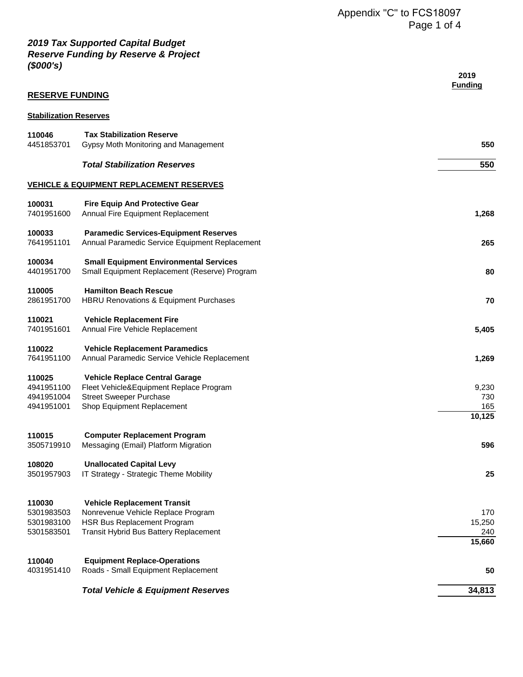| <b>RESERVE FUNDING</b>                           |                                                                                                                                                          | 2019<br><b>Funding</b>         |
|--------------------------------------------------|----------------------------------------------------------------------------------------------------------------------------------------------------------|--------------------------------|
| <b>Stabilization Reserves</b>                    |                                                                                                                                                          |                                |
| 110046<br>4451853701                             | <b>Tax Stabilization Reserve</b><br>Gypsy Moth Monitoring and Management                                                                                 | 550                            |
|                                                  | <b>Total Stabilization Reserves</b>                                                                                                                      | 550                            |
|                                                  | <b>VEHICLE &amp; EQUIPMENT REPLACEMENT RESERVES</b>                                                                                                      |                                |
| 100031<br>7401951600                             | <b>Fire Equip And Protective Gear</b><br>Annual Fire Equipment Replacement                                                                               | 1,268                          |
| 100033<br>7641951101                             | <b>Paramedic Services-Equipment Reserves</b><br>Annual Paramedic Service Equipment Replacement                                                           | 265                            |
| 100034<br>4401951700                             | <b>Small Equipment Environmental Services</b><br>Small Equipment Replacement (Reserve) Program                                                           | 80                             |
| 110005<br>2861951700                             | <b>Hamilton Beach Rescue</b><br><b>HBRU Renovations &amp; Equipment Purchases</b>                                                                        | 70                             |
| 110021<br>7401951601                             | <b>Vehicle Replacement Fire</b><br>Annual Fire Vehicle Replacement                                                                                       | 5,405                          |
| 110022<br>7641951100                             | <b>Vehicle Replacement Paramedics</b><br>Annual Paramedic Service Vehicle Replacement                                                                    | 1,269                          |
| 110025<br>4941951100<br>4941951004<br>4941951001 | <b>Vehicle Replace Central Garage</b><br>Fleet Vehicle&Equipment Replace Program<br><b>Street Sweeper Purchase</b><br>Shop Equipment Replacement         | 9,230<br>730<br>165<br>10,125  |
| 110015<br>3505719910                             | <b>Computer Replacement Program</b><br>Messaging (Email) Platform Migration                                                                              | 596                            |
| 108020<br>3501957903                             | <b>Unallocated Capital Levy</b><br>IT Strategy - Strategic Theme Mobility                                                                                | 25                             |
| 110030<br>5301983503<br>5301983100<br>5301583501 | <b>Vehicle Replacement Transit</b><br>Nonrevenue Vehicle Replace Program<br><b>HSR Bus Replacement Program</b><br>Transit Hybrid Bus Battery Replacement | 170<br>15,250<br>240<br>15,660 |
| 110040<br>4031951410                             | <b>Equipment Replace-Operations</b><br>Roads - Small Equipment Replacement                                                                               | 50                             |
|                                                  | <b>Total Vehicle &amp; Equipment Reserves</b>                                                                                                            | 34,813                         |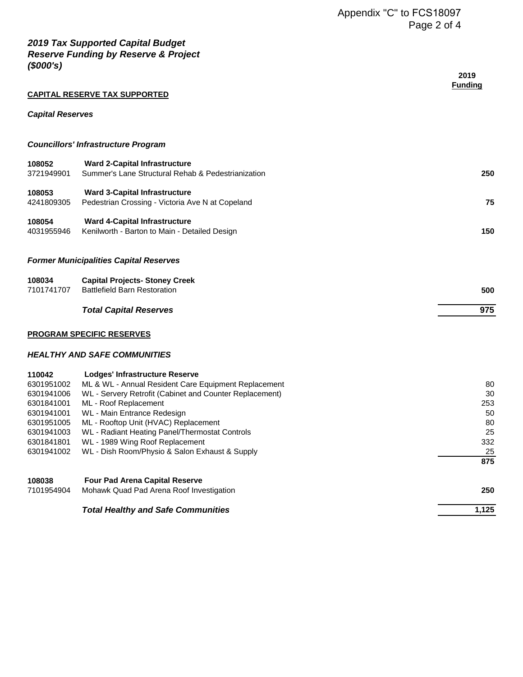|                                                                                                                        | <b>CAPITAL RESERVE TAX SUPPORTED</b>                                                                                                                                                                                                                                                                                                                                                            | 2019<br><b>Funding</b>                                |
|------------------------------------------------------------------------------------------------------------------------|-------------------------------------------------------------------------------------------------------------------------------------------------------------------------------------------------------------------------------------------------------------------------------------------------------------------------------------------------------------------------------------------------|-------------------------------------------------------|
| <b>Capital Reserves</b>                                                                                                |                                                                                                                                                                                                                                                                                                                                                                                                 |                                                       |
|                                                                                                                        | <b>Councillors' Infrastructure Program</b>                                                                                                                                                                                                                                                                                                                                                      |                                                       |
| 108052<br>3721949901                                                                                                   | <b>Ward 2-Capital Infrastructure</b><br>Summer's Lane Structural Rehab & Pedestrianization                                                                                                                                                                                                                                                                                                      | 250                                                   |
| 108053<br>4241809305                                                                                                   | <b>Ward 3-Capital Infrastructure</b><br>Pedestrian Crossing - Victoria Ave N at Copeland                                                                                                                                                                                                                                                                                                        | 75                                                    |
| 108054<br>4031955946                                                                                                   | <b>Ward 4-Capital Infrastructure</b><br>Kenilworth - Barton to Main - Detailed Design                                                                                                                                                                                                                                                                                                           | 150                                                   |
|                                                                                                                        | <b>Former Municipalities Capital Reserves</b>                                                                                                                                                                                                                                                                                                                                                   |                                                       |
| 108034<br>7101741707                                                                                                   | <b>Capital Projects- Stoney Creek</b><br><b>Battlefield Barn Restoration</b>                                                                                                                                                                                                                                                                                                                    | 500                                                   |
|                                                                                                                        | <b>Total Capital Reserves</b>                                                                                                                                                                                                                                                                                                                                                                   | 975                                                   |
|                                                                                                                        | <b>PROGRAM SPECIFIC RESERVES</b>                                                                                                                                                                                                                                                                                                                                                                |                                                       |
|                                                                                                                        | <b>HEALTHY AND SAFE COMMUNITIES</b>                                                                                                                                                                                                                                                                                                                                                             |                                                       |
| 110042<br>6301951002<br>6301941006<br>6301841001<br>6301941001<br>6301951005<br>6301941003<br>6301841801<br>6301941002 | <b>Lodges' Infrastructure Reserve</b><br>ML & WL - Annual Resident Care Equipment Replacement<br>WL - Servery Retrofit (Cabinet and Counter Replacement)<br>ML - Roof Replacement<br>WL - Main Entrance Redesign<br>ML - Rooftop Unit (HVAC) Replacement<br>WL - Radiant Heating Panel/Thermostat Controls<br>WL - 1989 Wing Roof Replacement<br>WL - Dish Room/Physio & Salon Exhaust & Supply | 80<br>30<br>253<br>50<br>80<br>25<br>332<br>25<br>875 |
| 108038<br>7101954904                                                                                                   | <b>Four Pad Arena Capital Reserve</b><br>Mohawk Quad Pad Arena Roof Investigation                                                                                                                                                                                                                                                                                                               | 250                                                   |
|                                                                                                                        | <b>Total Healthy and Safe Communities</b>                                                                                                                                                                                                                                                                                                                                                       | 1,125                                                 |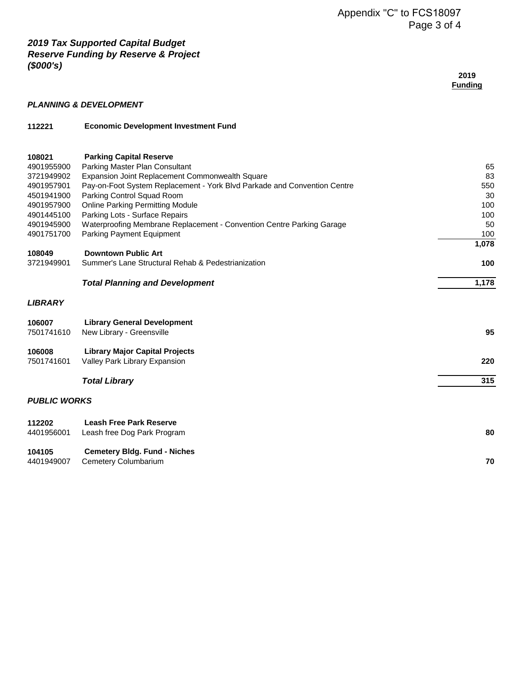| 2019           |
|----------------|
| <b>Funding</b> |
|                |

#### *PLANNING & DEVELOPMENT*

| 112221 | <b>Economic Development Investment Fund</b> |  |
|--------|---------------------------------------------|--|
|        |                                             |  |

| <b>Parking Capital Reserve</b>                                           |                                                                                                                                                 |
|--------------------------------------------------------------------------|-------------------------------------------------------------------------------------------------------------------------------------------------|
| Parking Master Plan Consultant                                           | 65                                                                                                                                              |
| Expansion Joint Replacement Commonwealth Square                          | 83                                                                                                                                              |
| Pay-on-Foot System Replacement - York Blvd Parkade and Convention Centre | 550                                                                                                                                             |
| Parking Control Squad Room                                               | 30                                                                                                                                              |
| <b>Online Parking Permitting Module</b>                                  | 100                                                                                                                                             |
| Parking Lots - Surface Repairs                                           | 100                                                                                                                                             |
| Waterproofing Membrane Replacement - Convention Centre Parking Garage    | 50                                                                                                                                              |
| Parking Payment Equipment                                                | 100                                                                                                                                             |
|                                                                          | 1,078                                                                                                                                           |
|                                                                          |                                                                                                                                                 |
|                                                                          | 100                                                                                                                                             |
| <b>Total Planning and Development</b>                                    | 1,178                                                                                                                                           |
|                                                                          |                                                                                                                                                 |
| <b>Library General Development</b>                                       |                                                                                                                                                 |
| New Library - Greensville                                                | 95                                                                                                                                              |
| <b>Library Major Capital Projects</b>                                    |                                                                                                                                                 |
| Valley Park Library Expansion                                            | 220                                                                                                                                             |
|                                                                          | 315                                                                                                                                             |
|                                                                          |                                                                                                                                                 |
| <b>PUBLIC WORKS</b>                                                      |                                                                                                                                                 |
| <b>Leash Free Park Reserve</b>                                           |                                                                                                                                                 |
| Leash free Dog Park Program                                              | 80                                                                                                                                              |
|                                                                          |                                                                                                                                                 |
| Cemetery Columbarium                                                     | 70                                                                                                                                              |
|                                                                          | <b>Downtown Public Art</b><br>Summer's Lane Structural Rehab & Pedestrianization<br><b>Total Library</b><br><b>Cemetery Bldg. Fund - Niches</b> |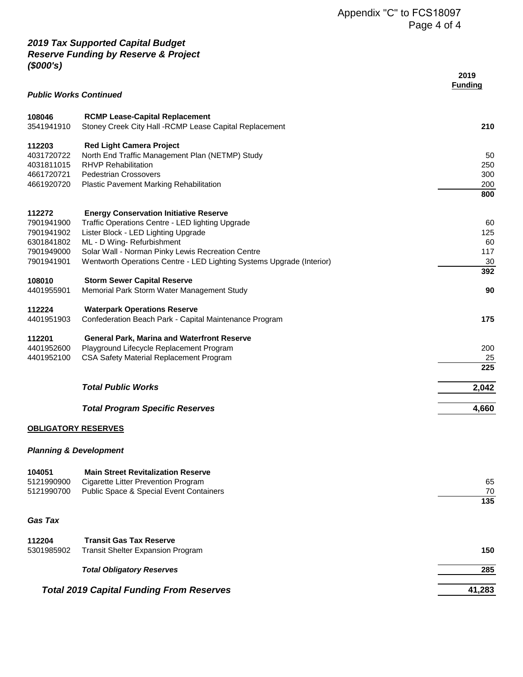|                               |                                                                                                 | 2019<br><b>Funding</b> |
|-------------------------------|-------------------------------------------------------------------------------------------------|------------------------|
| <b>Public Works Continued</b> |                                                                                                 |                        |
| 108046<br>3541941910          | <b>RCMP Lease-Capital Replacement</b><br>Stoney Creek City Hall -RCMP Lease Capital Replacement | 210                    |
| 112203<br>4031720722          | <b>Red Light Camera Project</b>                                                                 |                        |
| 4031811015                    | North End Traffic Management Plan (NETMP) Study<br><b>RHVP Rehabilitation</b>                   | 50<br>250              |
| 4661720721                    | <b>Pedestrian Crossovers</b>                                                                    | 300                    |
| 4661920720                    | <b>Plastic Pavement Marking Rehabilitation</b>                                                  | 200                    |
|                               |                                                                                                 | 800                    |
| 112272                        | <b>Energy Conservation Initiative Reserve</b>                                                   |                        |
| 7901941900                    | Traffic Operations Centre - LED lighting Upgrade                                                | 60                     |
| 7901941902                    | Lister Block - LED Lighting Upgrade                                                             | 125                    |
| 6301841802                    | ML - D Wing- Refurbishment                                                                      | 60                     |
| 7901949000<br>7901941901      | Solar Wall - Norman Pinky Lewis Recreation Centre                                               | 117                    |
|                               | Wentworth Operations Centre - LED Lighting Systems Upgrade (Interior)                           | 30<br>392              |
| 108010                        | <b>Storm Sewer Capital Reserve</b>                                                              |                        |
| 4401955901                    | Memorial Park Storm Water Management Study                                                      | 90                     |
| 112224                        | <b>Waterpark Operations Reserve</b>                                                             |                        |
| 4401951903                    | Confederation Beach Park - Capital Maintenance Program                                          | 175                    |
| 112201                        | <b>General Park, Marina and Waterfront Reserve</b>                                              |                        |
| 4401952600                    | Playground Lifecycle Replacement Program                                                        | 200                    |
| 4401952100                    | CSA Safety Material Replacement Program                                                         | 25<br>225              |
|                               |                                                                                                 |                        |
|                               | <b>Total Public Works</b>                                                                       | 2,042                  |
|                               | <b>Total Program Specific Reserves</b>                                                          | 4,660                  |
|                               |                                                                                                 |                        |

## **OBLIGATORY RESERVES**

#### *Planning & Development*

| 104051<br>5121990900<br>5121990700              | <b>Main Street Revitalization Reserve</b><br>Cigarette Litter Prevention Program<br>Public Space & Special Event Containers | 65<br>70<br>135 |
|-------------------------------------------------|-----------------------------------------------------------------------------------------------------------------------------|-----------------|
| <b>Gas Tax</b>                                  |                                                                                                                             |                 |
| 112204<br>5301985902                            | <b>Transit Gas Tax Reserve</b><br><b>Transit Shelter Expansion Program</b>                                                  | 150             |
|                                                 | <b>Total Obligatory Reserves</b>                                                                                            | 285             |
| <b>Total 2019 Capital Funding From Reserves</b> | 41,283                                                                                                                      |                 |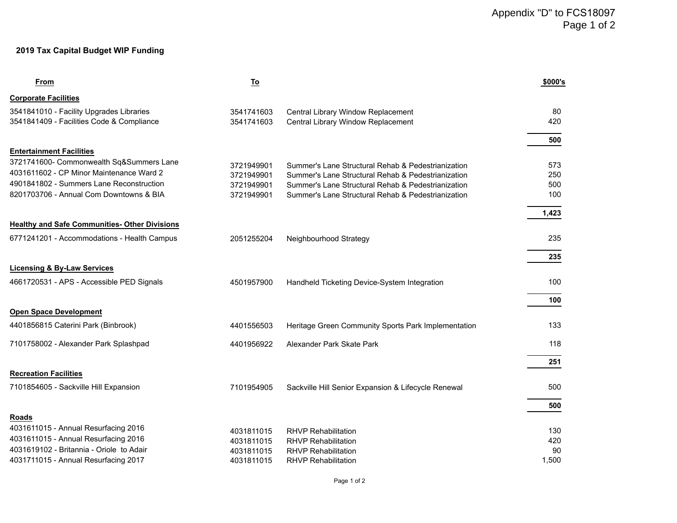#### **2019 Tax Capital Budget WIP Funding**

| From                                                                         | <u>To</u>                |                                                                                                          | \$000's    |
|------------------------------------------------------------------------------|--------------------------|----------------------------------------------------------------------------------------------------------|------------|
| <b>Corporate Facilities</b>                                                  |                          |                                                                                                          |            |
| 3541841010 - Facility Upgrades Libraries                                     | 3541741603               | Central Library Window Replacement                                                                       | 80         |
| 3541841409 - Facilities Code & Compliance                                    | 3541741603               | Central Library Window Replacement                                                                       | 420        |
|                                                                              |                          |                                                                                                          | 500        |
| <b>Entertainment Facilities</b>                                              |                          |                                                                                                          |            |
| 3721741600- Commonwealth Sq&Summers Lane                                     |                          |                                                                                                          |            |
| 4031611602 - CP Minor Maintenance Ward 2                                     | 3721949901<br>3721949901 | Summer's Lane Structural Rehab & Pedestrianization<br>Summer's Lane Structural Rehab & Pedestrianization | 573<br>250 |
| 4901841802 - Summers Lane Reconstruction                                     | 3721949901               | Summer's Lane Structural Rehab & Pedestrianization                                                       | 500        |
| 8201703706 - Annual Com Downtowns & BIA                                      | 3721949901               | Summer's Lane Structural Rehab & Pedestrianization                                                       | 100        |
|                                                                              |                          |                                                                                                          |            |
|                                                                              |                          |                                                                                                          | 1,423      |
| <b>Healthy and Safe Communities- Other Divisions</b>                         |                          |                                                                                                          |            |
| 6771241201 - Accommodations - Health Campus                                  | 2051255204               | Neighbourhood Strategy                                                                                   | 235        |
|                                                                              |                          |                                                                                                          | 235        |
| <b>Licensing &amp; By-Law Services</b>                                       |                          |                                                                                                          |            |
| 4661720531 - APS - Accessible PED Signals                                    | 4501957900               | Handheld Ticketing Device-System Integration                                                             | 100        |
|                                                                              |                          |                                                                                                          |            |
|                                                                              |                          |                                                                                                          | 100        |
| <b>Open Space Development</b>                                                |                          |                                                                                                          |            |
| 4401856815 Caterini Park (Binbrook)                                          | 4401556503               | Heritage Green Community Sports Park Implementation                                                      | 133        |
|                                                                              |                          |                                                                                                          |            |
| 7101758002 - Alexander Park Splashpad                                        | 4401956922               | Alexander Park Skate Park                                                                                | 118        |
|                                                                              |                          |                                                                                                          | 251        |
| <b>Recreation Facilities</b>                                                 |                          |                                                                                                          |            |
| 7101854605 - Sackville Hill Expansion                                        | 7101954905               | Sackville Hill Senior Expansion & Lifecycle Renewal                                                      | 500        |
|                                                                              |                          |                                                                                                          |            |
|                                                                              |                          |                                                                                                          | 500        |
| Roads                                                                        |                          |                                                                                                          |            |
| 4031611015 - Annual Resurfacing 2016<br>4031611015 - Annual Resurfacing 2016 | 4031811015               | <b>RHVP Rehabilitation</b>                                                                               | 130        |
| 4031619102 - Britannia - Oriole to Adair                                     | 4031811015               | <b>RHVP Rehabilitation</b><br><b>RHVP Rehabilitation</b>                                                 | 420<br>90  |
| 4031711015 - Annual Resurfacing 2017                                         | 4031811015<br>4031811015 | <b>RHVP Rehabilitation</b>                                                                               | 1,500      |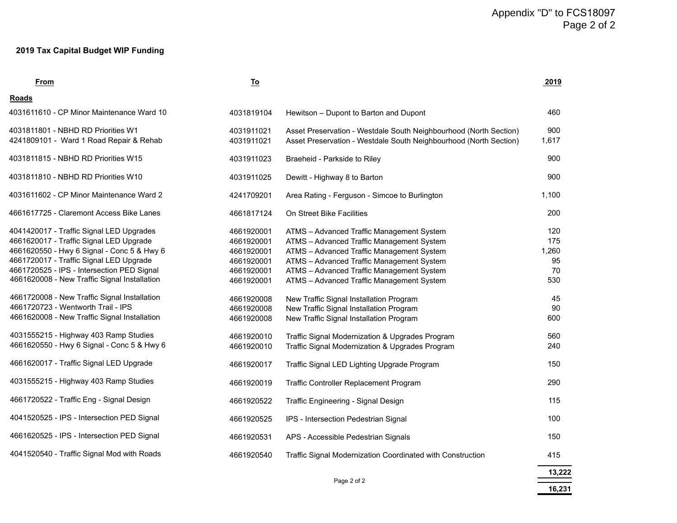#### **2019 Tax Capital Budget WIP Funding**

|                                                                                                                                                                                                                                                                            |                                                                                  |                                                                                                                                                                                                                                                                            | Appendix "D" to FCS18097<br>Page 2 of 2 |  |  |
|----------------------------------------------------------------------------------------------------------------------------------------------------------------------------------------------------------------------------------------------------------------------------|----------------------------------------------------------------------------------|----------------------------------------------------------------------------------------------------------------------------------------------------------------------------------------------------------------------------------------------------------------------------|-----------------------------------------|--|--|
| 2019 Tax Capital Budget WIP Funding                                                                                                                                                                                                                                        |                                                                                  |                                                                                                                                                                                                                                                                            |                                         |  |  |
| <b>From</b>                                                                                                                                                                                                                                                                | <u>To</u>                                                                        |                                                                                                                                                                                                                                                                            | 2019                                    |  |  |
| Roads                                                                                                                                                                                                                                                                      |                                                                                  |                                                                                                                                                                                                                                                                            |                                         |  |  |
| 4031611610 - CP Minor Maintenance Ward 10                                                                                                                                                                                                                                  | 4031819104                                                                       | Hewitson - Dupont to Barton and Dupont                                                                                                                                                                                                                                     | 460                                     |  |  |
| 4031811801 - NBHD RD Priorities W1<br>4241809101 - Ward 1 Road Repair & Rehab                                                                                                                                                                                              | 4031911021<br>4031911021                                                         | Asset Preservation - Westdale South Neighbourhood (North Section)<br>Asset Preservation - Westdale South Neighbourhood (North Section)                                                                                                                                     | 900<br>1,617                            |  |  |
| 4031811815 - NBHD RD Priorities W15                                                                                                                                                                                                                                        | 4031911023                                                                       | Braeheid - Parkside to Riley                                                                                                                                                                                                                                               | 900                                     |  |  |
| 4031811810 - NBHD RD Priorities W10                                                                                                                                                                                                                                        | 4031911025                                                                       | Dewitt - Highway 8 to Barton                                                                                                                                                                                                                                               | 900                                     |  |  |
| 4031611602 - CP Minor Maintenance Ward 2                                                                                                                                                                                                                                   | 4241709201                                                                       | Area Rating - Ferguson - Simcoe to Burlington                                                                                                                                                                                                                              | 1,100                                   |  |  |
| 4661617725 - Claremont Access Bike Lanes                                                                                                                                                                                                                                   | 4661817124                                                                       | On Street Bike Facilities                                                                                                                                                                                                                                                  | 200                                     |  |  |
| 4041420017 - Traffic Signal LED Upgrades<br>4661620017 - Traffic Signal LED Upgrade<br>4661620550 - Hwy 6 Signal - Conc 5 & Hwy 6<br>4661720017 - Traffic Signal LED Upgrade<br>4661720525 - IPS - Intersection PED Signal<br>4661620008 - New Traffic Signal Installation | 4661920001<br>4661920001<br>4661920001<br>4661920001<br>4661920001<br>4661920001 | ATMS - Advanced Traffic Management System<br>ATMS - Advanced Traffic Management System<br>ATMS - Advanced Traffic Management System<br>ATMS - Advanced Traffic Management System<br>ATMS - Advanced Traffic Management System<br>ATMS - Advanced Traffic Management System | 120<br>175<br>1,260<br>95<br>70<br>530  |  |  |
| 4661720008 - New Traffic Signal Installation<br>4661720723 - Wentworth Trail - IPS<br>4661620008 - New Traffic Signal Installation                                                                                                                                         | 4661920008<br>4661920008<br>4661920008                                           | New Traffic Signal Installation Program<br>New Traffic Signal Installation Program<br>New Traffic Signal Installation Program                                                                                                                                              | 45<br>90<br>600                         |  |  |
| 4031555215 - Highway 403 Ramp Studies<br>4661620550 - Hwy 6 Signal - Conc 5 & Hwy 6                                                                                                                                                                                        | 4661920010<br>4661920010                                                         | Traffic Signal Modernization & Upgrades Program<br>Traffic Signal Modernization & Upgrades Program                                                                                                                                                                         | 560<br>240                              |  |  |
| 4661620017 - Traffic Signal LED Upgrade                                                                                                                                                                                                                                    | 4661920017                                                                       | Traffic Signal LED Lighting Upgrade Program                                                                                                                                                                                                                                | 150                                     |  |  |
| 4031555215 - Highway 403 Ramp Studies                                                                                                                                                                                                                                      | 4661920019                                                                       | Traffic Controller Replacement Program                                                                                                                                                                                                                                     | 290                                     |  |  |
| 4661720522 - Traffic Eng - Signal Design                                                                                                                                                                                                                                   | 4661920522                                                                       | Traffic Engineering - Signal Design                                                                                                                                                                                                                                        | 115                                     |  |  |
| 4041520525 - IPS - Intersection PED Signal                                                                                                                                                                                                                                 | 4661920525                                                                       | IPS - Intersection Pedestrian Signal                                                                                                                                                                                                                                       | 100                                     |  |  |
| 4661620525 - IPS - Intersection PED Signal                                                                                                                                                                                                                                 | 4661920531                                                                       | APS - Accessible Pedestrian Signals                                                                                                                                                                                                                                        | 150                                     |  |  |
| 4041520540 - Traffic Signal Mod with Roads                                                                                                                                                                                                                                 | 4661920540                                                                       | Traffic Signal Modernization Coordinated with Construction                                                                                                                                                                                                                 | 415                                     |  |  |
|                                                                                                                                                                                                                                                                            |                                                                                  |                                                                                                                                                                                                                                                                            | 13,222                                  |  |  |
|                                                                                                                                                                                                                                                                            |                                                                                  | Page 2 of 2                                                                                                                                                                                                                                                                |                                         |  |  |

 **16,231**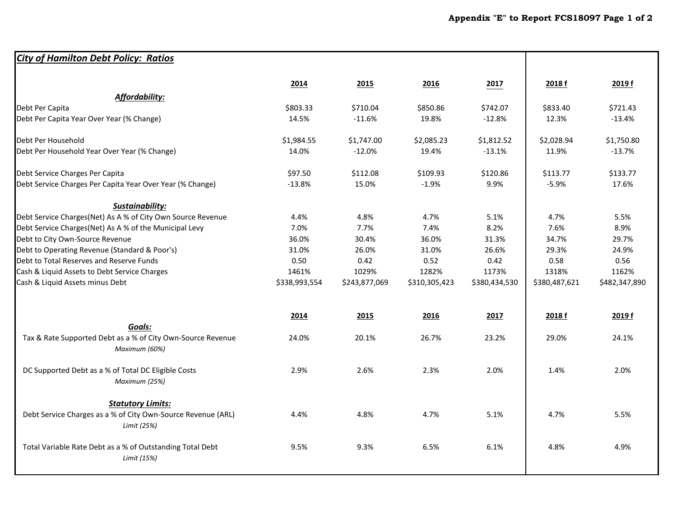| <b>City of Hamilton Debt Policy: Ratios</b>                                  |               |               |               |               |               |               |
|------------------------------------------------------------------------------|---------------|---------------|---------------|---------------|---------------|---------------|
|                                                                              | 2014          | 2015          | 2016          | 2017          | 2018 f        | 2019 f        |
| <b>Affordability:</b>                                                        |               |               |               |               |               |               |
| Debt Per Capita                                                              | \$803.33      | \$710.04      | \$850.86      | \$742.07      | \$833.40      | \$721.43      |
| Debt Per Capita Year Over Year (% Change)                                    | 14.5%         | $-11.6%$      | 19.8%         | $-12.8%$      | 12.3%         | $-13.4%$      |
| Debt Per Household                                                           | \$1,984.55    | \$1,747.00    | \$2,085.23    | \$1,812.52    | \$2,028.94    | \$1,750.80    |
| Debt Per Household Year Over Year (% Change)                                 | 14.0%         | $-12.0%$      | 19.4%         | $-13.1%$      | 11.9%         | $-13.7%$      |
| Debt Service Charges Per Capita                                              | \$97.50       | \$112.08      | \$109.93      | \$120.86      | \$113.77      | \$133.77      |
| Debt Service Charges Per Capita Year Over Year (% Change)                    | $-13.8%$      | 15.0%         | $-1.9%$       | 9.9%          | $-5.9%$       | 17.6%         |
| Sustainability:                                                              |               |               |               |               |               |               |
| Debt Service Charges(Net) As A % of City Own Source Revenue                  | 4.4%          | 4.8%          | 4.7%          | 5.1%          | 4.7%          | 5.5%          |
| Debt Service Charges(Net) As A % of the Municipal Levy                       | 7.0%          | 7.7%          | 7.4%          | 8.2%          | 7.6%          | 8.9%          |
| Debt to City Own-Source Revenue                                              | 36.0%         | 30.4%         | 36.0%         | 31.3%         | 34.7%         | 29.7%         |
| Debt to Operating Revenue (Standard & Poor's)                                | 31.0%         | 26.0%         | 31.0%         | 26.6%         | 29.3%         | 24.9%         |
| Debt to Total Reserves and Reserve Funds                                     | 0.50          | 0.42          | 0.52          | 0.42          | 0.58          | 0.56          |
| Cash & Liquid Assets to Debt Service Charges                                 | 1461%         | 1029%         | 1282%         | 1173%         | 1318%         | 1162%         |
| Cash & Liquid Assets minus Debt                                              | \$338,993,554 | \$243,877,069 | \$310,305,423 | \$380,434,530 | \$380,487,621 | \$482,347,890 |
|                                                                              | 2014          | 2015          | 2016          | 2017          | 2018 f        | 2019 f        |
| Goals:                                                                       |               |               |               |               |               |               |
| Tax & Rate Supported Debt as a % of City Own-Source Revenue<br>Maximum (60%) | 24.0%         | 20.1%         | 26.7%         | 23.2%         | 29.0%         | 24.1%         |
| DC Supported Debt as a % of Total DC Eligible Costs<br>Maximum (25%)         | 2.9%          | 2.6%          | 2.3%          | 2.0%          | 1.4%          | 2.0%          |
| <b>Statutory Limits:</b>                                                     |               |               |               |               |               |               |
| Debt Service Charges as a % of City Own-Source Revenue (ARL)<br>Limit (25%)  | 4.4%          | 4.8%          | 4.7%          | 5.1%          | 4.7%          | 5.5%          |
| Total Variable Rate Debt as a % of Outstanding Total Debt<br>Limit (15%)     | 9.5%          | 9.3%          | 6.5%          | 6.1%          | 4.8%          | 4.9%          |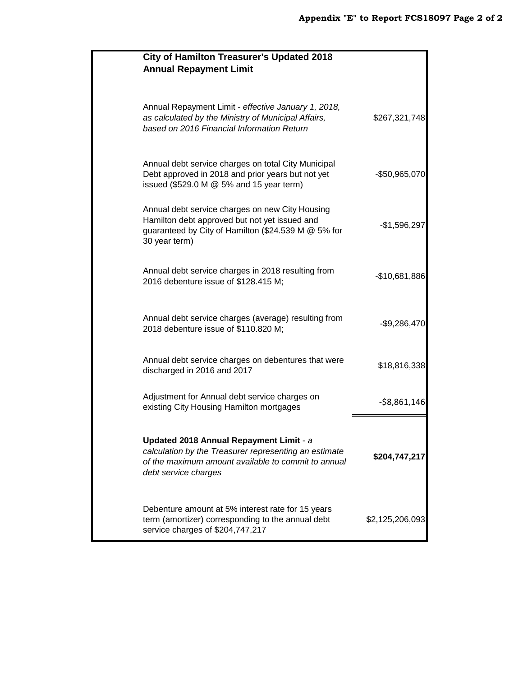| <b>City of Hamilton Treasurer's Updated 2018</b><br><b>Annual Repayment Limit</b>                                                                                               |                 |
|---------------------------------------------------------------------------------------------------------------------------------------------------------------------------------|-----------------|
| Annual Repayment Limit - effective January 1, 2018,<br>as calculated by the Ministry of Municipal Affairs,<br>based on 2016 Financial Information Return                        | \$267,321,748   |
| Annual debt service charges on total City Municipal<br>Debt approved in 2018 and prior years but not yet<br>issued $(\$529.0 M @ 5%$ and 15 year term)                          | -\$50,965,070   |
| Annual debt service charges on new City Housing<br>Hamilton debt approved but not yet issued and<br>guaranteed by City of Hamilton (\$24.539 M @ 5% for<br>30 year term)        | $-$1,596,297$   |
| Annual debt service charges in 2018 resulting from<br>2016 debenture issue of \$128.415 M;                                                                                      | $-$10,681,886$  |
| Annual debt service charges (average) resulting from<br>2018 debenture issue of \$110.820 M;                                                                                    | $-$9,286,470$   |
| Annual debt service charges on debentures that were<br>discharged in 2016 and 2017                                                                                              | \$18,816,338    |
| Adjustment for Annual debt service charges on<br>existing City Housing Hamilton mortgages                                                                                       | $-$ \$8,861,146 |
| Updated 2018 Annual Repayment Limit - a<br>calculation by the Treasurer representing an estimate<br>of the maximum amount available to commit to annual<br>debt service charges | \$204,747,217   |
| Debenture amount at 5% interest rate for 15 years<br>term (amortizer) corresponding to the annual debt<br>service charges of \$204,747,217                                      | \$2,125,206,093 |